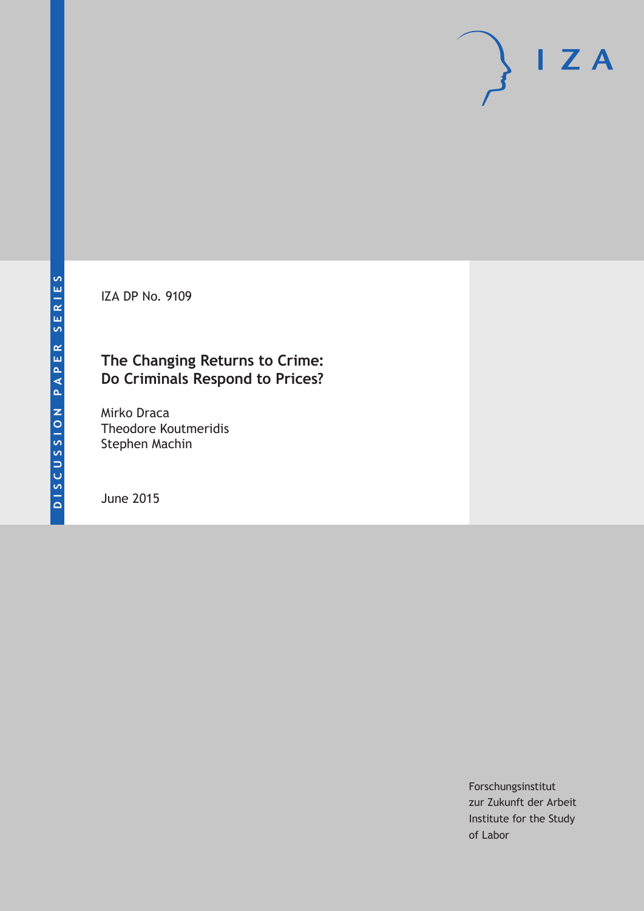IZA DP No. 9109

# **The Changing Returns to Crime: Do Criminals Respond to Prices?**

Mirko Draca Theodore Koutmeridis Stephen Machin

June 2015

Forschungsinstitut zur Zukunft der Arbeit Institute for the Study of Labor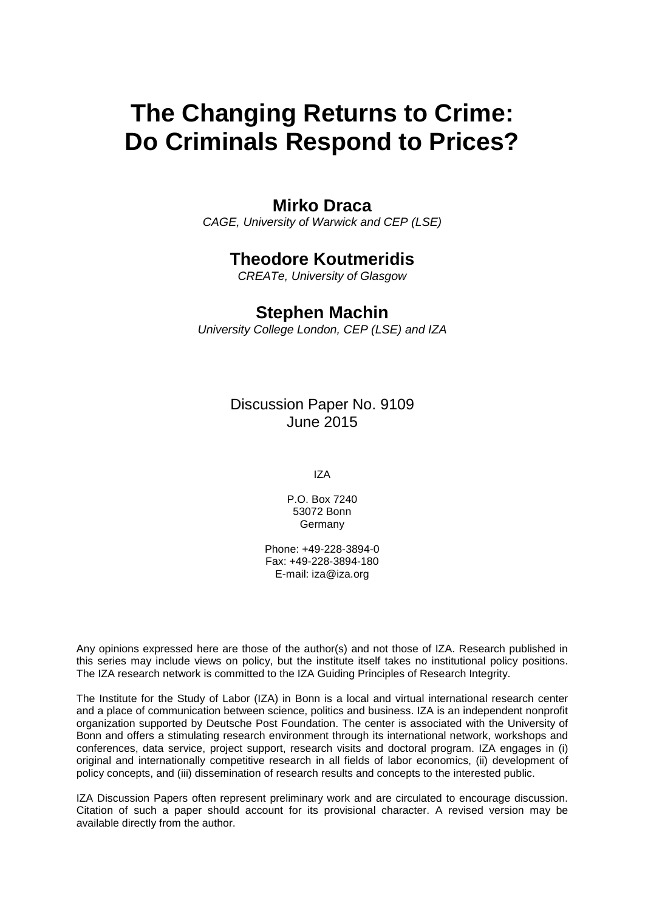# **The Changing Returns to Crime: Do Criminals Respond to Prices?**

# **Mirko Draca**

*CAGE, University of Warwick and CEP (LSE)*

# **Theodore Koutmeridis**

*CREATe, University of Glasgow*

# **Stephen Machin**

*University College London, CEP (LSE) and IZA*

Discussion Paper No. 9109 June 2015

IZA

P.O. Box 7240 53072 Bonn Germany

Phone: +49-228-3894-0 Fax: +49-228-3894-180 E-mail: iza@iza.org

Any opinions expressed here are those of the author(s) and not those of IZA. Research published in this series may include views on policy, but the institute itself takes no institutional policy positions. The IZA research network is committed to the IZA Guiding Principles of Research Integrity.

The Institute for the Study of Labor (IZA) in Bonn is a local and virtual international research center and a place of communication between science, politics and business. IZA is an independent nonprofit organization supported by Deutsche Post Foundation. The center is associated with the University of Bonn and offers a stimulating research environment through its international network, workshops and conferences, data service, project support, research visits and doctoral program. IZA engages in (i) original and internationally competitive research in all fields of labor economics, (ii) development of policy concepts, and (iii) dissemination of research results and concepts to the interested public.

<span id="page-1-0"></span>IZA Discussion Papers often represent preliminary work and are circulated to encourage discussion. Citation of such a paper should account for its provisional character. A revised version may be available directly from the author.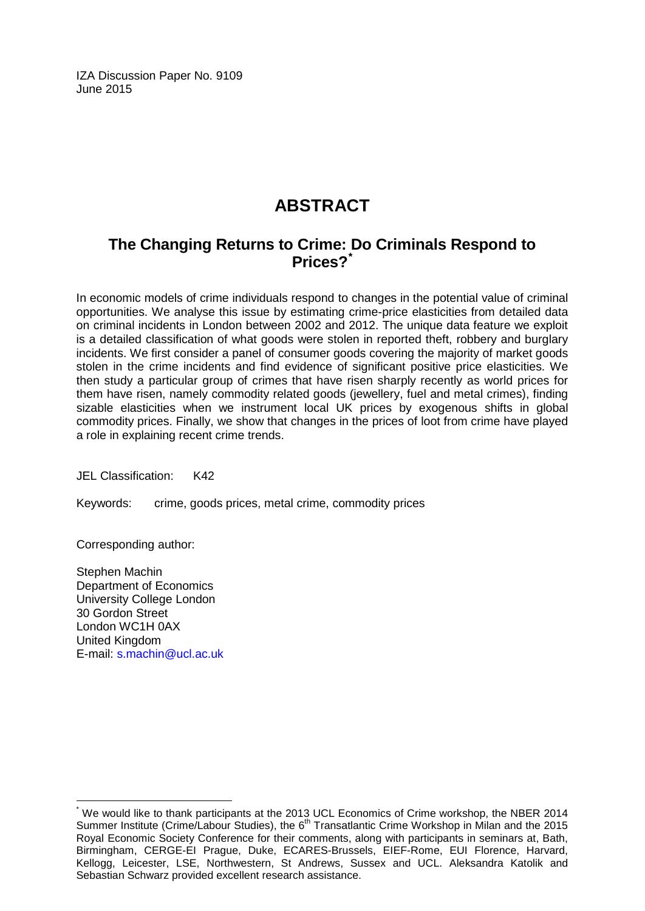IZA Discussion Paper No. 9109 June 2015

# **ABSTRACT**

# **The Changing Returns to Crime: Do Criminals Respond to Prices?[\\*](#page-1-0)**

In economic models of crime individuals respond to changes in the potential value of criminal opportunities. We analyse this issue by estimating crime-price elasticities from detailed data on criminal incidents in London between 2002 and 2012. The unique data feature we exploit is a detailed classification of what goods were stolen in reported theft, robbery and burglary incidents. We first consider a panel of consumer goods covering the majority of market goods stolen in the crime incidents and find evidence of significant positive price elasticities. We then study a particular group of crimes that have risen sharply recently as world prices for them have risen, namely commodity related goods (jewellery, fuel and metal crimes), finding sizable elasticities when we instrument local UK prices by exogenous shifts in global commodity prices. Finally, we show that changes in the prices of loot from crime have played a role in explaining recent crime trends.

JEL Classification: K42

Keywords: crime, goods prices, metal crime, commodity prices

Corresponding author:

Stephen Machin Department of Economics University College London 30 Gordon Street London WC1H 0AX United Kingdom E-mail: [s.machin@ucl.ac.uk](mailto:s.machin@ucl.ac.uk)

We would like to thank participants at the 2013 UCL Economics of Crime workshop, the NBER 2014 Summer Institute (Crime/Labour Studies), the 6th Transatlantic Crime Workshop in Milan and the 2015 Royal Economic Society Conference for their comments, along with participants in seminars at, Bath, Birmingham, CERGE-EI Prague, Duke, ECARES-Brussels, EIEF-Rome, EUI Florence, Harvard, Kellogg, Leicester, LSE, Northwestern, St Andrews, Sussex and UCL. Aleksandra Katolik and Sebastian Schwarz provided excellent research assistance.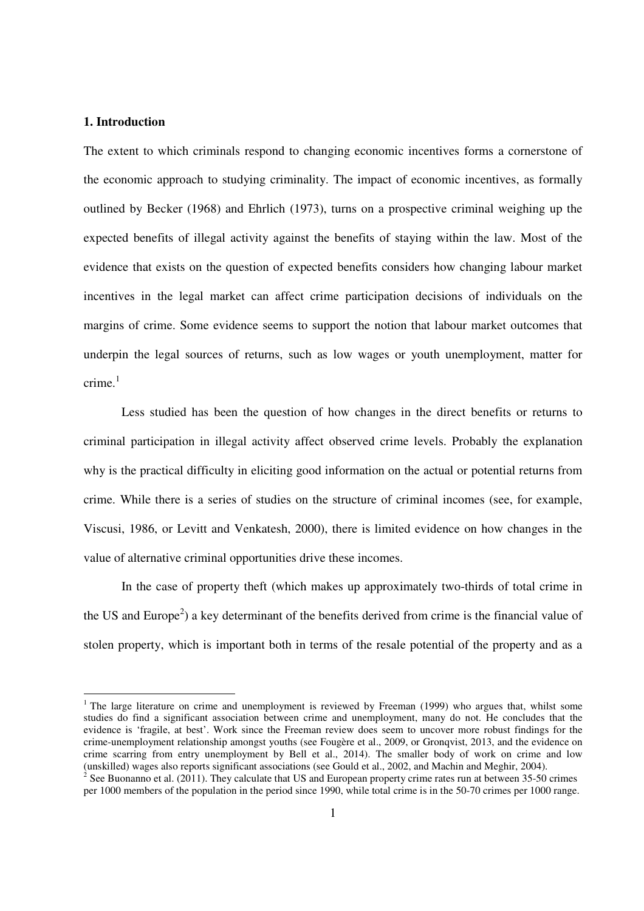# **1. Introduction**

The extent to which criminals respond to changing economic incentives forms a cornerstone of the economic approach to studying criminality. The impact of economic incentives, as formally outlined by Becker (1968) and Ehrlich (1973), turns on a prospective criminal weighing up the expected benefits of illegal activity against the benefits of staying within the law. Most of the evidence that exists on the question of expected benefits considers how changing labour market incentives in the legal market can affect crime participation decisions of individuals on the margins of crime. Some evidence seems to support the notion that labour market outcomes that underpin the legal sources of returns, such as low wages or youth unemployment, matter for crime. $1$ 

Less studied has been the question of how changes in the direct benefits or returns to criminal participation in illegal activity affect observed crime levels. Probably the explanation why is the practical difficulty in eliciting good information on the actual or potential returns from crime. While there is a series of studies on the structure of criminal incomes (see, for example, Viscusi, 1986, or Levitt and Venkatesh, 2000), there is limited evidence on how changes in the value of alternative criminal opportunities drive these incomes.

In the case of property theft (which makes up approximately two-thirds of total crime in the US and Europe<sup>2</sup>) a key determinant of the benefits derived from crime is the financial value of stolen property, which is important both in terms of the resale potential of the property and as a

<sup>&</sup>lt;sup>1</sup> The large literature on crime and unemployment is reviewed by Freeman (1999) who argues that, whilst some studies do find a significant association between crime and unemployment, many do not. He concludes that the evidence is 'fragile, at best'. Work since the Freeman review does seem to uncover more robust findings for the crime-unemployment relationship amongst youths (see Fougère et al., 2009, or Gronqvist, 2013, and the evidence on crime scarring from entry unemployment by Bell et al., 2014). The smaller body of work on crime and low (unskilled) wages also reports significant associations (see Gould et al., 2002, and Machin and Meghir, 2004). 2

See Buonanno et al. (2011). They calculate that US and European property crime rates run at between 35-50 crimes per 1000 members of the population in the period since 1990, while total crime is in the 50-70 crimes per 1000 range.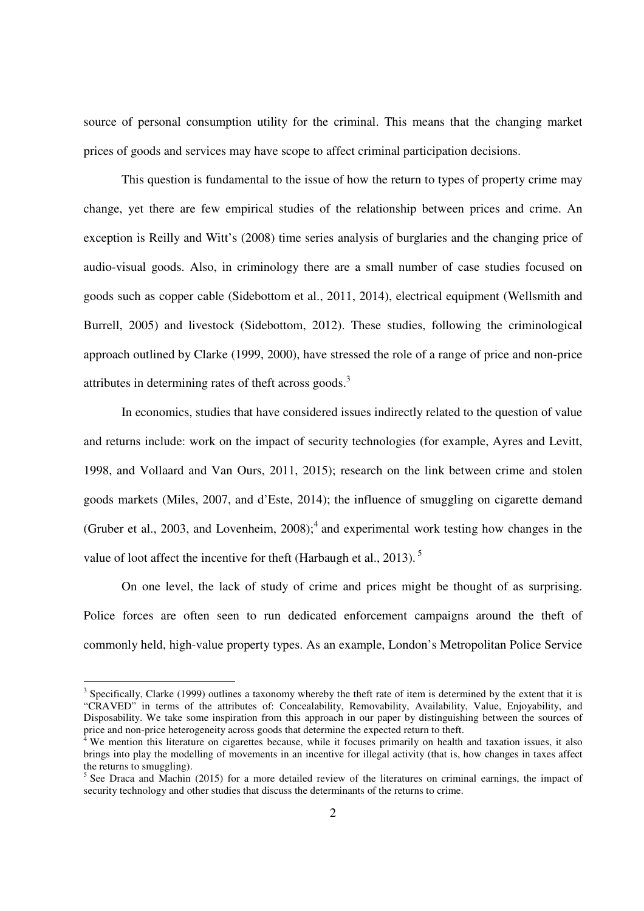source of personal consumption utility for the criminal. This means that the changing market prices of goods and services may have scope to affect criminal participation decisions.

This question is fundamental to the issue of how the return to types of property crime may change, yet there are few empirical studies of the relationship between prices and crime. An exception is Reilly and Witt's (2008) time series analysis of burglaries and the changing price of audio-visual goods. Also, in criminology there are a small number of case studies focused on goods such as copper cable (Sidebottom et al., 2011, 2014), electrical equipment (Wellsmith and Burrell, 2005) and livestock (Sidebottom, 2012). These studies, following the criminological approach outlined by Clarke (1999, 2000), have stressed the role of a range of price and non-price attributes in determining rates of theft across goods. $3$ 

In economics, studies that have considered issues indirectly related to the question of value and returns include: work on the impact of security technologies (for example, Ayres and Levitt, 1998, and Vollaard and Van Ours, 2011, 2015); research on the link between crime and stolen goods markets (Miles, 2007, and d'Este, 2014); the influence of smuggling on cigarette demand (Gruber et al., 2003, and Lovenheim,  $2008$ );<sup>4</sup> and experimental work testing how changes in the value of loot affect the incentive for theft (Harbaugh et al., 2013).<sup>5</sup>

On one level, the lack of study of crime and prices might be thought of as surprising. Police forces are often seen to run dedicated enforcement campaigns around the theft of commonly held, high-value property types. As an example, London's Metropolitan Police Service

 $\overline{a}$ 

 $3$  Specifically, Clarke (1999) outlines a taxonomy whereby the theft rate of item is determined by the extent that it is "CRAVED" in terms of the attributes of: Concealability, Removability, Availability, Value, Enjoyability, and Disposability. We take some inspiration from this approach in our paper by distinguishing between the sources of price and non-price heterogeneity across goods that determine the expected return to theft.<br><sup>4</sup> We mention this literature on circurates because while it focuses primerily on boalth.

We mention this literature on cigarettes because, while it focuses primarily on health and taxation issues, it also brings into play the modelling of movements in an incentive for illegal activity (that is, how changes in taxes affect the returns to smuggling).

<sup>&</sup>lt;sup>5</sup> See Draca and Machin (2015) for a more detailed review of the literatures on criminal earnings, the impact of security technology and other studies that discuss the determinants of the returns to crime.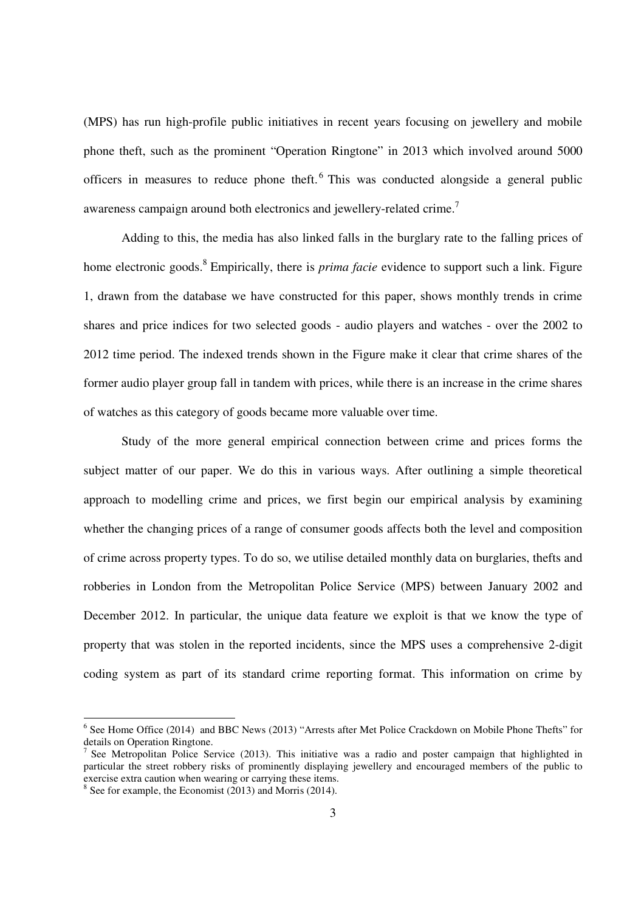(MPS) has run high-profile public initiatives in recent years focusing on jewellery and mobile phone theft, such as the prominent "Operation Ringtone" in 2013 which involved around 5000 officers in measures to reduce phone theft.<sup>6</sup> This was conducted alongside a general public awareness campaign around both electronics and jewellery-related crime.<sup>7</sup>

Adding to this, the media has also linked falls in the burglary rate to the falling prices of home electronic goods.<sup>8</sup> Empirically, there is *prima facie* evidence to support such a link. Figure 1, drawn from the database we have constructed for this paper, shows monthly trends in crime shares and price indices for two selected goods - audio players and watches - over the 2002 to 2012 time period. The indexed trends shown in the Figure make it clear that crime shares of the former audio player group fall in tandem with prices, while there is an increase in the crime shares of watches as this category of goods became more valuable over time.

 Study of the more general empirical connection between crime and prices forms the subject matter of our paper. We do this in various ways. After outlining a simple theoretical approach to modelling crime and prices, we first begin our empirical analysis by examining whether the changing prices of a range of consumer goods affects both the level and composition of crime across property types. To do so, we utilise detailed monthly data on burglaries, thefts and robberies in London from the Metropolitan Police Service (MPS) between January 2002 and December 2012. In particular, the unique data feature we exploit is that we know the type of property that was stolen in the reported incidents, since the MPS uses a comprehensive 2-digit coding system as part of its standard crime reporting format. This information on crime by

<sup>&</sup>lt;sup>6</sup> See Home Office (2014) and BBC News (2013) "Arrests after Met Police Crackdown on Mobile Phone Thefts" for details on Operation Ringtone.

<sup>7</sup> See Metropolitan Police Service (2013). This initiative was a radio and poster campaign that highlighted in particular the street robbery risks of prominently displaying jewellery and encouraged members of the public to exercise extra caution when wearing or carrying these items.

<sup>&</sup>lt;sup>8</sup> See for example, the Economist (2013) and Morris (2014).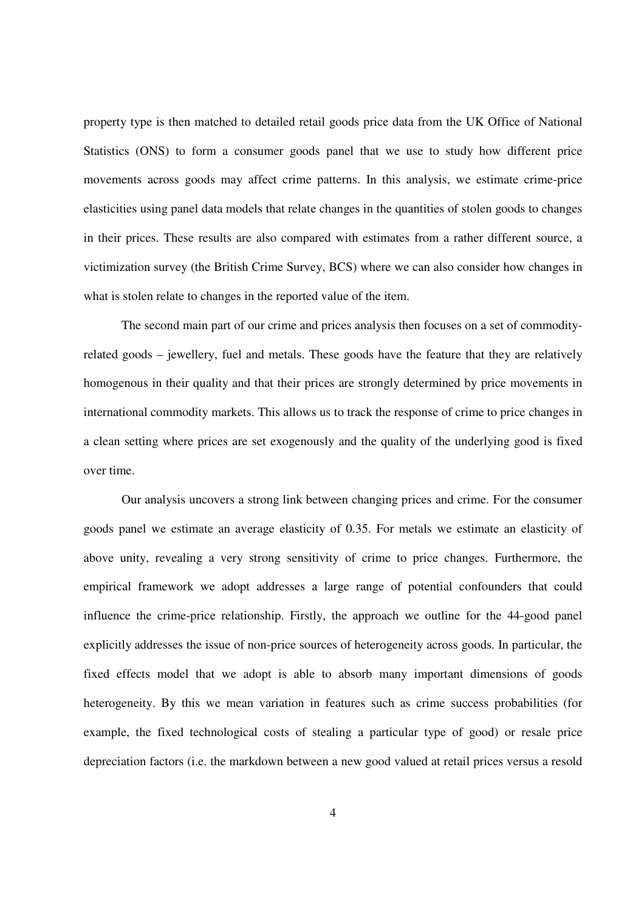property type is then matched to detailed retail goods price data from the UK Office of National Statistics (ONS) to form a consumer goods panel that we use to study how different price movements across goods may affect crime patterns. In this analysis, we estimate crime-price elasticities using panel data models that relate changes in the quantities of stolen goods to changes in their prices. These results are also compared with estimates from a rather different source, a victimization survey (the British Crime Survey, BCS) where we can also consider how changes in what is stolen relate to changes in the reported value of the item.

The second main part of our crime and prices analysis then focuses on a set of commodityrelated goods – jewellery, fuel and metals. These goods have the feature that they are relatively homogenous in their quality and that their prices are strongly determined by price movements in international commodity markets. This allows us to track the response of crime to price changes in a clean setting where prices are set exogenously and the quality of the underlying good is fixed over time.

 Our analysis uncovers a strong link between changing prices and crime. For the consumer goods panel we estimate an average elasticity of 0.35. For metals we estimate an elasticity of above unity, revealing a very strong sensitivity of crime to price changes. Furthermore, the empirical framework we adopt addresses a large range of potential confounders that could influence the crime-price relationship. Firstly, the approach we outline for the 44-good panel explicitly addresses the issue of non-price sources of heterogeneity across goods. In particular, the fixed effects model that we adopt is able to absorb many important dimensions of goods heterogeneity. By this we mean variation in features such as crime success probabilities (for example, the fixed technological costs of stealing a particular type of good) or resale price depreciation factors (i.e. the markdown between a new good valued at retail prices versus a resold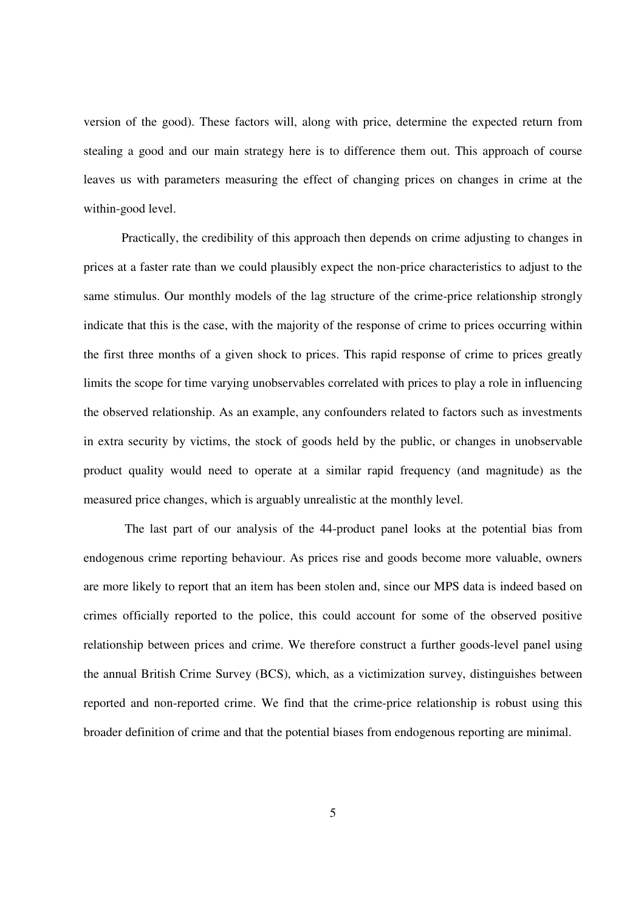version of the good). These factors will, along with price, determine the expected return from stealing a good and our main strategy here is to difference them out. This approach of course leaves us with parameters measuring the effect of changing prices on changes in crime at the within-good level.

Practically, the credibility of this approach then depends on crime adjusting to changes in prices at a faster rate than we could plausibly expect the non-price characteristics to adjust to the same stimulus. Our monthly models of the lag structure of the crime-price relationship strongly indicate that this is the case, with the majority of the response of crime to prices occurring within the first three months of a given shock to prices. This rapid response of crime to prices greatly limits the scope for time varying unobservables correlated with prices to play a role in influencing the observed relationship. As an example, any confounders related to factors such as investments in extra security by victims, the stock of goods held by the public, or changes in unobservable product quality would need to operate at a similar rapid frequency (and magnitude) as the measured price changes, which is arguably unrealistic at the monthly level.

 The last part of our analysis of the 44-product panel looks at the potential bias from endogenous crime reporting behaviour. As prices rise and goods become more valuable, owners are more likely to report that an item has been stolen and, since our MPS data is indeed based on crimes officially reported to the police, this could account for some of the observed positive relationship between prices and crime. We therefore construct a further goods-level panel using the annual British Crime Survey (BCS), which, as a victimization survey, distinguishes between reported and non-reported crime. We find that the crime-price relationship is robust using this broader definition of crime and that the potential biases from endogenous reporting are minimal.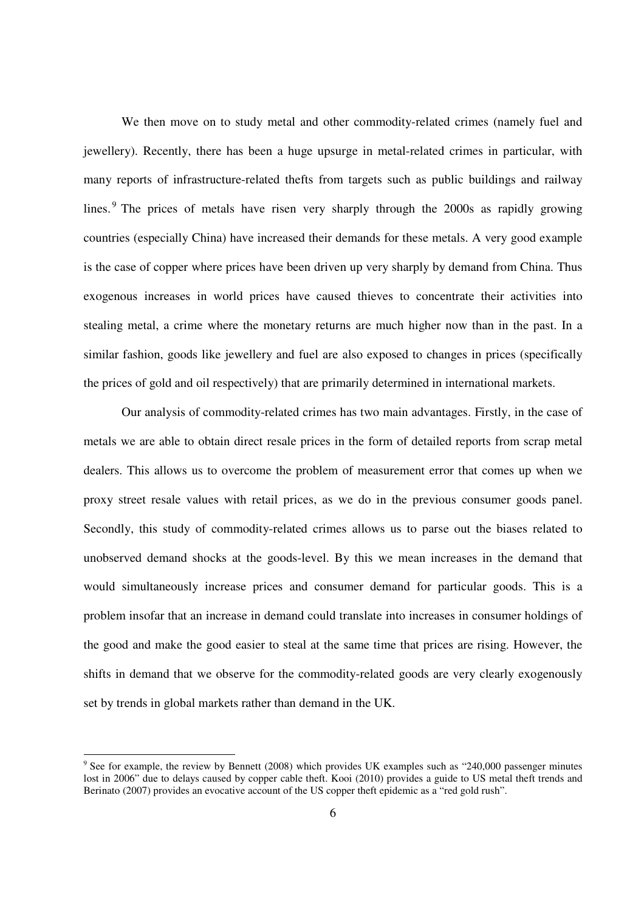We then move on to study metal and other commodity-related crimes (namely fuel and jewellery). Recently, there has been a huge upsurge in metal-related crimes in particular, with many reports of infrastructure-related thefts from targets such as public buildings and railway lines.<sup>9</sup> The prices of metals have risen very sharply through the 2000s as rapidly growing countries (especially China) have increased their demands for these metals. A very good example is the case of copper where prices have been driven up very sharply by demand from China. Thus exogenous increases in world prices have caused thieves to concentrate their activities into stealing metal, a crime where the monetary returns are much higher now than in the past. In a similar fashion, goods like jewellery and fuel are also exposed to changes in prices (specifically the prices of gold and oil respectively) that are primarily determined in international markets.

 Our analysis of commodity-related crimes has two main advantages. Firstly, in the case of metals we are able to obtain direct resale prices in the form of detailed reports from scrap metal dealers. This allows us to overcome the problem of measurement error that comes up when we proxy street resale values with retail prices, as we do in the previous consumer goods panel. Secondly, this study of commodity-related crimes allows us to parse out the biases related to unobserved demand shocks at the goods-level. By this we mean increases in the demand that would simultaneously increase prices and consumer demand for particular goods. This is a problem insofar that an increase in demand could translate into increases in consumer holdings of the good and make the good easier to steal at the same time that prices are rising. However, the shifts in demand that we observe for the commodity-related goods are very clearly exogenously set by trends in global markets rather than demand in the UK.

 $\overline{a}$ 

<sup>&</sup>lt;sup>9</sup> See for example, the review by Bennett (2008) which provides UK examples such as "240,000 passenger minutes lost in 2006" due to delays caused by copper cable theft. Kooi (2010) provides a guide to US metal theft trends and Berinato (2007) provides an evocative account of the US copper theft epidemic as a "red gold rush".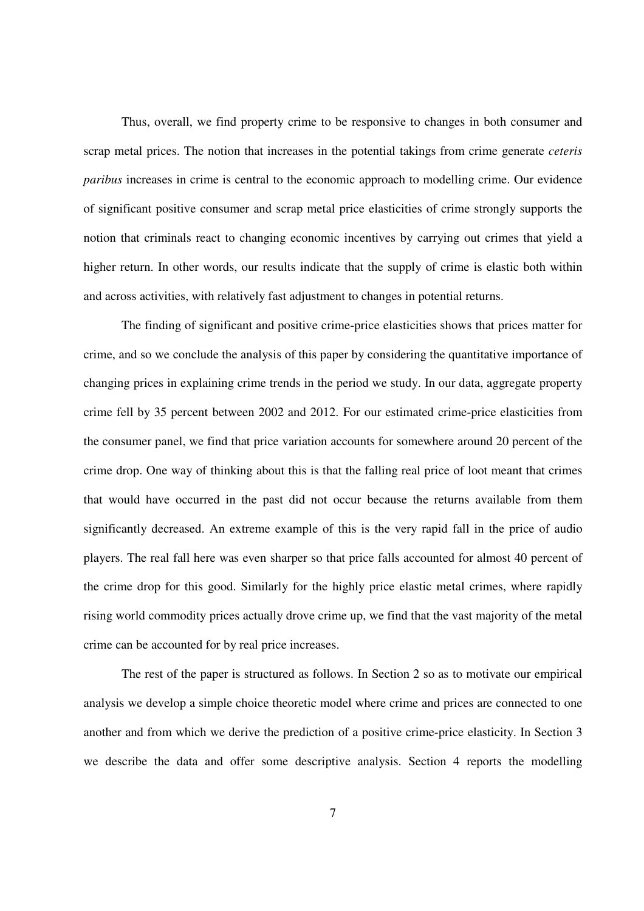Thus, overall, we find property crime to be responsive to changes in both consumer and scrap metal prices. The notion that increases in the potential takings from crime generate *ceteris paribus* increases in crime is central to the economic approach to modelling crime. Our evidence of significant positive consumer and scrap metal price elasticities of crime strongly supports the notion that criminals react to changing economic incentives by carrying out crimes that yield a higher return. In other words, our results indicate that the supply of crime is elastic both within and across activities, with relatively fast adjustment to changes in potential returns.

 The finding of significant and positive crime-price elasticities shows that prices matter for crime, and so we conclude the analysis of this paper by considering the quantitative importance of changing prices in explaining crime trends in the period we study. In our data, aggregate property crime fell by 35 percent between 2002 and 2012. For our estimated crime-price elasticities from the consumer panel, we find that price variation accounts for somewhere around 20 percent of the crime drop. One way of thinking about this is that the falling real price of loot meant that crimes that would have occurred in the past did not occur because the returns available from them significantly decreased. An extreme example of this is the very rapid fall in the price of audio players. The real fall here was even sharper so that price falls accounted for almost 40 percent of the crime drop for this good. Similarly for the highly price elastic metal crimes, where rapidly rising world commodity prices actually drove crime up, we find that the vast majority of the metal crime can be accounted for by real price increases.

 The rest of the paper is structured as follows. In Section 2 so as to motivate our empirical analysis we develop a simple choice theoretic model where crime and prices are connected to one another and from which we derive the prediction of a positive crime-price elasticity. In Section 3 we describe the data and offer some descriptive analysis. Section 4 reports the modelling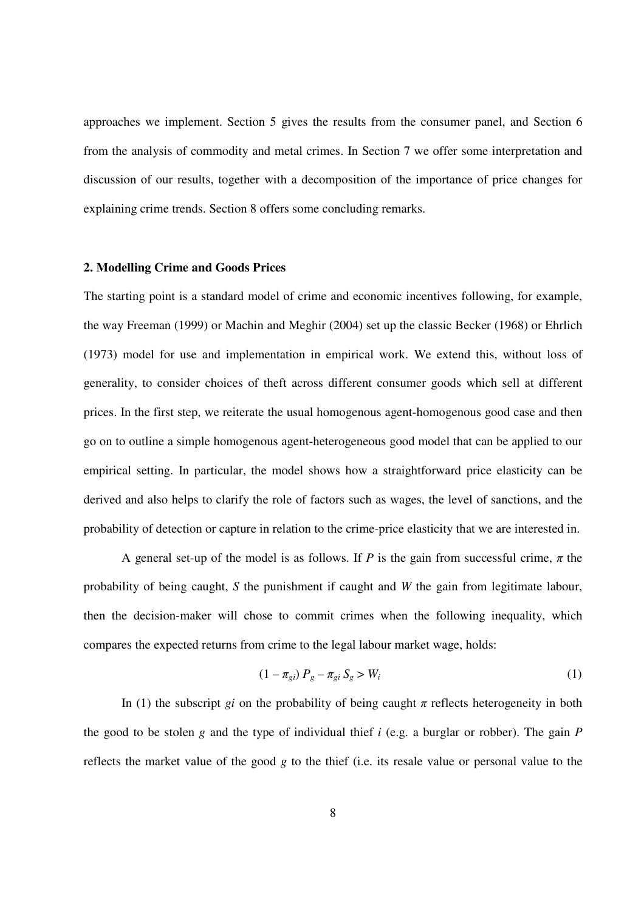approaches we implement. Section 5 gives the results from the consumer panel, and Section 6 from the analysis of commodity and metal crimes. In Section 7 we offer some interpretation and discussion of our results, together with a decomposition of the importance of price changes for explaining crime trends. Section 8 offers some concluding remarks.

#### **2. Modelling Crime and Goods Prices**

The starting point is a standard model of crime and economic incentives following, for example, the way Freeman (1999) or Machin and Meghir (2004) set up the classic Becker (1968) or Ehrlich (1973) model for use and implementation in empirical work. We extend this, without loss of generality, to consider choices of theft across different consumer goods which sell at different prices. In the first step, we reiterate the usual homogenous agent-homogenous good case and then go on to outline a simple homogenous agent-heterogeneous good model that can be applied to our empirical setting. In particular, the model shows how a straightforward price elasticity can be derived and also helps to clarify the role of factors such as wages, the level of sanctions, and the probability of detection or capture in relation to the crime-price elasticity that we are interested in.

A general set-up of the model is as follows. If *P* is the gain from successful crime, *π* the probability of being caught, *S* the punishment if caught and *W* the gain from legitimate labour, then the decision-maker will chose to commit crimes when the following inequality, which compares the expected returns from crime to the legal labour market wage, holds:

$$
(1 - \pi_{gi}) P_g - \pi_{gi} S_g > W_i \tag{1}
$$

In (1) the subscript *gi* on the probability of being caught  $\pi$  reflects heterogeneity in both the good to be stolen *g* and the type of individual thief *i* (e.g. a burglar or robber). The gain *P* reflects the market value of the good *g* to the thief (i.e. its resale value or personal value to the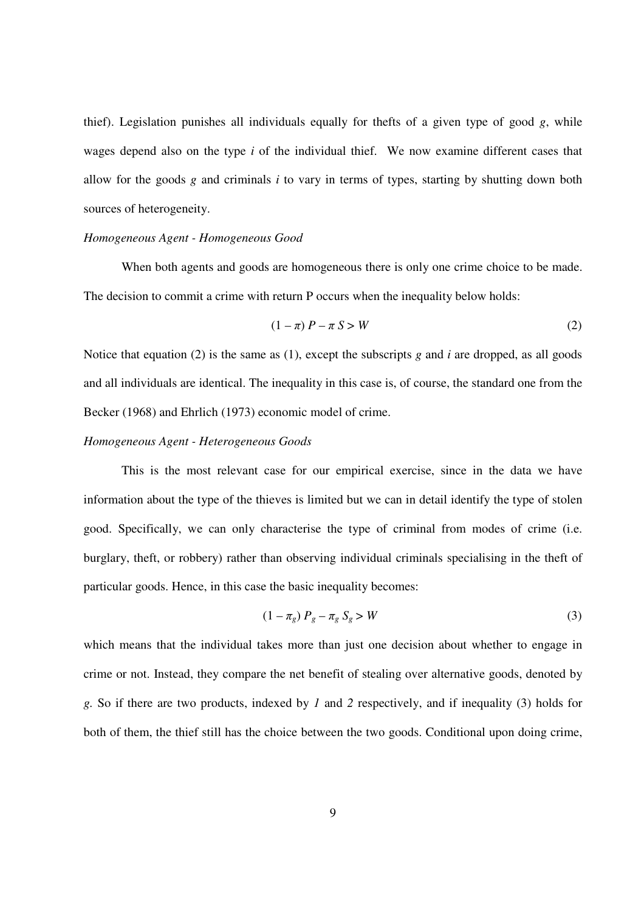thief). Legislation punishes all individuals equally for thefts of a given type of good  $g$ , while wages depend also on the type *i* of the individual thief. We now examine different cases that allow for the goods *g* and criminals *i* to vary in terms of types, starting by shutting down both sources of heterogeneity.

### *Homogeneous Agent - Homogeneous Good*

When both agents and goods are homogeneous there is only one crime choice to be made. The decision to commit a crime with return P occurs when the inequality below holds:

$$
(1 - \pi) P - \pi S > W \tag{2}
$$

Notice that equation (2) is the same as (1), except the subscripts  $g$  and  $i$  are dropped, as all goods and all individuals are identical. The inequality in this case is, of course, the standard one from the Becker (1968) and Ehrlich (1973) economic model of crime.

#### *Homogeneous Agent - Heterogeneous Goods*

This is the most relevant case for our empirical exercise, since in the data we have information about the type of the thieves is limited but we can in detail identify the type of stolen good. Specifically, we can only characterise the type of criminal from modes of crime (i.e. burglary, theft, or robbery) rather than observing individual criminals specialising in the theft of particular goods. Hence, in this case the basic inequality becomes:

$$
(1 - \pi_g) P_g - \pi_g S_g > W \tag{3}
$$

which means that the individual takes more than just one decision about whether to engage in crime or not. Instead, they compare the net benefit of stealing over alternative goods, denoted by *g.* So if there are two products, indexed by *1* and *2* respectively, and if inequality (3) holds for both of them, the thief still has the choice between the two goods. Conditional upon doing crime,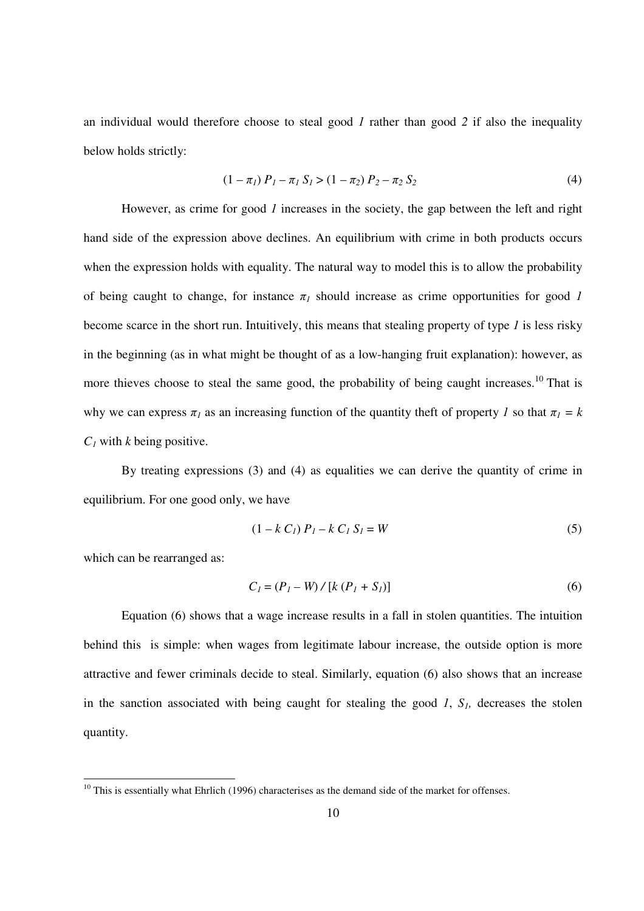an individual would therefore choose to steal good *1* rather than good *2* if also the inequality below holds strictly:

$$
(1 - \pi_1) P_1 - \pi_1 S_1 > (1 - \pi_2) P_2 - \pi_2 S_2 \tag{4}
$$

However, as crime for good *1* increases in the society, the gap between the left and right hand side of the expression above declines. An equilibrium with crime in both products occurs when the expression holds with equality. The natural way to model this is to allow the probability of being caught to change, for instance  $\pi_l$  should increase as crime opportunities for good *1* become scarce in the short run. Intuitively, this means that stealing property of type *1* is less risky in the beginning (as in what might be thought of as a low-hanging fruit explanation): however, as more thieves choose to steal the same good, the probability of being caught increases.<sup>10</sup> That is why we can express  $\pi_l$  as an increasing function of the quantity theft of property *1* so that  $\pi_l = k$  $C_I$  with *k* being positive.

By treating expressions (3) and (4) as equalities we can derive the quantity of crime in equilibrium. For one good only, we have

$$
(1 - k C_I) P_I - k C_I S_I = W \tag{5}
$$

which can be rearranged as:

 $\overline{a}$ 

$$
C_1 = (P_1 - W) / [k (P_1 + S_1)]
$$
 (6)

Equation (6) shows that a wage increase results in a fall in stolen quantities. The intuition behind this is simple: when wages from legitimate labour increase, the outside option is more attractive and fewer criminals decide to steal. Similarly, equation (6) also shows that an increase in the sanction associated with being caught for stealing the good *1*, *S1,* decreases the stolen quantity.

 $10$  This is essentially what Ehrlich (1996) characterises as the demand side of the market for offenses.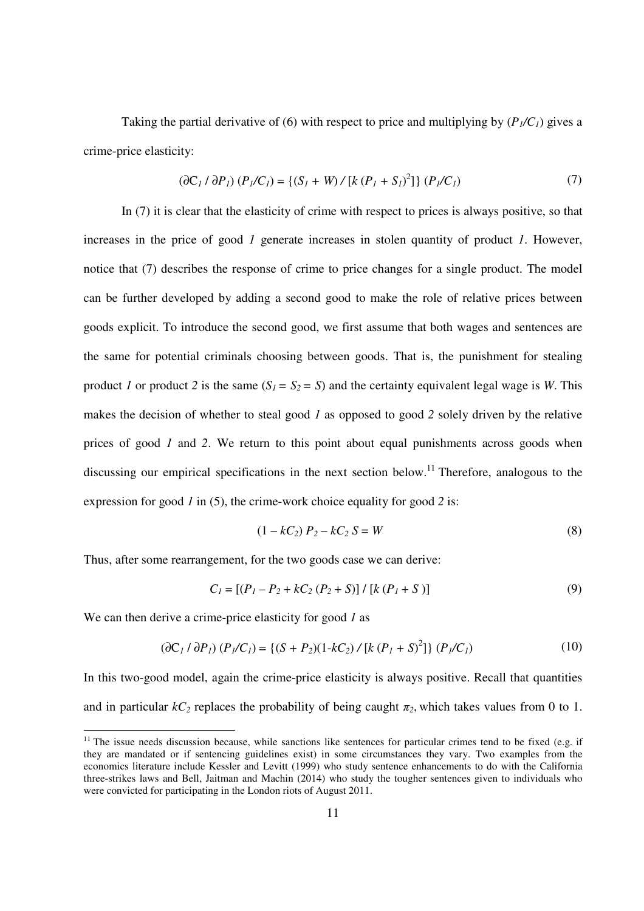Taking the partial derivative of (6) with respect to price and multiplying by  $(P_1/C_1)$  gives a crime-price elasticity:

$$
(\partial C_1 / \partial P_1) (P_1 / C_1) = \{ (S_1 + W) / [k (P_1 + S_1)^2] \} (P_1 / C_1)
$$
 (7)

In (7) it is clear that the elasticity of crime with respect to prices is always positive, so that increases in the price of good *1* generate increases in stolen quantity of product *1*. However, notice that (7) describes the response of crime to price changes for a single product. The model can be further developed by adding a second good to make the role of relative prices between goods explicit. To introduce the second good, we first assume that both wages and sentences are the same for potential criminals choosing between goods. That is, the punishment for stealing product *1* or product 2 is the same  $(S_1 = S_2 = S)$  and the certainty equivalent legal wage is *W*. This makes the decision of whether to steal good *1* as opposed to good *2* solely driven by the relative prices of good *1* and *2*. We return to this point about equal punishments across goods when discussing our empirical specifications in the next section below.<sup>11</sup> Therefore, analogous to the expression for good *1* in (5), the crime-work choice equality for good *2* is:

$$
(1 - kC_2) P_2 - kC_2 S = W
$$
 (8)

Thus, after some rearrangement, for the two goods case we can derive:

$$
C_1 = [(P_1 - P_2 + kC_2 (P_2 + S)] / [k (P_1 + S)] \tag{9}
$$

We can then derive a crime-price elasticity for good *1* as

 $\overline{a}$ 

$$
(\partial C_1 / \partial P_1) (P_1 / C_1) = \{ (S + P_2) (1 - kC_2) / [k (P_1 + S)^2] \} (P_1 / C_1)
$$
 (10)

In this two-good model, again the crime-price elasticity is always positive. Recall that quantities and in particular  $kC_2$  replaces the probability of being caught  $\pi_2$ , which takes values from 0 to 1.

 $11$  The issue needs discussion because, while sanctions like sentences for particular crimes tend to be fixed (e.g. if they are mandated or if sentencing guidelines exist) in some circumstances they vary. Two examples from the economics literature include Kessler and Levitt (1999) who study sentence enhancements to do with the California three-strikes laws and Bell, Jaitman and Machin (2014) who study the tougher sentences given to individuals who were convicted for participating in the London riots of August 2011.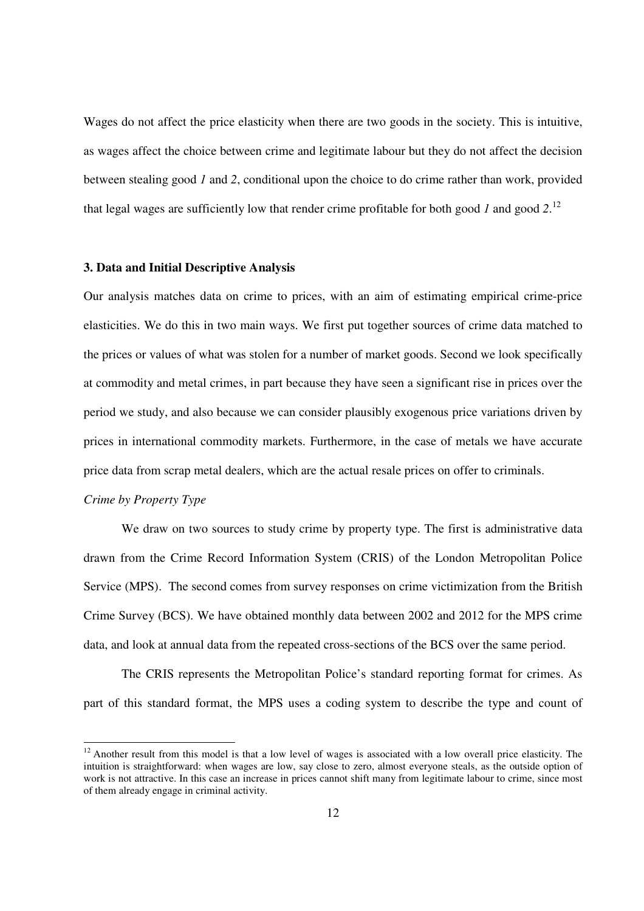Wages do not affect the price elasticity when there are two goods in the society. This is intuitive, as wages affect the choice between crime and legitimate labour but they do not affect the decision between stealing good *1* and *2*, conditional upon the choice to do crime rather than work, provided that legal wages are sufficiently low that render crime profitable for both good *1* and good *2*. 12

#### **3. Data and Initial Descriptive Analysis**

Our analysis matches data on crime to prices, with an aim of estimating empirical crime-price elasticities. We do this in two main ways. We first put together sources of crime data matched to the prices or values of what was stolen for a number of market goods. Second we look specifically at commodity and metal crimes, in part because they have seen a significant rise in prices over the period we study, and also because we can consider plausibly exogenous price variations driven by prices in international commodity markets. Furthermore, in the case of metals we have accurate price data from scrap metal dealers, which are the actual resale prices on offer to criminals.

# *Crime by Property Type*

<sup>-</sup>

We draw on two sources to study crime by property type. The first is administrative data drawn from the Crime Record Information System (CRIS) of the London Metropolitan Police Service (MPS). The second comes from survey responses on crime victimization from the British Crime Survey (BCS). We have obtained monthly data between 2002 and 2012 for the MPS crime data, and look at annual data from the repeated cross-sections of the BCS over the same period.

The CRIS represents the Metropolitan Police's standard reporting format for crimes. As part of this standard format, the MPS uses a coding system to describe the type and count of

 $12$  Another result from this model is that a low level of wages is associated with a low overall price elasticity. The intuition is straightforward: when wages are low, say close to zero, almost everyone steals, as the outside option of work is not attractive. In this case an increase in prices cannot shift many from legitimate labour to crime, since most of them already engage in criminal activity.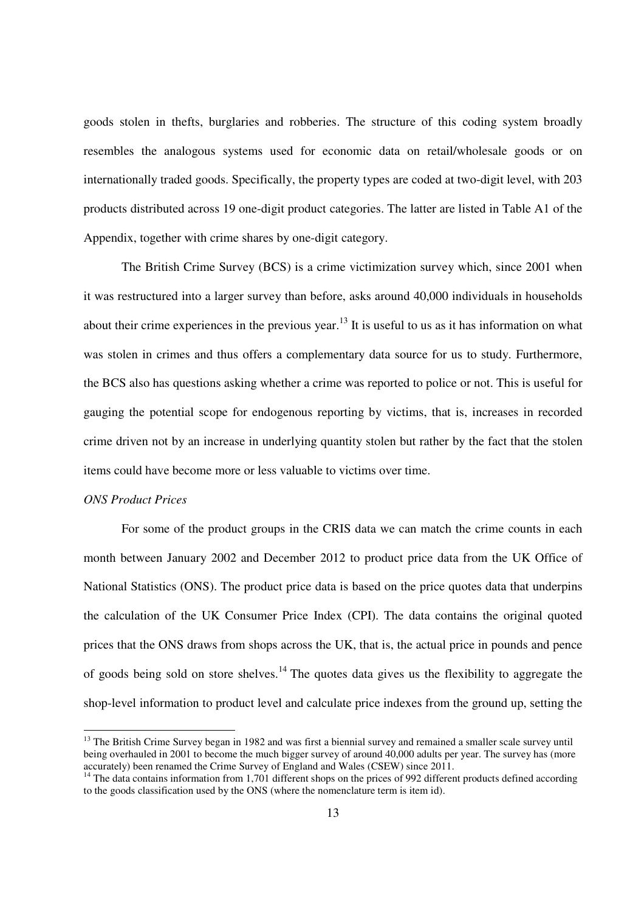goods stolen in thefts, burglaries and robberies. The structure of this coding system broadly resembles the analogous systems used for economic data on retail/wholesale goods or on internationally traded goods. Specifically, the property types are coded at two-digit level, with 203 products distributed across 19 one-digit product categories. The latter are listed in Table A1 of the Appendix, together with crime shares by one-digit category.

The British Crime Survey (BCS) is a crime victimization survey which, since 2001 when it was restructured into a larger survey than before, asks around 40,000 individuals in households about their crime experiences in the previous year.<sup>13</sup> It is useful to us as it has information on what was stolen in crimes and thus offers a complementary data source for us to study. Furthermore, the BCS also has questions asking whether a crime was reported to police or not. This is useful for gauging the potential scope for endogenous reporting by victims, that is, increases in recorded crime driven not by an increase in underlying quantity stolen but rather by the fact that the stolen items could have become more or less valuable to victims over time.

# *ONS Product Prices*

 $\overline{a}$ 

For some of the product groups in the CRIS data we can match the crime counts in each month between January 2002 and December 2012 to product price data from the UK Office of National Statistics (ONS). The product price data is based on the price quotes data that underpins the calculation of the UK Consumer Price Index (CPI). The data contains the original quoted prices that the ONS draws from shops across the UK, that is, the actual price in pounds and pence of goods being sold on store shelves.<sup>14</sup> The quotes data gives us the flexibility to aggregate the shop-level information to product level and calculate price indexes from the ground up, setting the

<sup>&</sup>lt;sup>13</sup> The British Crime Survey began in 1982 and was first a biennial survey and remained a smaller scale survey until being overhauled in 2001 to become the much bigger survey of around 40,000 adults per year. The survey has (more accurately) been renamed the Crime Survey of England and Wales (CSEW) since 2011.

 $14$  The data contains information from 1,701 different shops on the prices of 992 different products defined according to the goods classification used by the ONS (where the nomenclature term is item id).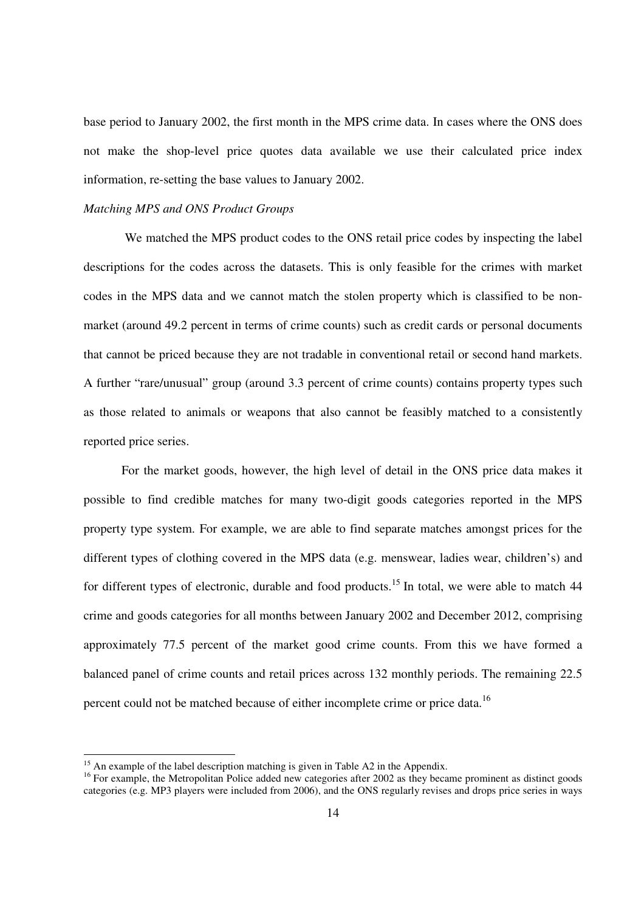base period to January 2002, the first month in the MPS crime data. In cases where the ONS does not make the shop-level price quotes data available we use their calculated price index information, re-setting the base values to January 2002.

#### *Matching MPS and ONS Product Groups*

 We matched the MPS product codes to the ONS retail price codes by inspecting the label descriptions for the codes across the datasets. This is only feasible for the crimes with market codes in the MPS data and we cannot match the stolen property which is classified to be nonmarket (around 49.2 percent in terms of crime counts) such as credit cards or personal documents that cannot be priced because they are not tradable in conventional retail or second hand markets. A further "rare/unusual" group (around 3.3 percent of crime counts) contains property types such as those related to animals or weapons that also cannot be feasibly matched to a consistently reported price series.

For the market goods, however, the high level of detail in the ONS price data makes it possible to find credible matches for many two-digit goods categories reported in the MPS property type system. For example, we are able to find separate matches amongst prices for the different types of clothing covered in the MPS data (e.g. menswear, ladies wear, children's) and for different types of electronic, durable and food products.<sup>15</sup> In total, we were able to match  $44$ crime and goods categories for all months between January 2002 and December 2012, comprising approximately 77.5 percent of the market good crime counts. From this we have formed a balanced panel of crime counts and retail prices across 132 monthly periods. The remaining 22.5 percent could not be matched because of either incomplete crime or price data.<sup>16</sup>

 $\overline{a}$ 

<sup>&</sup>lt;sup>15</sup> An example of the label description matching is given in Table A2 in the Appendix.

<sup>&</sup>lt;sup>16</sup> For example, the Metropolitan Police added new categories after 2002 as they became prominent as distinct goods categories (e.g. MP3 players were included from 2006), and the ONS regularly revises and drops price series in ways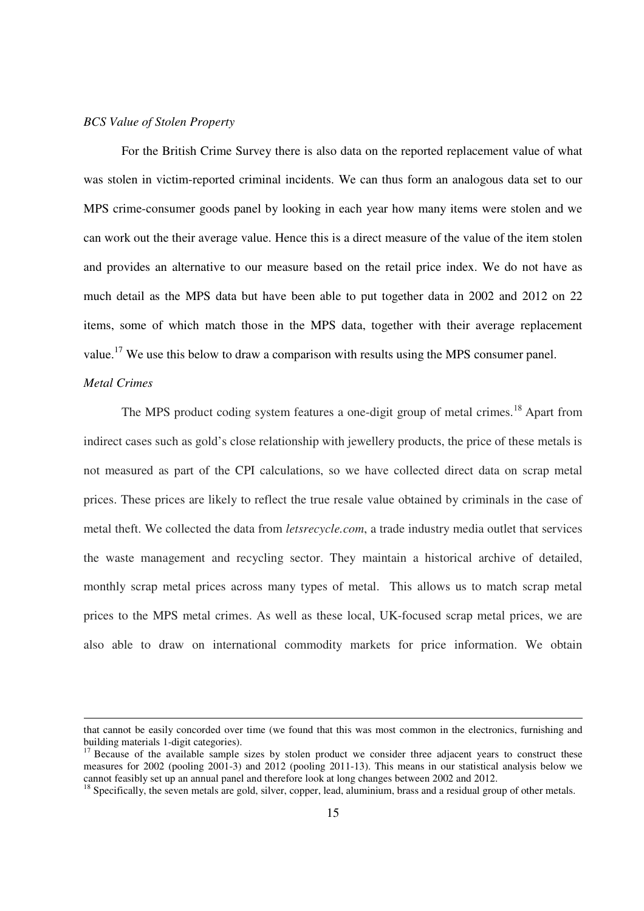#### *BCS Value of Stolen Property*

For the British Crime Survey there is also data on the reported replacement value of what was stolen in victim-reported criminal incidents. We can thus form an analogous data set to our MPS crime-consumer goods panel by looking in each year how many items were stolen and we can work out the their average value. Hence this is a direct measure of the value of the item stolen and provides an alternative to our measure based on the retail price index. We do not have as much detail as the MPS data but have been able to put together data in 2002 and 2012 on 22 items, some of which match those in the MPS data, together with their average replacement value.<sup>17</sup> We use this below to draw a comparison with results using the MPS consumer panel.

# *Metal Crimes*

 $\overline{a}$ 

The MPS product coding system features a one-digit group of metal crimes.<sup>18</sup> Apart from indirect cases such as gold's close relationship with jewellery products, the price of these metals is not measured as part of the CPI calculations, so we have collected direct data on scrap metal prices. These prices are likely to reflect the true resale value obtained by criminals in the case of metal theft. We collected the data from *letsrecycle.com*, a trade industry media outlet that services the waste management and recycling sector. They maintain a historical archive of detailed, monthly scrap metal prices across many types of metal. This allows us to match scrap metal prices to the MPS metal crimes. As well as these local, UK-focused scrap metal prices, we are also able to draw on international commodity markets for price information. We obtain

that cannot be easily concorded over time (we found that this was most common in the electronics, furnishing and building materials 1-digit categories).

<sup>&</sup>lt;sup>17</sup> Because of the available sample sizes by stolen product we consider three adjacent years to construct these measures for 2002 (pooling 2001-3) and 2012 (pooling 2011-13). This means in our statistical analysis below we cannot feasibly set up an annual panel and therefore look at long changes between 2002 and 2012.

<sup>&</sup>lt;sup>18</sup> Specifically, the seven metals are gold, silver, copper, lead, aluminium, brass and a residual group of other metals.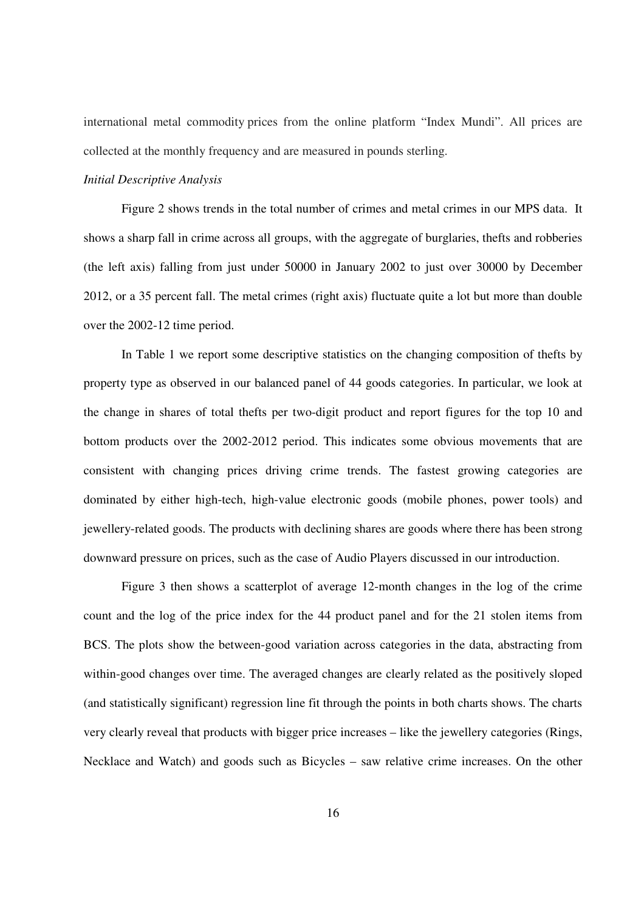international metal commodity prices from the online platform "Index Mundi". All prices are collected at the monthly frequency and are measured in pounds sterling.

#### *Initial Descriptive Analysis*

 Figure 2 shows trends in the total number of crimes and metal crimes in our MPS data. It shows a sharp fall in crime across all groups, with the aggregate of burglaries, thefts and robberies (the left axis) falling from just under 50000 in January 2002 to just over 30000 by December 2012, or a 35 percent fall. The metal crimes (right axis) fluctuate quite a lot but more than double over the 2002-12 time period.

In Table 1 we report some descriptive statistics on the changing composition of thefts by property type as observed in our balanced panel of 44 goods categories. In particular, we look at the change in shares of total thefts per two-digit product and report figures for the top 10 and bottom products over the 2002-2012 period. This indicates some obvious movements that are consistent with changing prices driving crime trends. The fastest growing categories are dominated by either high-tech, high-value electronic goods (mobile phones, power tools) and jewellery-related goods. The products with declining shares are goods where there has been strong downward pressure on prices, such as the case of Audio Players discussed in our introduction.

 Figure 3 then shows a scatterplot of average 12-month changes in the log of the crime count and the log of the price index for the 44 product panel and for the 21 stolen items from BCS. The plots show the between-good variation across categories in the data, abstracting from within-good changes over time. The averaged changes are clearly related as the positively sloped (and statistically significant) regression line fit through the points in both charts shows. The charts very clearly reveal that products with bigger price increases – like the jewellery categories (Rings, Necklace and Watch) and goods such as Bicycles – saw relative crime increases. On the other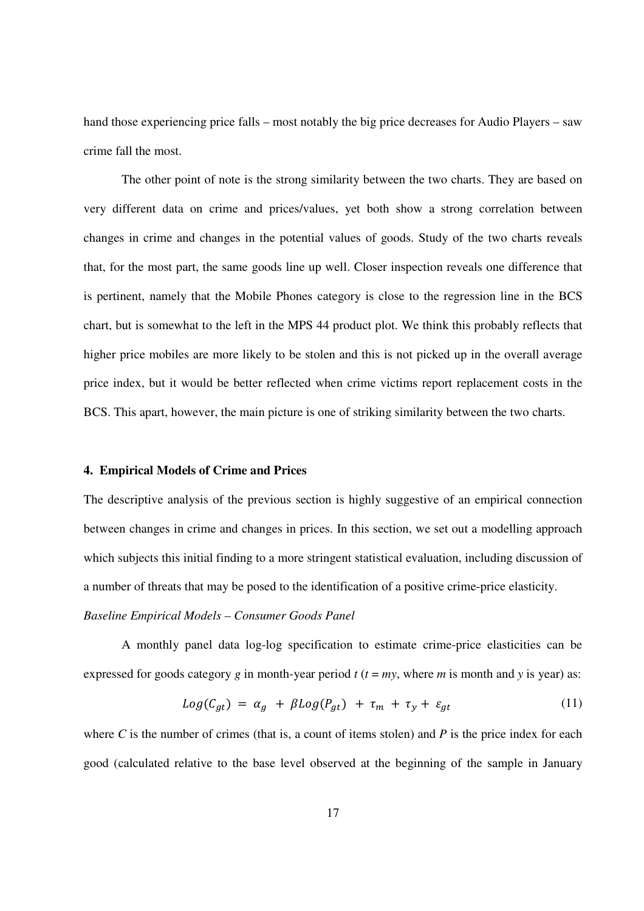hand those experiencing price falls – most notably the big price decreases for Audio Players – saw crime fall the most.

 The other point of note is the strong similarity between the two charts. They are based on very different data on crime and prices/values, yet both show a strong correlation between changes in crime and changes in the potential values of goods. Study of the two charts reveals that, for the most part, the same goods line up well. Closer inspection reveals one difference that is pertinent, namely that the Mobile Phones category is close to the regression line in the BCS chart, but is somewhat to the left in the MPS 44 product plot. We think this probably reflects that higher price mobiles are more likely to be stolen and this is not picked up in the overall average price index, but it would be better reflected when crime victims report replacement costs in the BCS. This apart, however, the main picture is one of striking similarity between the two charts.

#### **4. Empirical Models of Crime and Prices**

The descriptive analysis of the previous section is highly suggestive of an empirical connection between changes in crime and changes in prices. In this section, we set out a modelling approach which subjects this initial finding to a more stringent statistical evaluation, including discussion of a number of threats that may be posed to the identification of a positive crime-price elasticity.

#### *Baseline Empirical Models – Consumer Goods Panel*

A monthly panel data log-log specification to estimate crime-price elasticities can be expressed for goods category *g* in month-year period  $t$  ( $t = my$ , where *m* is month and *y* is year) as:

$$
Log(C_{gt}) = \alpha_g + \beta Log(P_{gt}) + \tau_m + \tau_y + \varepsilon_{gt} \tag{11}
$$

where  $C$  is the number of crimes (that is, a count of items stolen) and  $P$  is the price index for each good (calculated relative to the base level observed at the beginning of the sample in January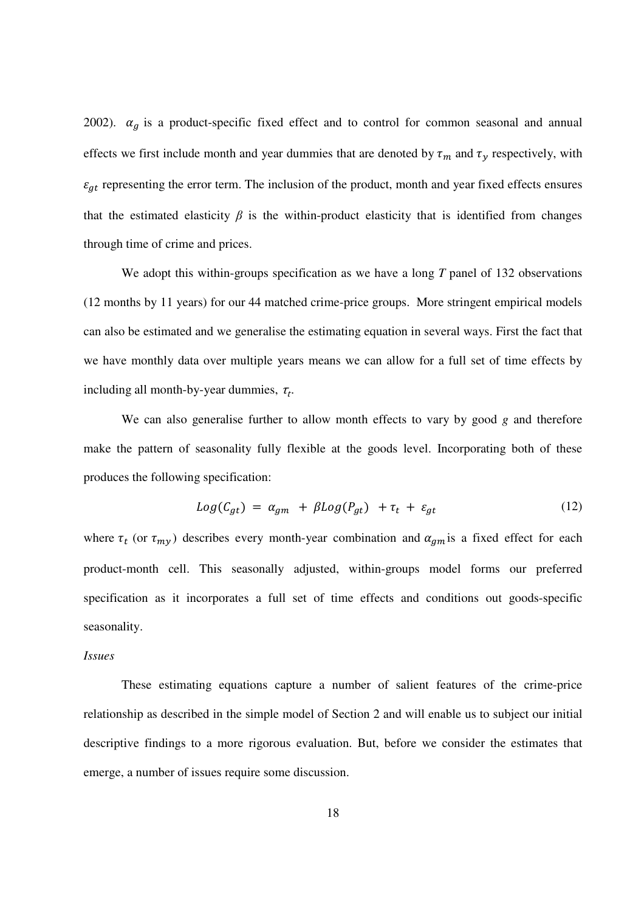2002).  $\alpha_g$  is a product-specific fixed effect and to control for common seasonal and annual effects we first include month and year dummies that are denoted by  $\tau_m$  and  $\tau_y$  respectively, with  $\varepsilon_{qt}$  representing the error term. The inclusion of the product, month and year fixed effects ensures that the estimated elasticity  $\beta$  is the within-product elasticity that is identified from changes through time of crime and prices.

We adopt this within-groups specification as we have a long *T* panel of 132 observations (12 months by 11 years) for our 44 matched crime-price groups. More stringent empirical models can also be estimated and we generalise the estimating equation in several ways. First the fact that we have monthly data over multiple years means we can allow for a full set of time effects by including all month-by-year dummies,  $\tau_t$ .

We can also generalise further to allow month effects to vary by good *g* and therefore make the pattern of seasonality fully flexible at the goods level. Incorporating both of these produces the following specification:

$$
Log(C_{gt}) = \alpha_{gm} + \beta Log(P_{gt}) + \tau_t + \varepsilon_{gt} \tag{12}
$$

where  $\tau_t$  (or  $\tau_{my}$ ) describes every month-year combination and  $\alpha_{gm}$  is a fixed effect for each product-month cell. This seasonally adjusted, within-groups model forms our preferred specification as it incorporates a full set of time effects and conditions out goods-specific seasonality.

# *Issues*

 These estimating equations capture a number of salient features of the crime-price relationship as described in the simple model of Section 2 and will enable us to subject our initial descriptive findings to a more rigorous evaluation. But, before we consider the estimates that emerge, a number of issues require some discussion.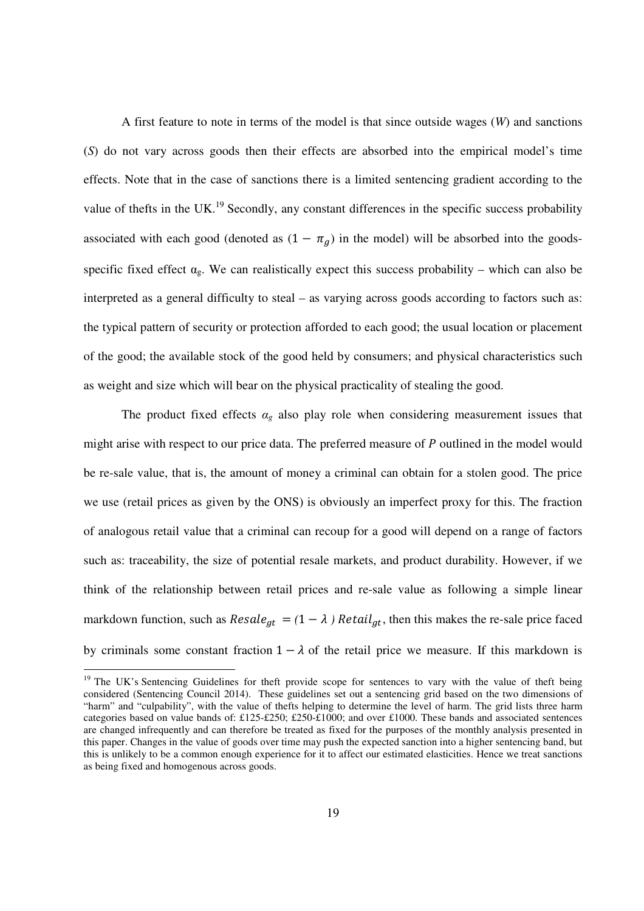A first feature to note in terms of the model is that since outside wages (*W*) and sanctions (*S*) do not vary across goods then their effects are absorbed into the empirical model's time effects. Note that in the case of sanctions there is a limited sentencing gradient according to the value of thefts in the UK.<sup>19</sup> Secondly, any constant differences in the specific success probability associated with each good (denoted as  $(1 - \pi_q)$  in the model) will be absorbed into the goodsspecific fixed effect  $\alpha_g$ . We can realistically expect this success probability – which can also be interpreted as a general difficulty to steal – as varying across goods according to factors such as: the typical pattern of security or protection afforded to each good; the usual location or placement of the good; the available stock of the good held by consumers; and physical characteristics such as weight and size which will bear on the physical practicality of stealing the good.

The product fixed effects  $\alpha_g$  also play role when considering measurement issues that might arise with respect to our price data. The preferred measure of  $P$  outlined in the model would be re-sale value, that is, the amount of money a criminal can obtain for a stolen good. The price we use (retail prices as given by the ONS) is obviously an imperfect proxy for this. The fraction of analogous retail value that a criminal can recoup for a good will depend on a range of factors such as: traceability, the size of potential resale markets, and product durability. However, if we think of the relationship between retail prices and re-sale value as following a simple linear markdown function, such as  $Resale_{at} = (1 - \lambda)$  Retail<sub>at</sub>, then this makes the re-sale price faced by criminals some constant fraction  $1 - \lambda$  of the retail price we measure. If this markdown is

 $\overline{a}$ 

<sup>&</sup>lt;sup>19</sup> The UK's Sentencing Guidelines for theft provide scope for sentences to vary with the value of theft being considered (Sentencing Council 2014). These guidelines set out a sentencing grid based on the two dimensions of "harm" and "culpability", with the value of thefts helping to determine the level of harm. The grid lists three harm categories based on value bands of: £125-£250; £250-£1000; and over £1000. These bands and associated sentences are changed infrequently and can therefore be treated as fixed for the purposes of the monthly analysis presented in this paper. Changes in the value of goods over time may push the expected sanction into a higher sentencing band, but this is unlikely to be a common enough experience for it to affect our estimated elasticities. Hence we treat sanctions as being fixed and homogenous across goods.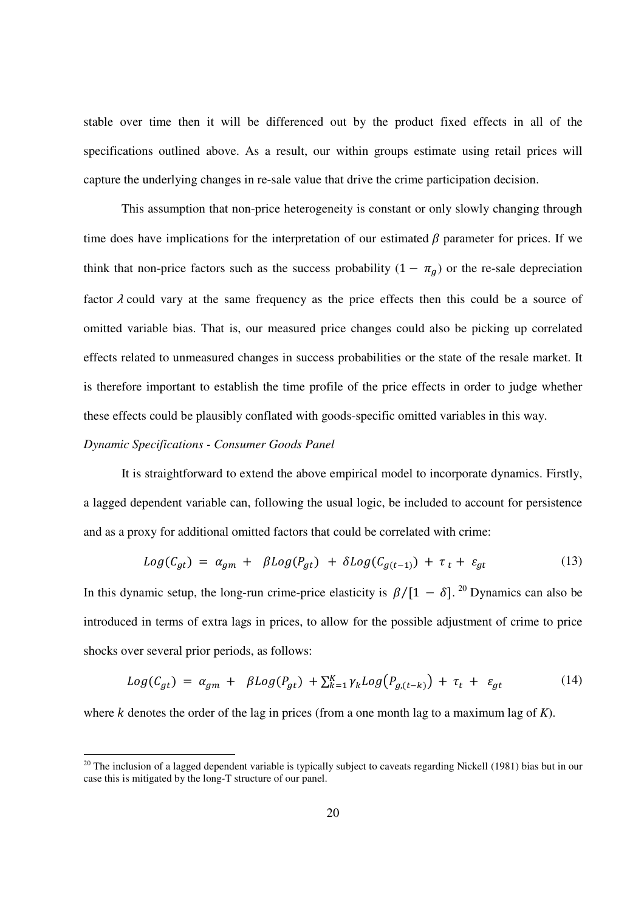stable over time then it will be differenced out by the product fixed effects in all of the specifications outlined above. As a result, our within groups estimate using retail prices will capture the underlying changes in re-sale value that drive the crime participation decision.

This assumption that non-price heterogeneity is constant or only slowly changing through time does have implications for the interpretation of our estimated  $\beta$  parameter for prices. If we think that non-price factors such as the success probability  $(1 - \pi_g)$  or the re-sale depreciation factor  $\lambda$  could vary at the same frequency as the price effects then this could be a source of omitted variable bias. That is, our measured price changes could also be picking up correlated effects related to unmeasured changes in success probabilities or the state of the resale market. It is therefore important to establish the time profile of the price effects in order to judge whether these effects could be plausibly conflated with goods-specific omitted variables in this way.

# *Dynamic Specifications - Consumer Goods Panel*

 $\overline{a}$ 

 It is straightforward to extend the above empirical model to incorporate dynamics. Firstly, a lagged dependent variable can, following the usual logic, be included to account for persistence and as a proxy for additional omitted factors that could be correlated with crime:

$$
Log(C_{gt}) = \alpha_{gm} + \beta Log(P_{gt}) + \delta Log(C_{g(t-1)}) + \tau_t + \varepsilon_{gt} \tag{13}
$$

In this dynamic setup, the long-run crime-price elasticity is  $\beta/[1 - \delta]$ . <sup>20</sup> Dynamics can also be introduced in terms of extra lags in prices, to allow for the possible adjustment of crime to price shocks over several prior periods, as follows:

$$
Log(C_{gt}) = \alpha_{gm} + \beta Log(P_{gt}) + \sum_{k=1}^{K} \gamma_k Log(P_{g,(t-k)}) + \tau_t + \varepsilon_{gt}
$$
\n(14)

where  $k$  denotes the order of the lag in prices (from a one month lag to a maximum lag of  $K$ ).

 $20$  The inclusion of a lagged dependent variable is typically subject to caveats regarding Nickell (1981) bias but in our case this is mitigated by the long-T structure of our panel.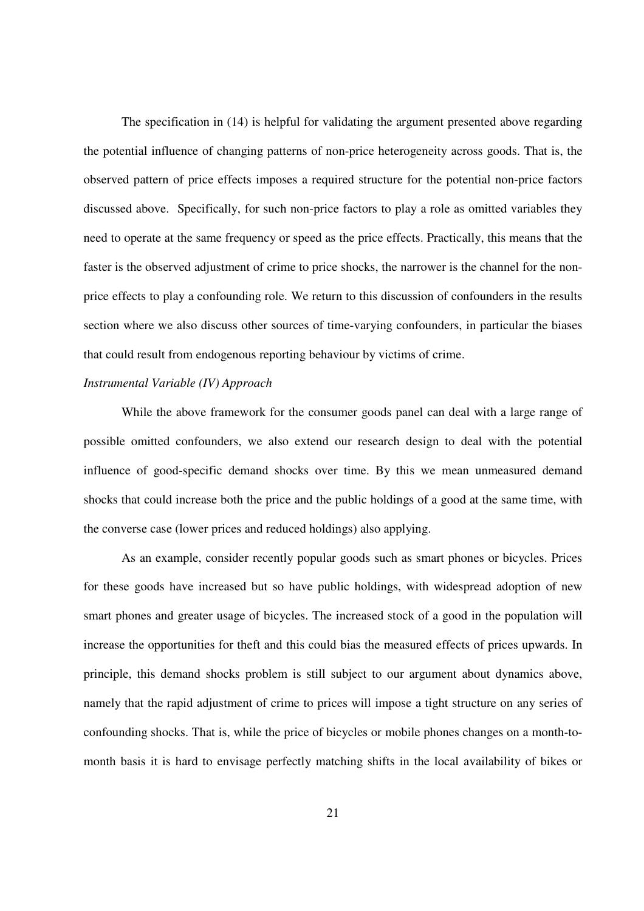The specification in (14) is helpful for validating the argument presented above regarding the potential influence of changing patterns of non-price heterogeneity across goods. That is, the observed pattern of price effects imposes a required structure for the potential non-price factors discussed above. Specifically, for such non-price factors to play a role as omitted variables they need to operate at the same frequency or speed as the price effects. Practically, this means that the faster is the observed adjustment of crime to price shocks, the narrower is the channel for the nonprice effects to play a confounding role. We return to this discussion of confounders in the results section where we also discuss other sources of time-varying confounders, in particular the biases that could result from endogenous reporting behaviour by victims of crime.

# *Instrumental Variable (IV) Approach*

 While the above framework for the consumer goods panel can deal with a large range of possible omitted confounders, we also extend our research design to deal with the potential influence of good-specific demand shocks over time. By this we mean unmeasured demand shocks that could increase both the price and the public holdings of a good at the same time, with the converse case (lower prices and reduced holdings) also applying.

As an example, consider recently popular goods such as smart phones or bicycles. Prices for these goods have increased but so have public holdings, with widespread adoption of new smart phones and greater usage of bicycles. The increased stock of a good in the population will increase the opportunities for theft and this could bias the measured effects of prices upwards. In principle, this demand shocks problem is still subject to our argument about dynamics above, namely that the rapid adjustment of crime to prices will impose a tight structure on any series of confounding shocks. That is, while the price of bicycles or mobile phones changes on a month-tomonth basis it is hard to envisage perfectly matching shifts in the local availability of bikes or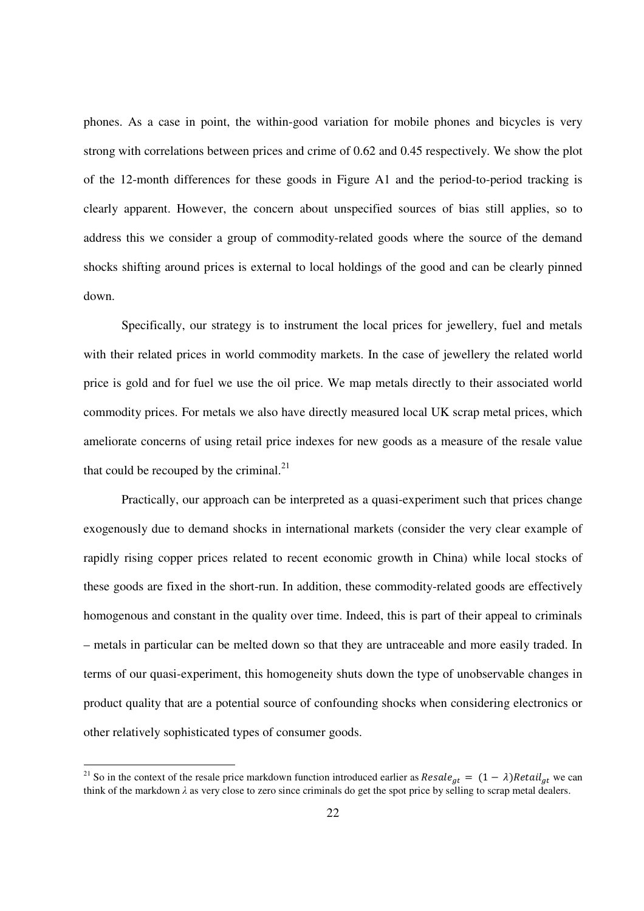phones. As a case in point, the within-good variation for mobile phones and bicycles is very strong with correlations between prices and crime of 0.62 and 0.45 respectively. We show the plot of the 12-month differences for these goods in Figure A1 and the period-to-period tracking is clearly apparent. However, the concern about unspecified sources of bias still applies, so to address this we consider a group of commodity-related goods where the source of the demand shocks shifting around prices is external to local holdings of the good and can be clearly pinned down.

 Specifically, our strategy is to instrument the local prices for jewellery, fuel and metals with their related prices in world commodity markets. In the case of jewellery the related world price is gold and for fuel we use the oil price. We map metals directly to their associated world commodity prices. For metals we also have directly measured local UK scrap metal prices, which ameliorate concerns of using retail price indexes for new goods as a measure of the resale value that could be recouped by the criminal. $^{21}$ 

 Practically, our approach can be interpreted as a quasi-experiment such that prices change exogenously due to demand shocks in international markets (consider the very clear example of rapidly rising copper prices related to recent economic growth in China) while local stocks of these goods are fixed in the short-run. In addition, these commodity-related goods are effectively homogenous and constant in the quality over time. Indeed, this is part of their appeal to criminals – metals in particular can be melted down so that they are untraceable and more easily traded. In terms of our quasi-experiment, this homogeneity shuts down the type of unobservable changes in product quality that are a potential source of confounding shocks when considering electronics or other relatively sophisticated types of consumer goods.

 $\overline{a}$ 

<sup>&</sup>lt;sup>21</sup> So in the context of the resale price markdown function introduced earlier as  $Resale_{gt} = (1 - \lambda)Retail_{gt}$  we can think of the markdown *λ* as very close to zero since criminals do get the spot price by selling to scrap metal dealers.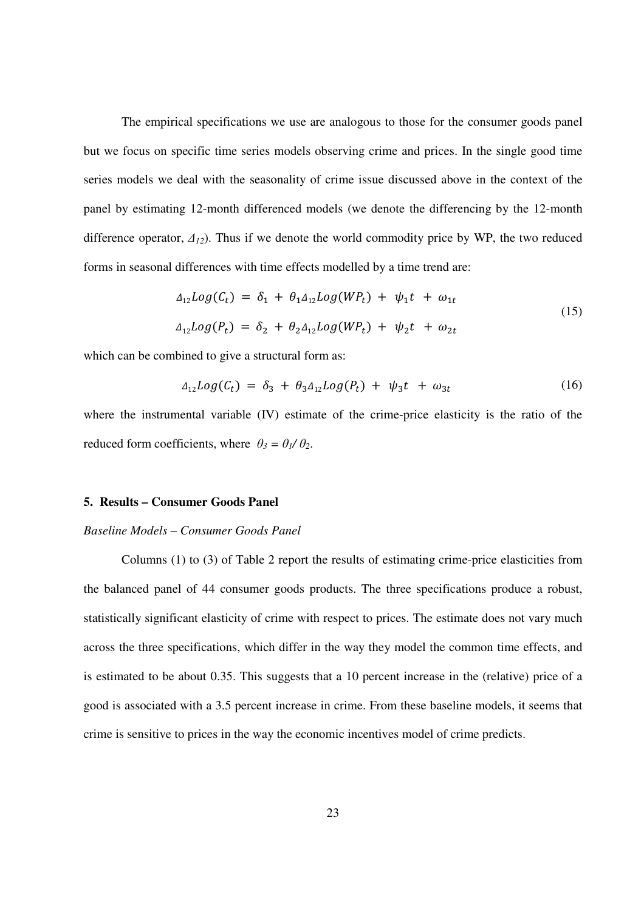The empirical specifications we use are analogous to those for the consumer goods panel but we focus on specific time series models observing crime and prices. In the single good time series models we deal with the seasonality of crime issue discussed above in the context of the panel by estimating 12-month differenced models (we denote the differencing by the 12-month difference operator, *∆12*). Thus if we denote the world commodity price by WP, the two reduced forms in seasonal differences with time effects modelled by a time trend are:

$$
\Delta_{12} Log(C_t) = \delta_1 + \theta_1 \Delta_{12} Log(WP_t) + \psi_1 t + \omega_{1t}
$$
  
\n
$$
\Delta_{12} Log(P_t) = \delta_2 + \theta_2 \Delta_{12} Log(WP_t) + \psi_2 t + \omega_{2t}
$$
\n(15)

which can be combined to give a structural form as:

$$
\Delta_{12} Log(C_t) = \delta_3 + \theta_3 \Delta_{12} Log(P_t) + \psi_3 t + \omega_{3t} \tag{16}
$$

where the instrumental variable (IV) estimate of the crime-price elasticity is the ratio of the reduced form coefficients, where  $\theta_3 = \theta_1 / \theta_2$ .

#### **5. Results – Consumer Goods Panel**

# *Baseline Models – Consumer Goods Panel*

Columns (1) to (3) of Table 2 report the results of estimating crime-price elasticities from the balanced panel of 44 consumer goods products. The three specifications produce a robust, statistically significant elasticity of crime with respect to prices. The estimate does not vary much across the three specifications, which differ in the way they model the common time effects, and is estimated to be about 0.35. This suggests that a 10 percent increase in the (relative) price of a good is associated with a 3.5 percent increase in crime. From these baseline models, it seems that crime is sensitive to prices in the way the economic incentives model of crime predicts.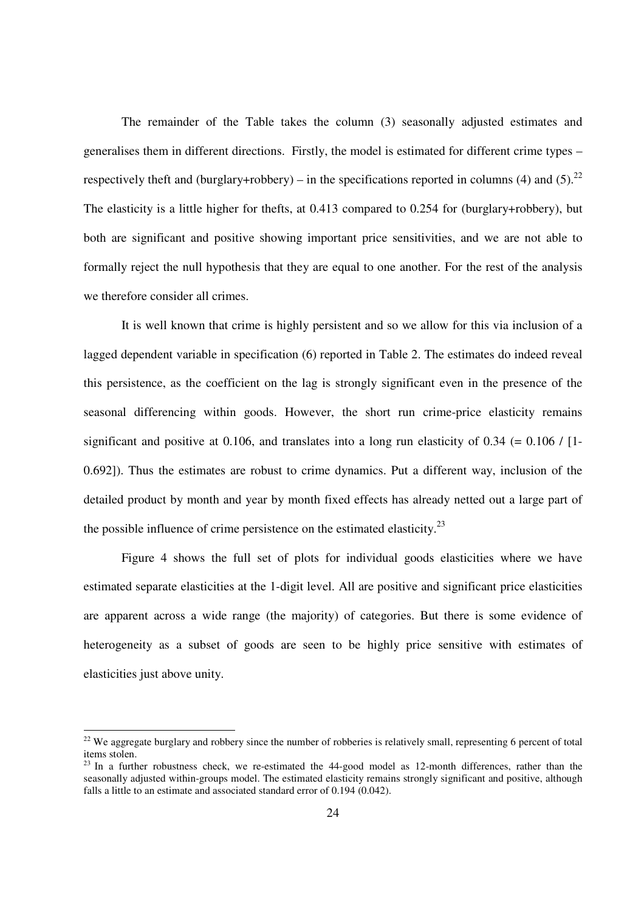The remainder of the Table takes the column (3) seasonally adjusted estimates and generalises them in different directions. Firstly, the model is estimated for different crime types – respectively theft and (burglary+robbery) – in the specifications reported in columns (4) and (5).<sup>22</sup> The elasticity is a little higher for thefts, at 0.413 compared to 0.254 for (burglary+robbery), but both are significant and positive showing important price sensitivities, and we are not able to formally reject the null hypothesis that they are equal to one another. For the rest of the analysis we therefore consider all crimes.

It is well known that crime is highly persistent and so we allow for this via inclusion of a lagged dependent variable in specification (6) reported in Table 2. The estimates do indeed reveal this persistence, as the coefficient on the lag is strongly significant even in the presence of the seasonal differencing within goods. However, the short run crime-price elasticity remains significant and positive at 0.106, and translates into a long run elasticity of  $0.34$  (=  $0.106$  / [1-0.692]). Thus the estimates are robust to crime dynamics. Put a different way, inclusion of the detailed product by month and year by month fixed effects has already netted out a large part of the possible influence of crime persistence on the estimated elasticity.<sup>23</sup>

Figure 4 shows the full set of plots for individual goods elasticities where we have estimated separate elasticities at the 1-digit level. All are positive and significant price elasticities are apparent across a wide range (the majority) of categories. But there is some evidence of heterogeneity as a subset of goods are seen to be highly price sensitive with estimates of elasticities just above unity.

 $\overline{a}$ 

 $22$  We aggregate burglary and robbery since the number of robberies is relatively small, representing 6 percent of total items stolen.

<sup>&</sup>lt;sup>23</sup> In a further robustness check, we re-estimated the 44-good model as 12-month differences, rather than the seasonally adjusted within-groups model. The estimated elasticity remains strongly significant and positive, although falls a little to an estimate and associated standard error of 0.194 (0.042).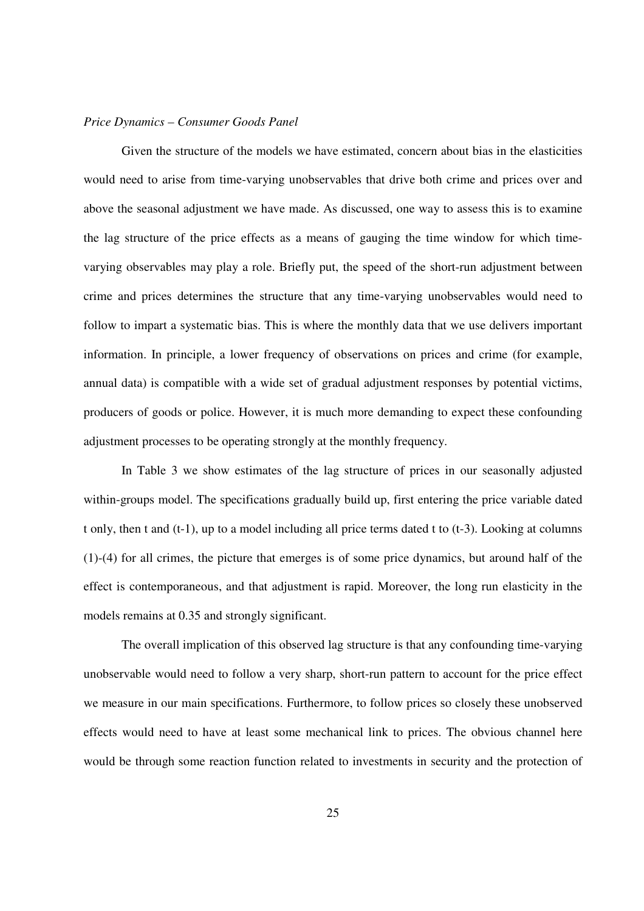#### *Price Dynamics – Consumer Goods Panel*

Given the structure of the models we have estimated, concern about bias in the elasticities would need to arise from time-varying unobservables that drive both crime and prices over and above the seasonal adjustment we have made. As discussed, one way to assess this is to examine the lag structure of the price effects as a means of gauging the time window for which timevarying observables may play a role. Briefly put, the speed of the short-run adjustment between crime and prices determines the structure that any time-varying unobservables would need to follow to impart a systematic bias. This is where the monthly data that we use delivers important information. In principle, a lower frequency of observations on prices and crime (for example, annual data) is compatible with a wide set of gradual adjustment responses by potential victims, producers of goods or police. However, it is much more demanding to expect these confounding adjustment processes to be operating strongly at the monthly frequency.

In Table 3 we show estimates of the lag structure of prices in our seasonally adjusted within-groups model. The specifications gradually build up, first entering the price variable dated t only, then t and (t-1), up to a model including all price terms dated t to (t-3). Looking at columns (1)-(4) for all crimes, the picture that emerges is of some price dynamics, but around half of the effect is contemporaneous, and that adjustment is rapid. Moreover, the long run elasticity in the models remains at 0.35 and strongly significant.

The overall implication of this observed lag structure is that any confounding time-varying unobservable would need to follow a very sharp, short-run pattern to account for the price effect we measure in our main specifications. Furthermore, to follow prices so closely these unobserved effects would need to have at least some mechanical link to prices. The obvious channel here would be through some reaction function related to investments in security and the protection of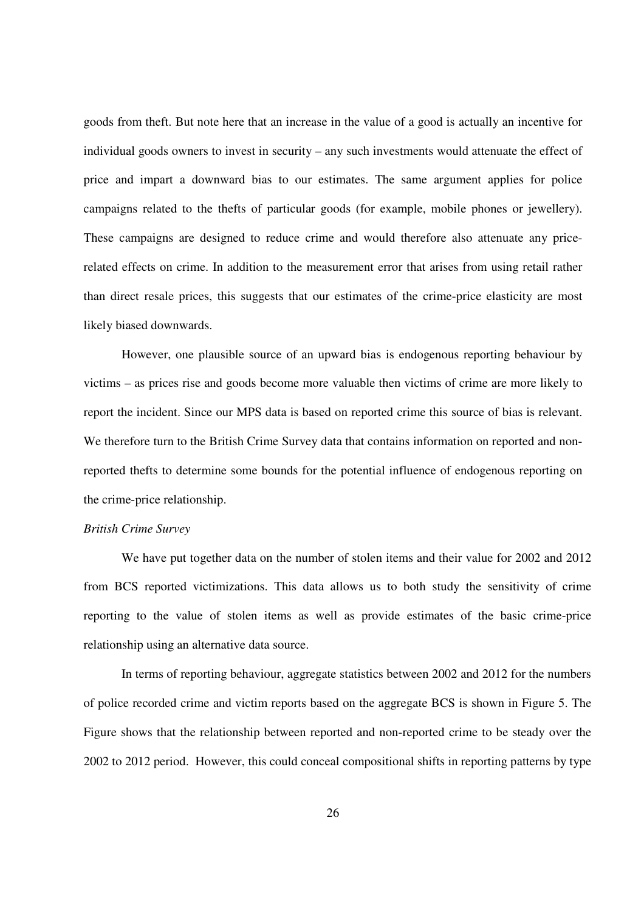goods from theft. But note here that an increase in the value of a good is actually an incentive for individual goods owners to invest in security – any such investments would attenuate the effect of price and impart a downward bias to our estimates. The same argument applies for police campaigns related to the thefts of particular goods (for example, mobile phones or jewellery). These campaigns are designed to reduce crime and would therefore also attenuate any pricerelated effects on crime. In addition to the measurement error that arises from using retail rather than direct resale prices, this suggests that our estimates of the crime-price elasticity are most likely biased downwards.

However, one plausible source of an upward bias is endogenous reporting behaviour by victims – as prices rise and goods become more valuable then victims of crime are more likely to report the incident. Since our MPS data is based on reported crime this source of bias is relevant. We therefore turn to the British Crime Survey data that contains information on reported and nonreported thefts to determine some bounds for the potential influence of endogenous reporting on the crime-price relationship.

# *British Crime Survey*

We have put together data on the number of stolen items and their value for 2002 and 2012 from BCS reported victimizations. This data allows us to both study the sensitivity of crime reporting to the value of stolen items as well as provide estimates of the basic crime-price relationship using an alternative data source.

 In terms of reporting behaviour, aggregate statistics between 2002 and 2012 for the numbers of police recorded crime and victim reports based on the aggregate BCS is shown in Figure 5. The Figure shows that the relationship between reported and non-reported crime to be steady over the 2002 to 2012 period. However, this could conceal compositional shifts in reporting patterns by type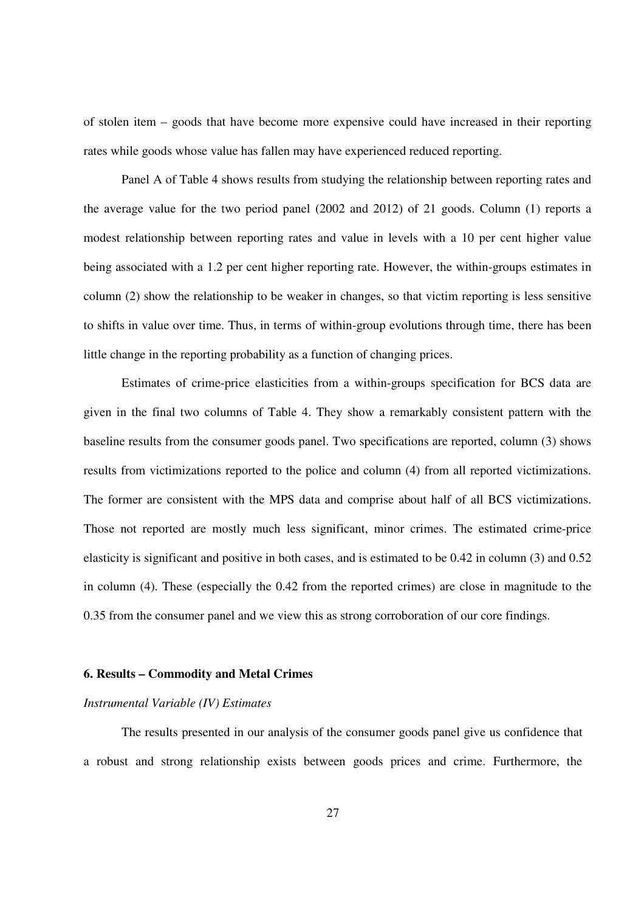of stolen item – goods that have become more expensive could have increased in their reporting rates while goods whose value has fallen may have experienced reduced reporting.

 Panel A of Table 4 shows results from studying the relationship between reporting rates and the average value for the two period panel (2002 and 2012) of 21 goods. Column (1) reports a modest relationship between reporting rates and value in levels with a 10 per cent higher value being associated with a 1.2 per cent higher reporting rate. However, the within-groups estimates in column (2) show the relationship to be weaker in changes, so that victim reporting is less sensitive to shifts in value over time. Thus, in terms of within-group evolutions through time, there has been little change in the reporting probability as a function of changing prices.

 Estimates of crime-price elasticities from a within-groups specification for BCS data are given in the final two columns of Table 4. They show a remarkably consistent pattern with the baseline results from the consumer goods panel. Two specifications are reported, column (3) shows results from victimizations reported to the police and column (4) from all reported victimizations. The former are consistent with the MPS data and comprise about half of all BCS victimizations. Those not reported are mostly much less significant, minor crimes. The estimated crime-price elasticity is significant and positive in both cases, and is estimated to be 0.42 in column (3) and 0.52 in column (4). These (especially the 0.42 from the reported crimes) are close in magnitude to the 0.35 from the consumer panel and we view this as strong corroboration of our core findings.

# **6. Results – Commodity and Metal Crimes**

# *Instrumental Variable (IV) Estimates*

The results presented in our analysis of the consumer goods panel give us confidence that a robust and strong relationship exists between goods prices and crime. Furthermore, the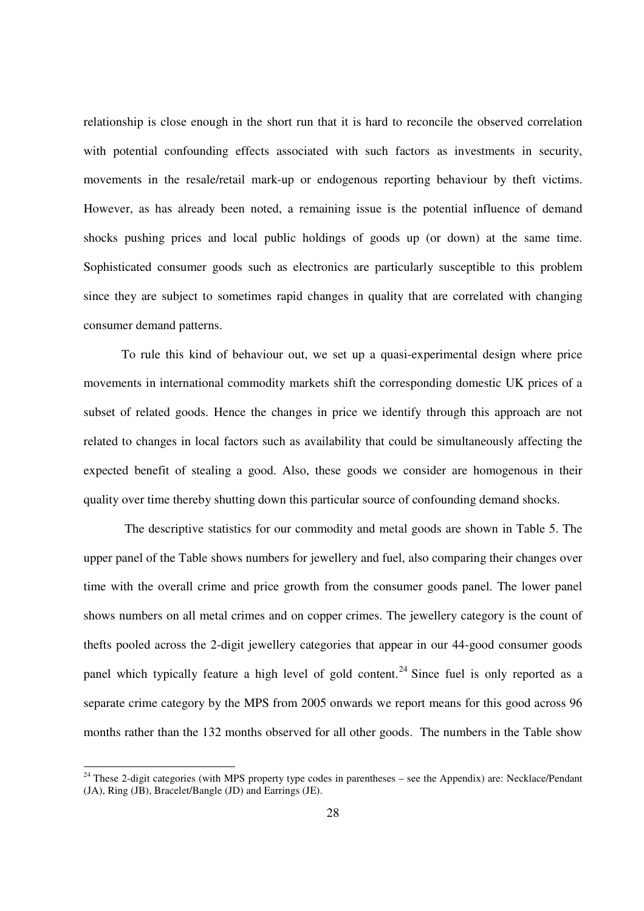relationship is close enough in the short run that it is hard to reconcile the observed correlation with potential confounding effects associated with such factors as investments in security, movements in the resale/retail mark-up or endogenous reporting behaviour by theft victims. However, as has already been noted, a remaining issue is the potential influence of demand shocks pushing prices and local public holdings of goods up (or down) at the same time. Sophisticated consumer goods such as electronics are particularly susceptible to this problem since they are subject to sometimes rapid changes in quality that are correlated with changing consumer demand patterns.

To rule this kind of behaviour out, we set up a quasi-experimental design where price movements in international commodity markets shift the corresponding domestic UK prices of a subset of related goods. Hence the changes in price we identify through this approach are not related to changes in local factors such as availability that could be simultaneously affecting the expected benefit of stealing a good. Also, these goods we consider are homogenous in their quality over time thereby shutting down this particular source of confounding demand shocks.

 The descriptive statistics for our commodity and metal goods are shown in Table 5. The upper panel of the Table shows numbers for jewellery and fuel, also comparing their changes over time with the overall crime and price growth from the consumer goods panel. The lower panel shows numbers on all metal crimes and on copper crimes. The jewellery category is the count of thefts pooled across the 2-digit jewellery categories that appear in our 44-good consumer goods panel which typically feature a high level of gold content.<sup>24</sup> Since fuel is only reported as a separate crime category by the MPS from 2005 onwards we report means for this good across 96 months rather than the 132 months observed for all other goods. The numbers in the Table show

 $\overline{a}$ 

 $24$  These 2-digit categories (with MPS property type codes in parentheses – see the Appendix) are: Necklace/Pendant (JA), Ring (JB), Bracelet/Bangle (JD) and Earrings (JE).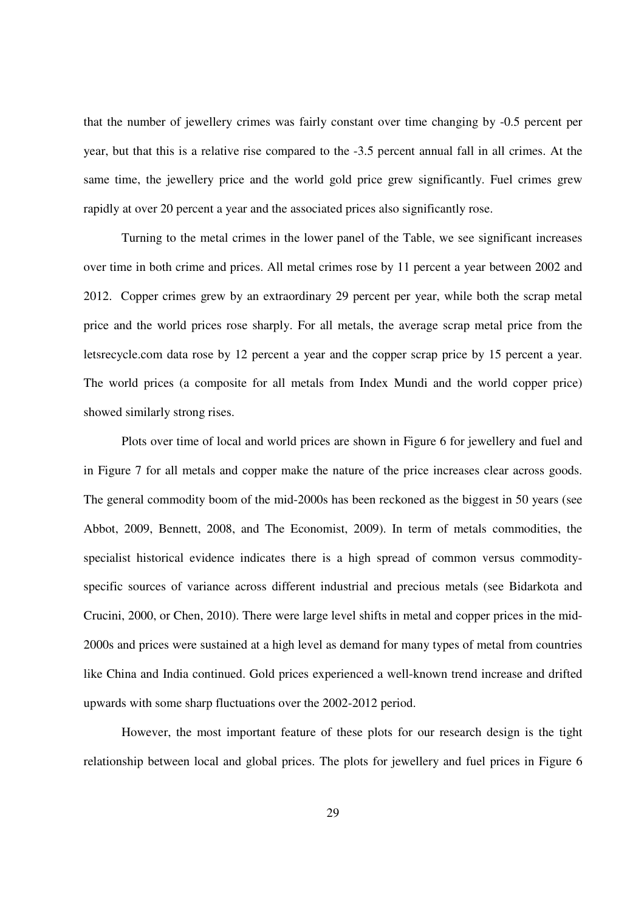that the number of jewellery crimes was fairly constant over time changing by -0.5 percent per year, but that this is a relative rise compared to the -3.5 percent annual fall in all crimes. At the same time, the jewellery price and the world gold price grew significantly. Fuel crimes grew rapidly at over 20 percent a year and the associated prices also significantly rose.

Turning to the metal crimes in the lower panel of the Table, we see significant increases over time in both crime and prices. All metal crimes rose by 11 percent a year between 2002 and 2012. Copper crimes grew by an extraordinary 29 percent per year, while both the scrap metal price and the world prices rose sharply. For all metals, the average scrap metal price from the letsrecycle.com data rose by 12 percent a year and the copper scrap price by 15 percent a year. The world prices (a composite for all metals from Index Mundi and the world copper price) showed similarly strong rises.

Plots over time of local and world prices are shown in Figure 6 for jewellery and fuel and in Figure 7 for all metals and copper make the nature of the price increases clear across goods. The general commodity boom of the mid-2000s has been reckoned as the biggest in 50 years (see Abbot, 2009, Bennett, 2008, and The Economist, 2009). In term of metals commodities, the specialist historical evidence indicates there is a high spread of common versus commodityspecific sources of variance across different industrial and precious metals (see Bidarkota and Crucini, 2000, or Chen, 2010). There were large level shifts in metal and copper prices in the mid-2000s and prices were sustained at a high level as demand for many types of metal from countries like China and India continued. Gold prices experienced a well-known trend increase and drifted upwards with some sharp fluctuations over the 2002-2012 period.

However, the most important feature of these plots for our research design is the tight relationship between local and global prices. The plots for jewellery and fuel prices in Figure 6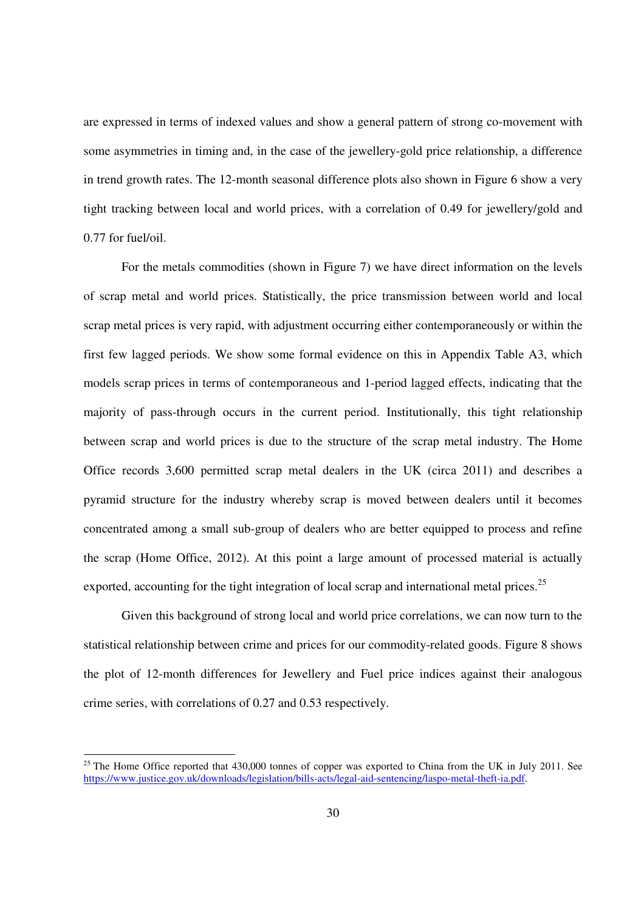are expressed in terms of indexed values and show a general pattern of strong co-movement with some asymmetries in timing and, in the case of the jewellery-gold price relationship, a difference in trend growth rates. The 12-month seasonal difference plots also shown in Figure 6 show a very tight tracking between local and world prices, with a correlation of 0.49 for jewellery/gold and 0.77 for fuel/oil.

For the metals commodities (shown in Figure 7) we have direct information on the levels of scrap metal and world prices. Statistically, the price transmission between world and local scrap metal prices is very rapid, with adjustment occurring either contemporaneously or within the first few lagged periods. We show some formal evidence on this in Appendix Table A3, which models scrap prices in terms of contemporaneous and 1-period lagged effects, indicating that the majority of pass-through occurs in the current period. Institutionally, this tight relationship between scrap and world prices is due to the structure of the scrap metal industry. The Home Office records 3,600 permitted scrap metal dealers in the UK (circa 2011) and describes a pyramid structure for the industry whereby scrap is moved between dealers until it becomes concentrated among a small sub-group of dealers who are better equipped to process and refine the scrap (Home Office, 2012). At this point a large amount of processed material is actually exported, accounting for the tight integration of local scrap and international metal prices.<sup>25</sup>

Given this background of strong local and world price correlations, we can now turn to the statistical relationship between crime and prices for our commodity-related goods. Figure 8 shows the plot of 12-month differences for Jewellery and Fuel price indices against their analogous crime series, with correlations of 0.27 and 0.53 respectively.

 $\overline{a}$ 

 $25$  The Home Office reported that 430,000 tonnes of copper was exported to China from the UK in July 2011. See https://www.justice.gov.uk/downloads/legislation/bills-acts/legal-aid-sentencing/laspo-metal-theft-ia.pdf.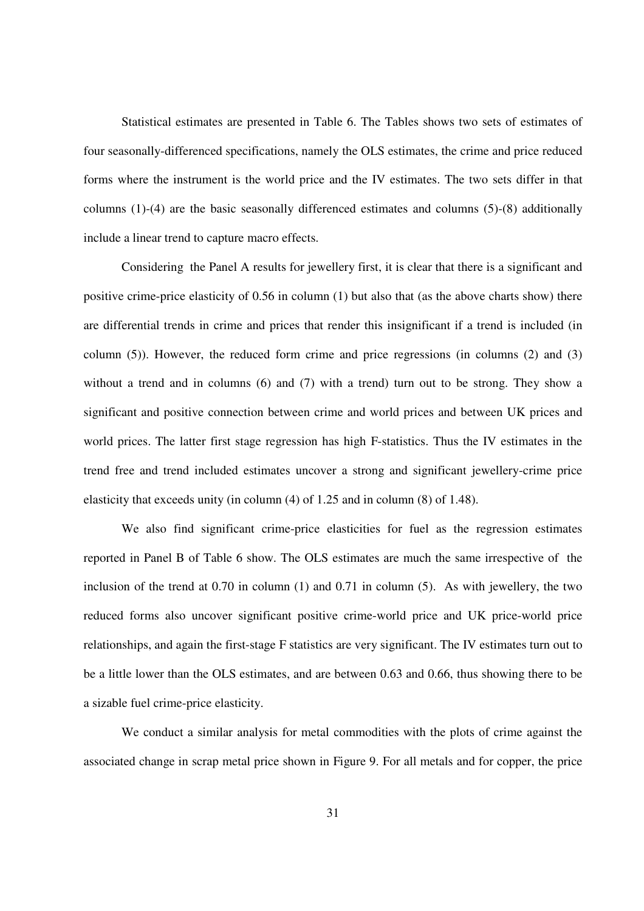Statistical estimates are presented in Table 6. The Tables shows two sets of estimates of four seasonally-differenced specifications, namely the OLS estimates, the crime and price reduced forms where the instrument is the world price and the IV estimates. The two sets differ in that columns (1)-(4) are the basic seasonally differenced estimates and columns (5)-(8) additionally include a linear trend to capture macro effects.

Considering the Panel A results for jewellery first, it is clear that there is a significant and positive crime-price elasticity of 0.56 in column (1) but also that (as the above charts show) there are differential trends in crime and prices that render this insignificant if a trend is included (in column  $(5)$ ). However, the reduced form crime and price regressions (in columns  $(2)$  and  $(3)$ ) without a trend and in columns (6) and (7) with a trend) turn out to be strong. They show a significant and positive connection between crime and world prices and between UK prices and world prices. The latter first stage regression has high F-statistics. Thus the IV estimates in the trend free and trend included estimates uncover a strong and significant jewellery-crime price elasticity that exceeds unity (in column (4) of 1.25 and in column (8) of 1.48).

We also find significant crime-price elasticities for fuel as the regression estimates reported in Panel B of Table 6 show. The OLS estimates are much the same irrespective of the inclusion of the trend at 0.70 in column (1) and 0.71 in column (5). As with jewellery, the two reduced forms also uncover significant positive crime-world price and UK price-world price relationships, and again the first-stage F statistics are very significant. The IV estimates turn out to be a little lower than the OLS estimates, and are between 0.63 and 0.66, thus showing there to be a sizable fuel crime-price elasticity.

We conduct a similar analysis for metal commodities with the plots of crime against the associated change in scrap metal price shown in Figure 9. For all metals and for copper, the price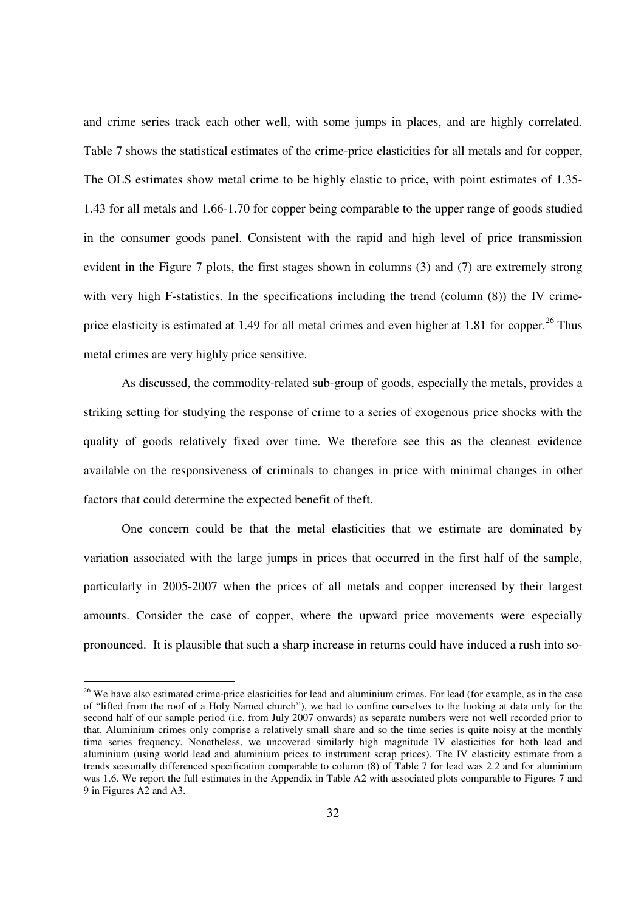and crime series track each other well, with some jumps in places, and are highly correlated. Table 7 shows the statistical estimates of the crime-price elasticities for all metals and for copper, The OLS estimates show metal crime to be highly elastic to price, with point estimates of 1.35- 1.43 for all metals and 1.66-1.70 for copper being comparable to the upper range of goods studied in the consumer goods panel. Consistent with the rapid and high level of price transmission evident in the Figure 7 plots, the first stages shown in columns (3) and (7) are extremely strong with very high F-statistics. In the specifications including the trend (column  $(8)$ ) the IV crimeprice elasticity is estimated at 1.49 for all metal crimes and even higher at 1.81 for copper.<sup>26</sup> Thus metal crimes are very highly price sensitive.

As discussed, the commodity-related sub-group of goods, especially the metals, provides a striking setting for studying the response of crime to a series of exogenous price shocks with the quality of goods relatively fixed over time. We therefore see this as the cleanest evidence available on the responsiveness of criminals to changes in price with minimal changes in other factors that could determine the expected benefit of theft.

One concern could be that the metal elasticities that we estimate are dominated by variation associated with the large jumps in prices that occurred in the first half of the sample, particularly in 2005-2007 when the prices of all metals and copper increased by their largest amounts. Consider the case of copper, where the upward price movements were especially pronounced. It is plausible that such a sharp increase in returns could have induced a rush into so-

 $\overline{a}$ 

<sup>&</sup>lt;sup>26</sup> We have also estimated crime-price elasticities for lead and aluminium crimes. For lead (for example, as in the case of "lifted from the roof of a Holy Named church"), we had to confine ourselves to the looking at data only for the second half of our sample period (i.e. from July 2007 onwards) as separate numbers were not well recorded prior to that. Aluminium crimes only comprise a relatively small share and so the time series is quite noisy at the monthly time series frequency. Nonetheless, we uncovered similarly high magnitude IV elasticities for both lead and aluminium (using world lead and aluminium prices to instrument scrap prices). The IV elasticity estimate from a trends seasonally differenced specification comparable to column (8) of Table 7 for lead was 2.2 and for aluminium was 1.6. We report the full estimates in the Appendix in Table A2 with associated plots comparable to Figures 7 and 9 in Figures A2 and A3.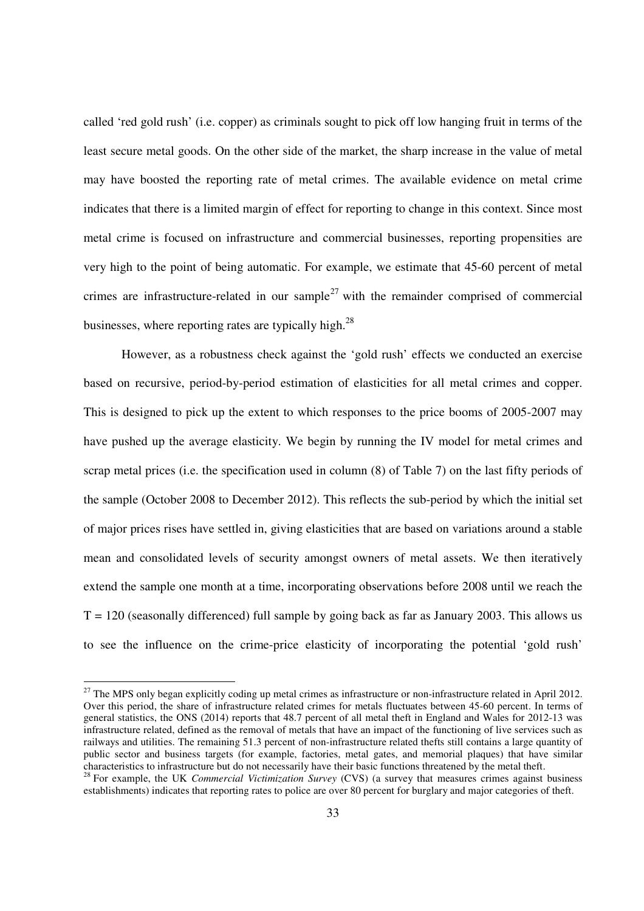called 'red gold rush' (i.e. copper) as criminals sought to pick off low hanging fruit in terms of the least secure metal goods. On the other side of the market, the sharp increase in the value of metal may have boosted the reporting rate of metal crimes. The available evidence on metal crime indicates that there is a limited margin of effect for reporting to change in this context. Since most metal crime is focused on infrastructure and commercial businesses, reporting propensities are very high to the point of being automatic. For example, we estimate that 45-60 percent of metal crimes are infrastructure-related in our sample<sup>27</sup> with the remainder comprised of commercial businesses, where reporting rates are typically high.<sup>28</sup>

However, as a robustness check against the 'gold rush' effects we conducted an exercise based on recursive, period-by-period estimation of elasticities for all metal crimes and copper. This is designed to pick up the extent to which responses to the price booms of 2005-2007 may have pushed up the average elasticity. We begin by running the IV model for metal crimes and scrap metal prices (i.e. the specification used in column (8) of Table 7) on the last fifty periods of the sample (October 2008 to December 2012). This reflects the sub-period by which the initial set of major prices rises have settled in, giving elasticities that are based on variations around a stable mean and consolidated levels of security amongst owners of metal assets. We then iteratively extend the sample one month at a time, incorporating observations before 2008 until we reach the  $T = 120$  (seasonally differenced) full sample by going back as far as January 2003. This allows us to see the influence on the crime-price elasticity of incorporating the potential 'gold rush'

 $\overline{a}$ 

 $27$  The MPS only began explicitly coding up metal crimes as infrastructure or non-infrastructure related in April 2012. Over this period, the share of infrastructure related crimes for metals fluctuates between 45-60 percent. In terms of general statistics, the ONS (2014) reports that 48.7 percent of all metal theft in England and Wales for 2012-13 was infrastructure related, defined as the removal of metals that have an impact of the functioning of live services such as railways and utilities. The remaining 51.3 percent of non-infrastructure related thefts still contains a large quantity of public sector and business targets (for example, factories, metal gates, and memorial plaques) that have similar characteristics to infrastructure but do not necessarily have their basic functions threatened by the metal theft. <sup>28</sup> For example, the UK *Commercial Victimization Survey* (CVS) (a survey that measures crimes against business

establishments) indicates that reporting rates to police are over 80 percent for burglary and major categories of theft.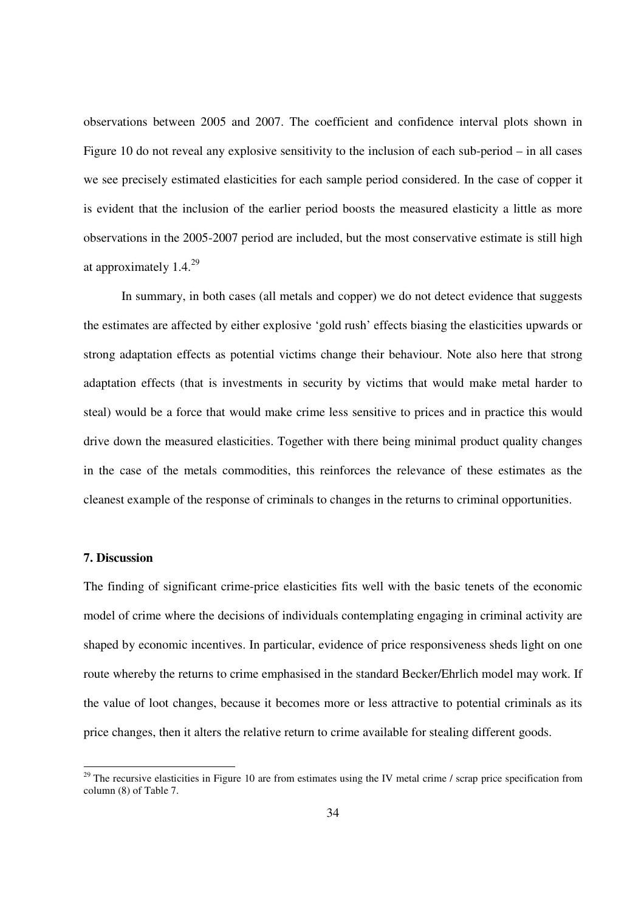observations between 2005 and 2007. The coefficient and confidence interval plots shown in Figure 10 do not reveal any explosive sensitivity to the inclusion of each sub-period – in all cases we see precisely estimated elasticities for each sample period considered. In the case of copper it is evident that the inclusion of the earlier period boosts the measured elasticity a little as more observations in the 2005-2007 period are included, but the most conservative estimate is still high at approximately  $1.4.^{29}$ 

In summary, in both cases (all metals and copper) we do not detect evidence that suggests the estimates are affected by either explosive 'gold rush' effects biasing the elasticities upwards or strong adaptation effects as potential victims change their behaviour. Note also here that strong adaptation effects (that is investments in security by victims that would make metal harder to steal) would be a force that would make crime less sensitive to prices and in practice this would drive down the measured elasticities. Together with there being minimal product quality changes in the case of the metals commodities, this reinforces the relevance of these estimates as the cleanest example of the response of criminals to changes in the returns to criminal opportunities.

### **7. Discussion**

 $\overline{a}$ 

The finding of significant crime-price elasticities fits well with the basic tenets of the economic model of crime where the decisions of individuals contemplating engaging in criminal activity are shaped by economic incentives. In particular, evidence of price responsiveness sheds light on one route whereby the returns to crime emphasised in the standard Becker/Ehrlich model may work. If the value of loot changes, because it becomes more or less attractive to potential criminals as its price changes, then it alters the relative return to crime available for stealing different goods.

 $29$  The recursive elasticities in Figure 10 are from estimates using the IV metal crime / scrap price specification from column (8) of Table 7.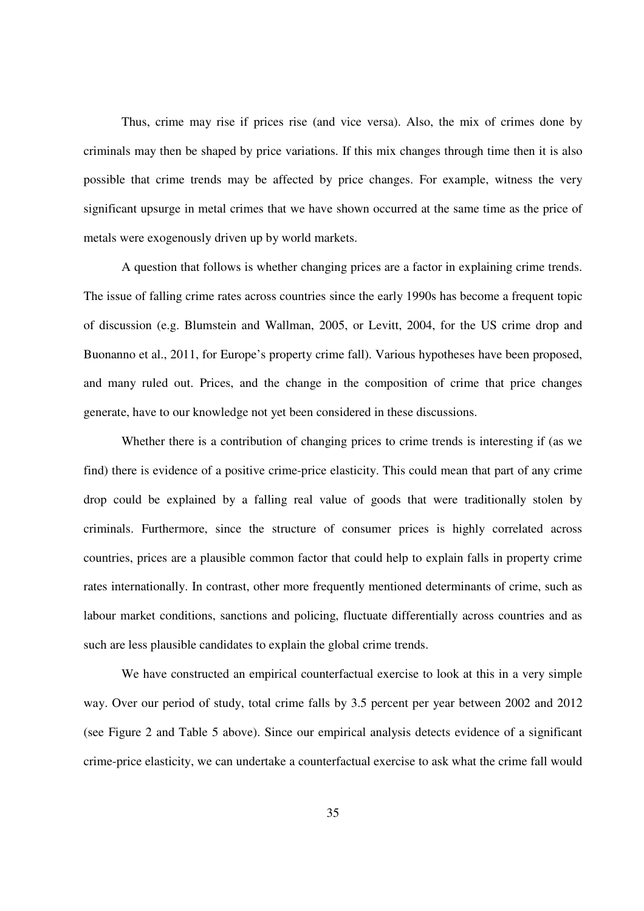Thus, crime may rise if prices rise (and vice versa). Also, the mix of crimes done by criminals may then be shaped by price variations. If this mix changes through time then it is also possible that crime trends may be affected by price changes. For example, witness the very significant upsurge in metal crimes that we have shown occurred at the same time as the price of metals were exogenously driven up by world markets.

 A question that follows is whether changing prices are a factor in explaining crime trends. The issue of falling crime rates across countries since the early 1990s has become a frequent topic of discussion (e.g. Blumstein and Wallman, 2005, or Levitt, 2004, for the US crime drop and Buonanno et al., 2011, for Europe's property crime fall). Various hypotheses have been proposed, and many ruled out. Prices, and the change in the composition of crime that price changes generate, have to our knowledge not yet been considered in these discussions.

Whether there is a contribution of changing prices to crime trends is interesting if (as we find) there is evidence of a positive crime-price elasticity. This could mean that part of any crime drop could be explained by a falling real value of goods that were traditionally stolen by criminals. Furthermore, since the structure of consumer prices is highly correlated across countries, prices are a plausible common factor that could help to explain falls in property crime rates internationally. In contrast, other more frequently mentioned determinants of crime, such as labour market conditions, sanctions and policing, fluctuate differentially across countries and as such are less plausible candidates to explain the global crime trends.

 We have constructed an empirical counterfactual exercise to look at this in a very simple way. Over our period of study, total crime falls by 3.5 percent per year between 2002 and 2012 (see Figure 2 and Table 5 above). Since our empirical analysis detects evidence of a significant crime-price elasticity, we can undertake a counterfactual exercise to ask what the crime fall would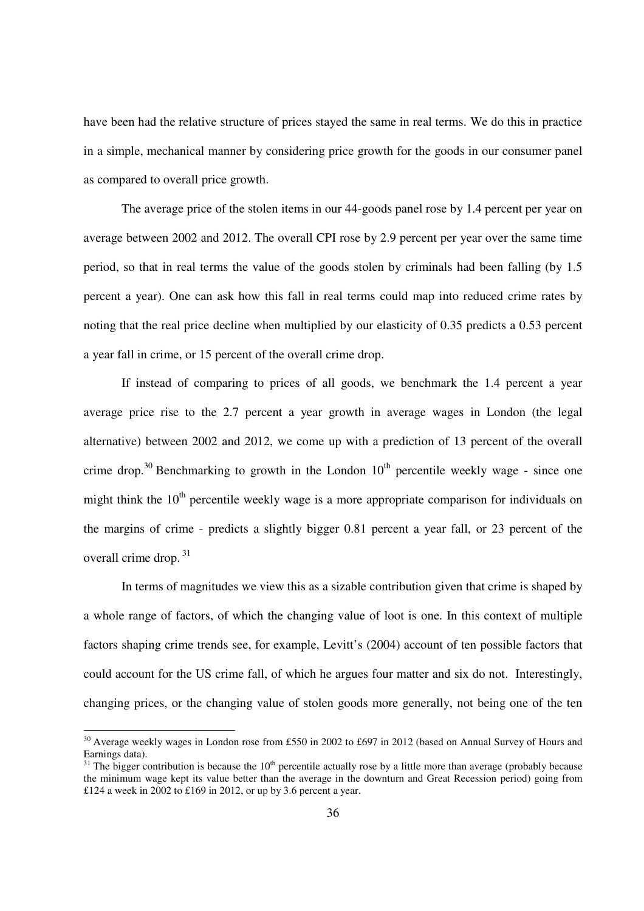have been had the relative structure of prices stayed the same in real terms. We do this in practice in a simple, mechanical manner by considering price growth for the goods in our consumer panel as compared to overall price growth.

The average price of the stolen items in our 44-goods panel rose by 1.4 percent per year on average between 2002 and 2012. The overall CPI rose by 2.9 percent per year over the same time period, so that in real terms the value of the goods stolen by criminals had been falling (by 1.5 percent a year). One can ask how this fall in real terms could map into reduced crime rates by noting that the real price decline when multiplied by our elasticity of 0.35 predicts a 0.53 percent a year fall in crime, or 15 percent of the overall crime drop.

If instead of comparing to prices of all goods, we benchmark the 1.4 percent a year average price rise to the 2.7 percent a year growth in average wages in London (the legal alternative) between 2002 and 2012, we come up with a prediction of 13 percent of the overall crime drop.<sup>30</sup> Benchmarking to growth in the London  $10<sup>th</sup>$  percentile weekly wage - since one might think the  $10<sup>th</sup>$  percentile weekly wage is a more appropriate comparison for individuals on the margins of crime - predicts a slightly bigger 0.81 percent a year fall, or 23 percent of the overall crime drop.<sup>31</sup>

In terms of magnitudes we view this as a sizable contribution given that crime is shaped by a whole range of factors, of which the changing value of loot is one. In this context of multiple factors shaping crime trends see, for example, Levitt's (2004) account of ten possible factors that could account for the US crime fall, of which he argues four matter and six do not. Interestingly, changing prices, or the changing value of stolen goods more generally, not being one of the ten

 $\overline{a}$ 

<sup>&</sup>lt;sup>30</sup> Average weekly wages in London rose from £550 in 2002 to £697 in 2012 (based on Annual Survey of Hours and Earnings data).

 $31$  The bigger contribution is because the  $10<sup>th</sup>$  percentile actually rose by a little more than average (probably because the minimum wage kept its value better than the average in the downturn and Great Recession period) going from £124 a week in 2002 to £169 in 2012, or up by 3.6 percent a year.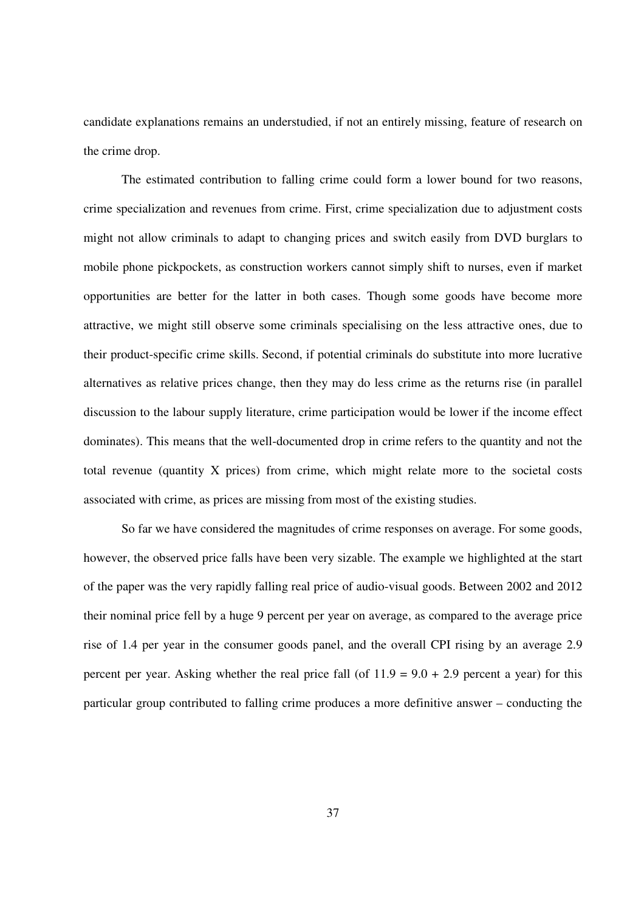candidate explanations remains an understudied, if not an entirely missing, feature of research on the crime drop.

The estimated contribution to falling crime could form a lower bound for two reasons, crime specialization and revenues from crime. First, crime specialization due to adjustment costs might not allow criminals to adapt to changing prices and switch easily from DVD burglars to mobile phone pickpockets, as construction workers cannot simply shift to nurses, even if market opportunities are better for the latter in both cases. Though some goods have become more attractive, we might still observe some criminals specialising on the less attractive ones, due to their product-specific crime skills. Second, if potential criminals do substitute into more lucrative alternatives as relative prices change, then they may do less crime as the returns rise (in parallel discussion to the labour supply literature, crime participation would be lower if the income effect dominates). This means that the well-documented drop in crime refers to the quantity and not the total revenue (quantity X prices) from crime, which might relate more to the societal costs associated with crime, as prices are missing from most of the existing studies.

So far we have considered the magnitudes of crime responses on average. For some goods, however, the observed price falls have been very sizable. The example we highlighted at the start of the paper was the very rapidly falling real price of audio-visual goods. Between 2002 and 2012 their nominal price fell by a huge 9 percent per year on average, as compared to the average price rise of 1.4 per year in the consumer goods panel, and the overall CPI rising by an average 2.9 percent per year. Asking whether the real price fall (of  $11.9 = 9.0 + 2.9$  percent a year) for this particular group contributed to falling crime produces a more definitive answer – conducting the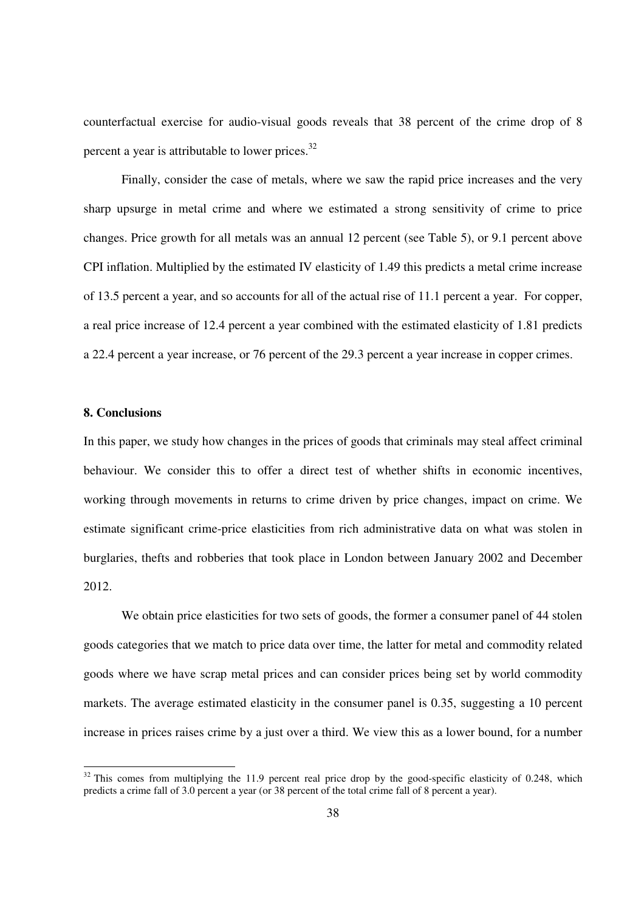counterfactual exercise for audio-visual goods reveals that 38 percent of the crime drop of 8 percent a year is attributable to lower prices.<sup>32</sup>

Finally, consider the case of metals, where we saw the rapid price increases and the very sharp upsurge in metal crime and where we estimated a strong sensitivity of crime to price changes. Price growth for all metals was an annual 12 percent (see Table 5), or 9.1 percent above CPI inflation. Multiplied by the estimated IV elasticity of 1.49 this predicts a metal crime increase of 13.5 percent a year, and so accounts for all of the actual rise of 11.1 percent a year. For copper, a real price increase of 12.4 percent a year combined with the estimated elasticity of 1.81 predicts a 22.4 percent a year increase, or 76 percent of the 29.3 percent a year increase in copper crimes.

#### **8. Conclusions**

 $\overline{a}$ 

In this paper, we study how changes in the prices of goods that criminals may steal affect criminal behaviour. We consider this to offer a direct test of whether shifts in economic incentives, working through movements in returns to crime driven by price changes, impact on crime. We estimate significant crime-price elasticities from rich administrative data on what was stolen in burglaries, thefts and robberies that took place in London between January 2002 and December 2012.

We obtain price elasticities for two sets of goods, the former a consumer panel of 44 stolen goods categories that we match to price data over time, the latter for metal and commodity related goods where we have scrap metal prices and can consider prices being set by world commodity markets. The average estimated elasticity in the consumer panel is 0.35, suggesting a 10 percent increase in prices raises crime by a just over a third. We view this as a lower bound, for a number

 $32$  This comes from multiplying the 11.9 percent real price drop by the good-specific elasticity of 0.248, which predicts a crime fall of 3.0 percent a year (or 38 percent of the total crime fall of 8 percent a year).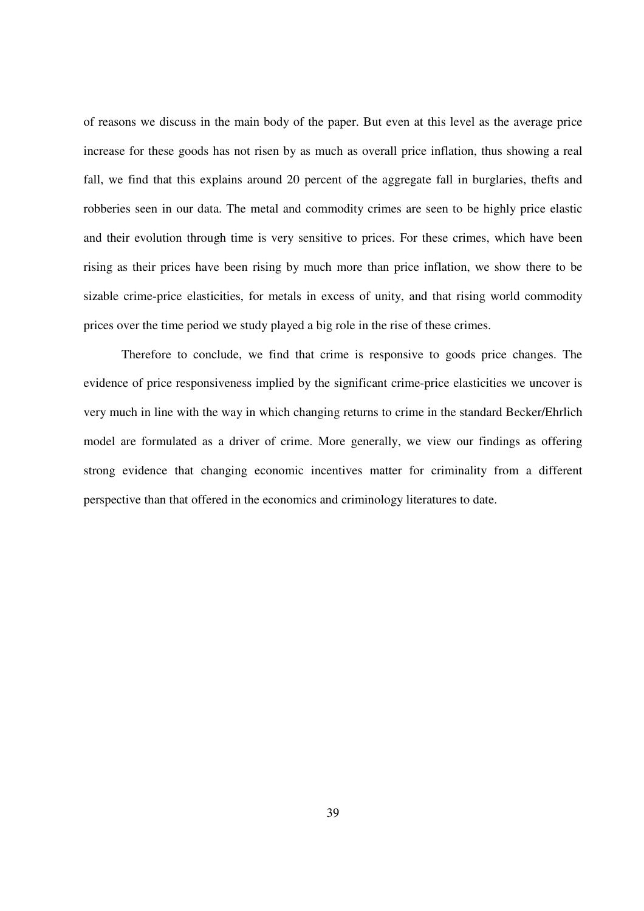of reasons we discuss in the main body of the paper. But even at this level as the average price increase for these goods has not risen by as much as overall price inflation, thus showing a real fall, we find that this explains around 20 percent of the aggregate fall in burglaries, thefts and robberies seen in our data. The metal and commodity crimes are seen to be highly price elastic and their evolution through time is very sensitive to prices. For these crimes, which have been rising as their prices have been rising by much more than price inflation, we show there to be sizable crime-price elasticities, for metals in excess of unity, and that rising world commodity prices over the time period we study played a big role in the rise of these crimes.

 Therefore to conclude, we find that crime is responsive to goods price changes. The evidence of price responsiveness implied by the significant crime-price elasticities we uncover is very much in line with the way in which changing returns to crime in the standard Becker/Ehrlich model are formulated as a driver of crime. More generally, we view our findings as offering strong evidence that changing economic incentives matter for criminality from a different perspective than that offered in the economics and criminology literatures to date.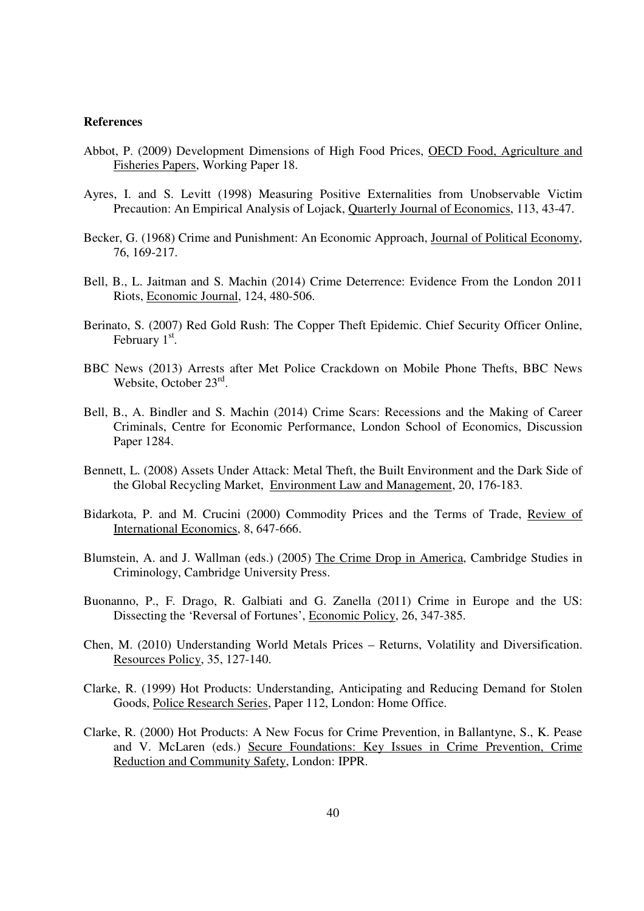#### **References**

- Abbot, P. (2009) Development Dimensions of High Food Prices, OECD Food, Agriculture and Fisheries Papers, Working Paper 18.
- Ayres, I. and S. Levitt (1998) Measuring Positive Externalities from Unobservable Victim Precaution: An Empirical Analysis of Lojack, Quarterly Journal of Economics, 113, 43-47.
- Becker, G. (1968) Crime and Punishment: An Economic Approach, Journal of Political Economy, 76, 169-217.
- Bell, B., L. Jaitman and S. Machin (2014) Crime Deterrence: Evidence From the London 2011 Riots, Economic Journal, 124, 480-506.
- Berinato, S. (2007) Red Gold Rush: The Copper Theft Epidemic. Chief Security Officer Online, February 1<sup>st</sup>.
- BBC News (2013) Arrests after Met Police Crackdown on Mobile Phone Thefts, BBC News Website, October 23rd.
- Bell, B., A. Bindler and S. Machin (2014) Crime Scars: Recessions and the Making of Career Criminals, Centre for Economic Performance, London School of Economics, Discussion Paper 1284.
- Bennett, L. (2008) Assets Under Attack: Metal Theft, the Built Environment and the Dark Side of the Global Recycling Market, Environment Law and Management, 20, 176-183.
- Bidarkota, P. and M. Crucini (2000) Commodity Prices and the Terms of Trade, Review of International Economics, 8, 647-666.
- Blumstein, A. and J. Wallman (eds.) (2005) The Crime Drop in America, Cambridge Studies in Criminology, Cambridge University Press.
- Buonanno, P., F. Drago, R. Galbiati and G. Zanella (2011) Crime in Europe and the US: Dissecting the 'Reversal of Fortunes', Economic Policy, 26, 347-385.
- Chen, M. (2010) Understanding World Metals Prices Returns, Volatility and Diversification. Resources Policy, 35, 127-140.
- Clarke, R. (1999) Hot Products: Understanding, Anticipating and Reducing Demand for Stolen Goods, Police Research Series, Paper 112, London: Home Office.
- Clarke, R. (2000) Hot Products: A New Focus for Crime Prevention, in Ballantyne, S., K. Pease and V. McLaren (eds.) Secure Foundations: Key Issues in Crime Prevention, Crime Reduction and Community Safety, London: IPPR.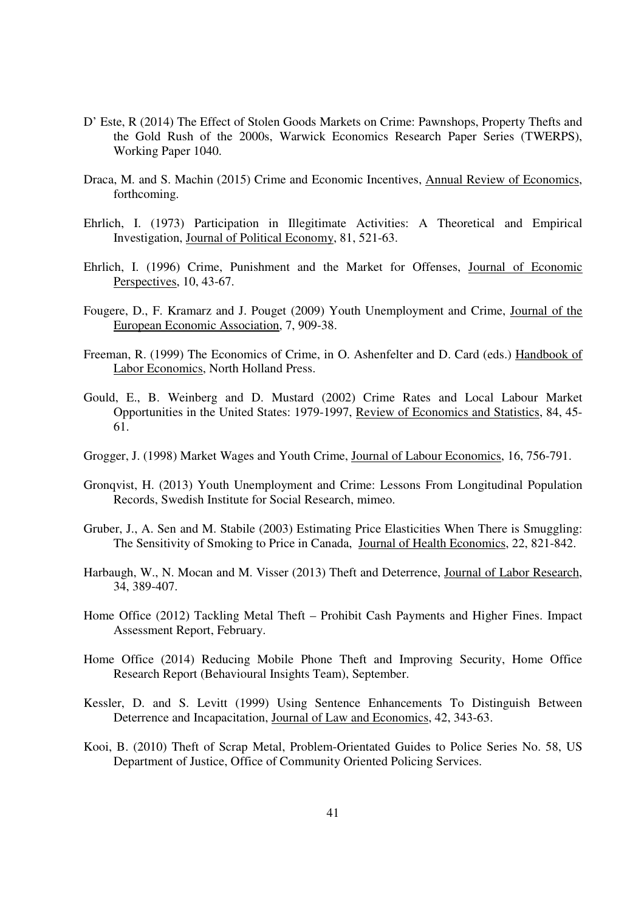- D' Este, R (2014) The Effect of Stolen Goods Markets on Crime: Pawnshops, Property Thefts and the Gold Rush of the 2000s, Warwick Economics Research Paper Series (TWERPS), Working Paper 1040.
- Draca, M. and S. Machin (2015) Crime and Economic Incentives, Annual Review of Economics, forthcoming.
- Ehrlich, I. (1973) Participation in Illegitimate Activities: A Theoretical and Empirical Investigation, Journal of Political Economy, 81, 521-63.
- Ehrlich, I. (1996) Crime, Punishment and the Market for Offenses, Journal of Economic Perspectives, 10, 43-67.
- Fougere, D., F. Kramarz and J. Pouget (2009) Youth Unemployment and Crime, Journal of the European Economic Association, 7, 909-38.
- Freeman, R. (1999) The Economics of Crime, in O. Ashenfelter and D. Card (eds.) Handbook of Labor Economics, North Holland Press.
- Gould, E., B. Weinberg and D. Mustard (2002) Crime Rates and Local Labour Market Opportunities in the United States: 1979-1997, Review of Economics and Statistics, 84, 45- 61.
- Grogger, J. (1998) Market Wages and Youth Crime, Journal of Labour Economics, 16, 756-791.
- Gronqvist, H. (2013) Youth Unemployment and Crime: Lessons From Longitudinal Population Records, Swedish Institute for Social Research, mimeo.
- Gruber, J., A. Sen and M. Stabile (2003) Estimating Price Elasticities When There is Smuggling: The Sensitivity of Smoking to Price in Canada, Journal of Health Economics, 22, 821-842.
- Harbaugh, W., N. Mocan and M. Visser (2013) Theft and Deterrence, Journal of Labor Research, 34, 389-407.
- Home Office (2012) Tackling Metal Theft Prohibit Cash Payments and Higher Fines. Impact Assessment Report, February.
- Home Office (2014) Reducing Mobile Phone Theft and Improving Security, Home Office Research Report (Behavioural Insights Team), September.
- Kessler, D. and S. Levitt (1999) Using Sentence Enhancements To Distinguish Between Deterrence and Incapacitation, Journal of Law and Economics, 42, 343-63.
- Kooi, B. (2010) Theft of Scrap Metal, Problem-Orientated Guides to Police Series No. 58, US Department of Justice, Office of Community Oriented Policing Services.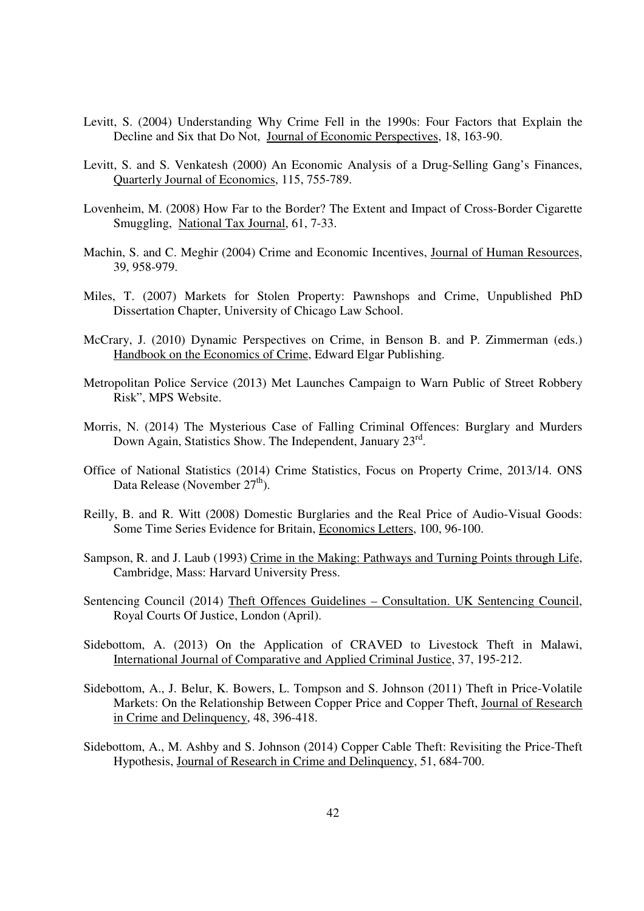- Levitt, S. (2004) Understanding Why Crime Fell in the 1990s: Four Factors that Explain the Decline and Six that Do Not, Journal of Economic Perspectives, 18, 163-90.
- Levitt, S. and S. Venkatesh (2000) An Economic Analysis of a Drug-Selling Gang's Finances, Quarterly Journal of Economics, 115, 755-789.
- Lovenheim, M. (2008) How Far to the Border? The Extent and Impact of Cross-Border Cigarette Smuggling, National Tax Journal, 61, 7-33.
- Machin, S. and C. Meghir (2004) Crime and Economic Incentives, Journal of Human Resources, 39, 958-979.
- Miles, T. (2007) Markets for Stolen Property: Pawnshops and Crime, Unpublished PhD Dissertation Chapter, University of Chicago Law School.
- McCrary, J. (2010) Dynamic Perspectives on Crime, in Benson B. and P. Zimmerman (eds.) Handbook on the Economics of Crime, Edward Elgar Publishing.
- Metropolitan Police Service (2013) Met Launches Campaign to Warn Public of Street Robbery Risk", MPS Website.
- Morris, N. (2014) The Mysterious Case of Falling Criminal Offences: Burglary and Murders Down Again, Statistics Show. The Independent, January 23<sup>rd</sup>.
- Office of National Statistics (2014) Crime Statistics, Focus on Property Crime, 2013/14. ONS Data Release (November 27<sup>th</sup>).
- Reilly, B. and R. Witt (2008) Domestic Burglaries and the Real Price of Audio-Visual Goods: Some Time Series Evidence for Britain, Economics Letters, 100, 96-100.
- Sampson, R. and J. Laub (1993) Crime in the Making: Pathways and Turning Points through Life, Cambridge, Mass: Harvard University Press.
- Sentencing Council (2014) Theft Offences Guidelines Consultation. UK Sentencing Council, Royal Courts Of Justice, London (April).
- Sidebottom, A. (2013) On the Application of CRAVED to Livestock Theft in Malawi, International Journal of Comparative and Applied Criminal Justice, 37, 195-212.
- Sidebottom, A., J. Belur, K. Bowers, L. Tompson and S. Johnson (2011) Theft in Price-Volatile Markets: On the Relationship Between Copper Price and Copper Theft, Journal of Research in Crime and Delinquency, 48, 396-418.
- Sidebottom, A., M. Ashby and S. Johnson (2014) Copper Cable Theft: Revisiting the Price-Theft Hypothesis, Journal of Research in Crime and Delinquency, 51, 684-700.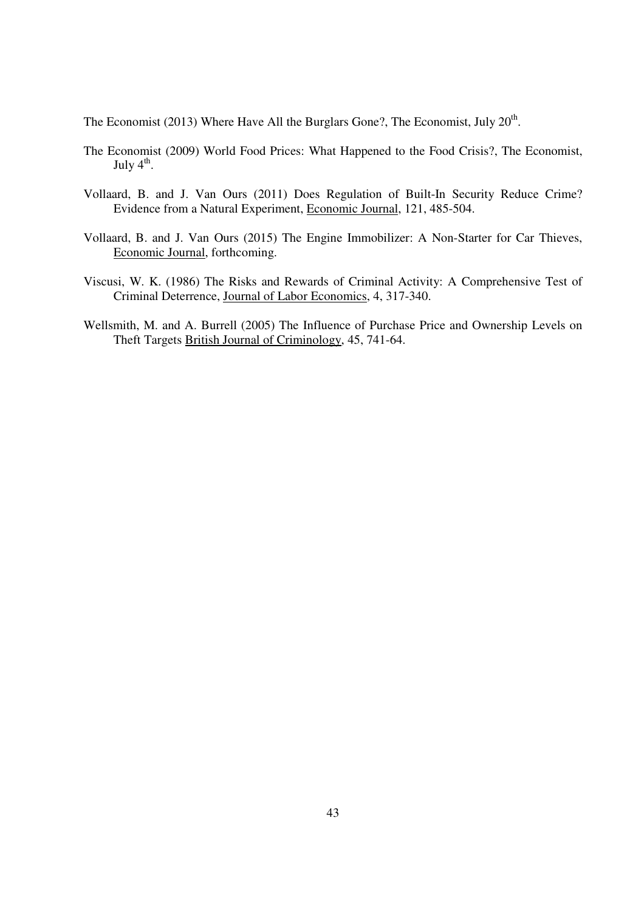The Economist (2013) Where Have All the Burglars Gone?, The Economist, July  $20<sup>th</sup>$ .

- The Economist (2009) World Food Prices: What Happened to the Food Crisis?, The Economist, July  $4^{\text{th}}$ .
- Vollaard, B. and J. Van Ours (2011) Does Regulation of Built-In Security Reduce Crime? Evidence from a Natural Experiment, Economic Journal, 121, 485-504.
- Vollaard, B. and J. Van Ours (2015) The Engine Immobilizer: A Non-Starter for Car Thieves, Economic Journal, forthcoming.
- Viscusi, W. K. (1986) The Risks and Rewards of Criminal Activity: A Comprehensive Test of Criminal Deterrence, Journal of Labor Economics, 4, 317-340.
- Wellsmith, M. and A. Burrell (2005) The Influence of Purchase Price and Ownership Levels on Theft Targets British Journal of Criminology, 45, 741-64.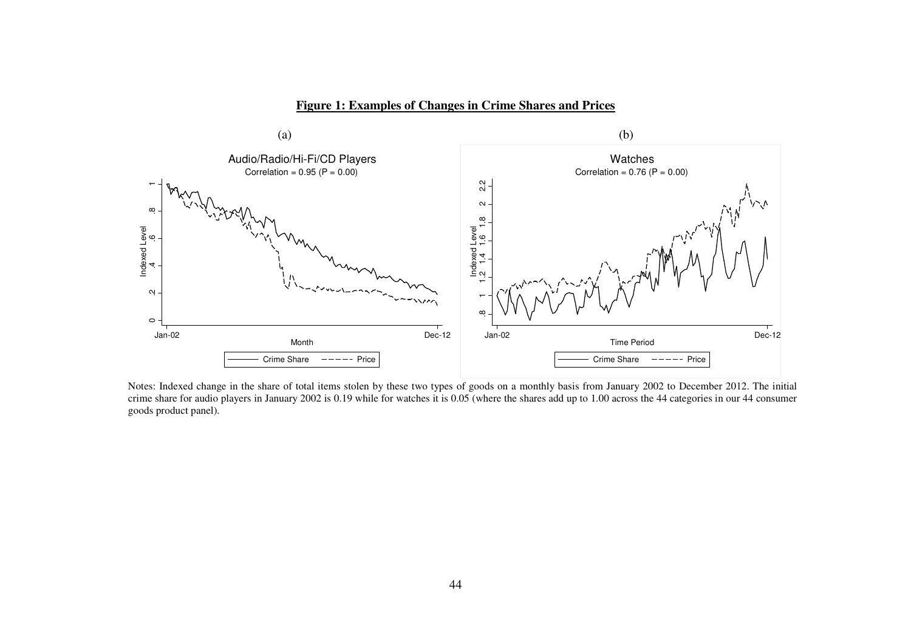**Figure 1: Examples of Changes in Crime Shares and Prices** 



Notes: Indexed change in the share of total items stolen by these two types of goods on a monthly basis from January 2002 to December 2012. The initial crime share for audio players in January 2002 is 0.19 while for watches it is 0.05 (where the shares add up to 1.00 across the 44 categories in our 44 consumer goods product panel).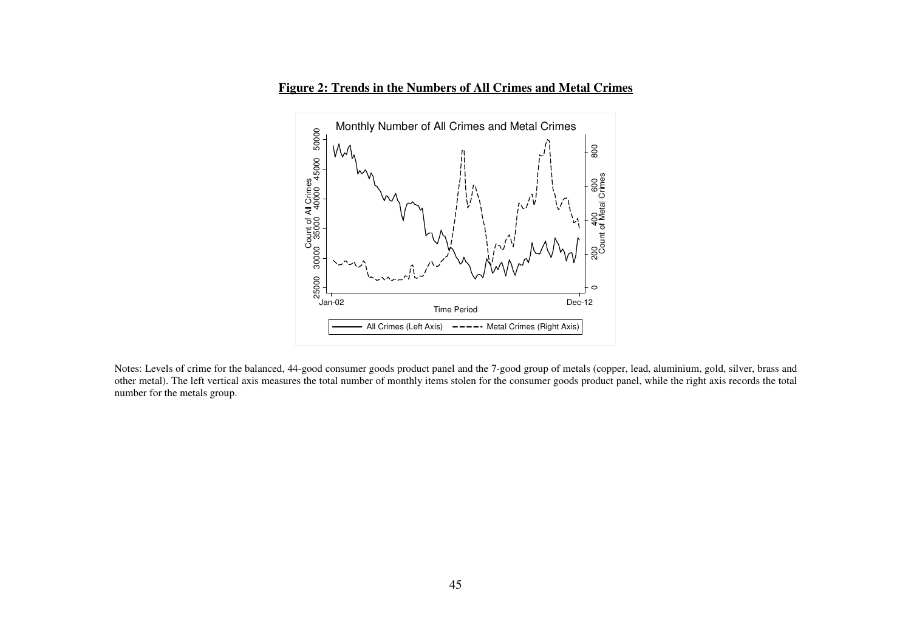**Figure 2: Trends in the Numbers of All Crimes and Metal Crimes**



Notes: Levels of crime for the balanced, 44-good consumer goods product panel and the 7-good group of metals (copper, lead, aluminium, gold, silver, brass and other metal). The left vertical axis measures the total number of monthly items stolen for the consumer goods product panel, while the right axis records the total number for the metals group.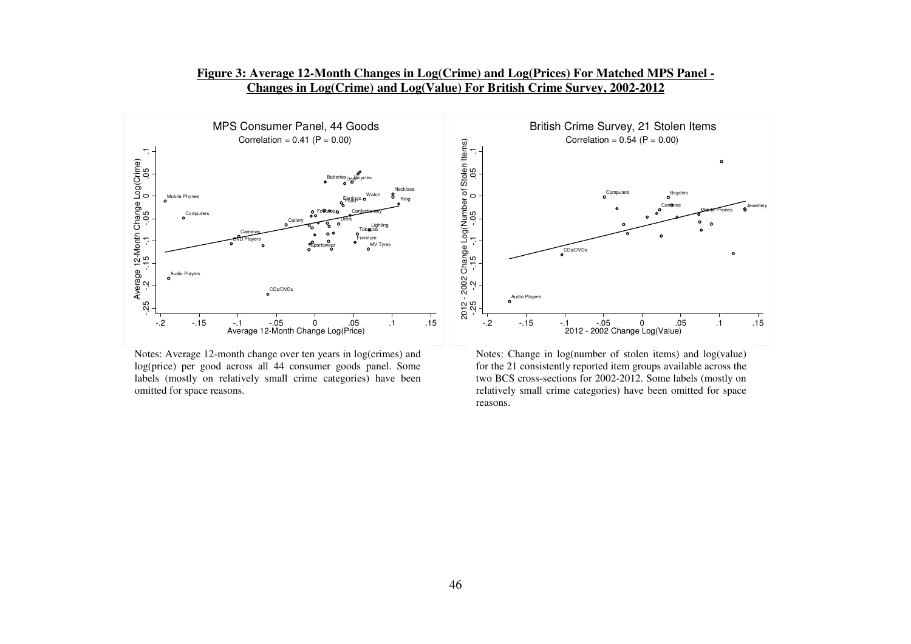

**Figure 3: Average 12-Month Changes in Log(Crime) and Log(Prices) For Matched MPS Panel - Changes in Log(Crime) and Log(Value) For British Crime Survey, 2002-2012** 

Notes: Average 12-month change over ten years in log(crimes) and log(price) per good across all 44 consumer goods panel. Some labels (mostly on relatively small crime categories) have been omitted for space reasons.

Notes: Change in log(number of stolen items) and log(value) for the 21 consistently reported item groups available across the two BCS cross-sections for 2002-2012. Some labels (mostly on relatively small crime categories) have been omitted for space reasons.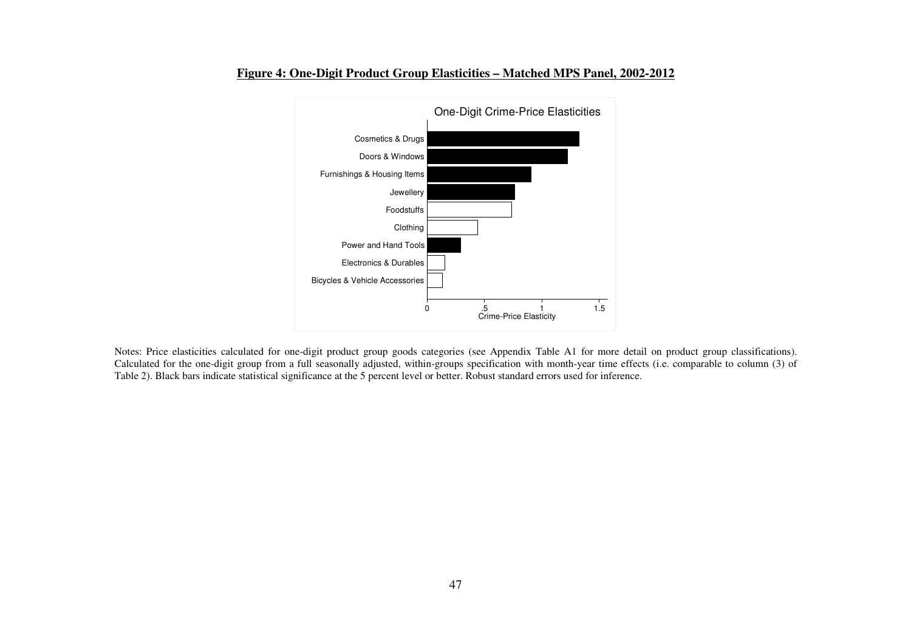

### **Figure 4: One-Digit Product Group Elasticities – Matched MPS Panel, 2002-2012**

Notes: Price elasticities calculated for one-digit product group goods categories (see Appendix Table A1 for more detail on product group classifications). Calculated for the one-digit group from a full seasonally adjusted, within-groups specification with month-year time effects (i.e. comparable to column (3) of Table 2). Black bars indicate statistical significance at the 5 percent level or better. Robust standard errors used for inference.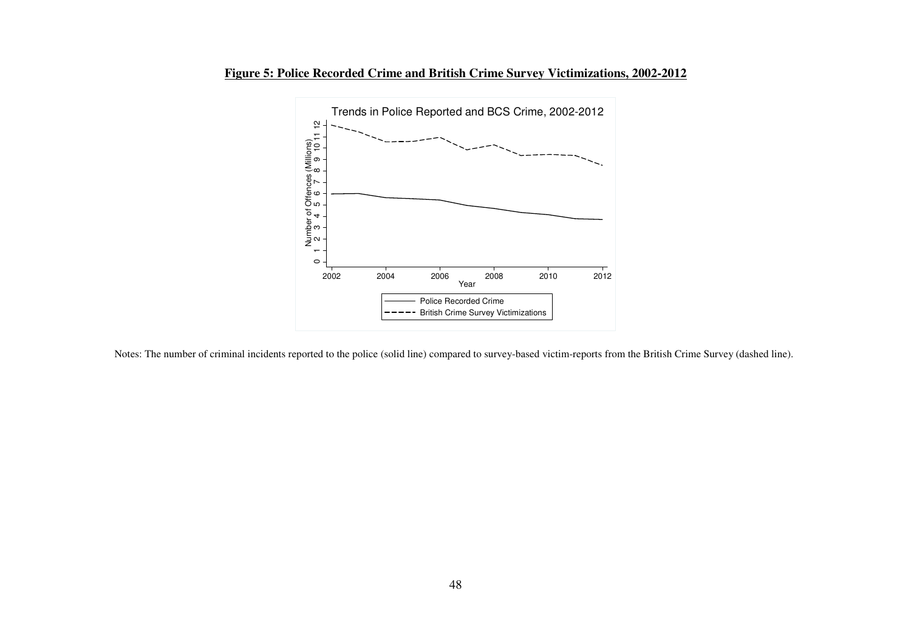



Notes: The number of criminal incidents reported to the police (solid line) compared to survey-based victim-reports from the British Crime Survey (dashed line).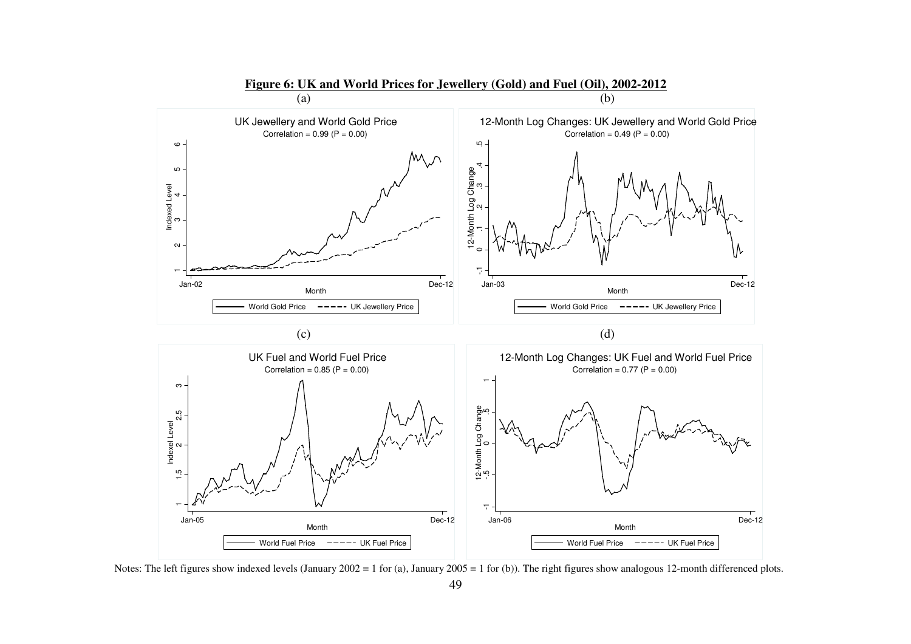

Notes: The left figures show indexed levels (January 2002 = 1 for (a), January 2005 = 1 for (b)). The right figures show analogous 12-month differenced plots.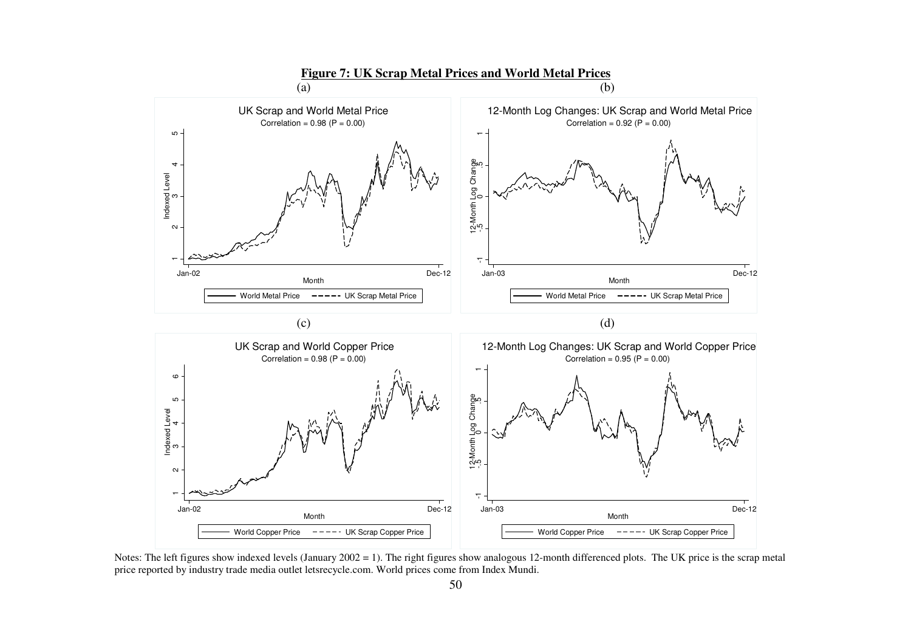

Notes: The left figures show indexed levels (January 2002 = 1). The right figures show analogous 12-month differenced plots. The UK price is the scrap metal price reported by industry trade media outlet letsrecycle.com. World prices come from Index Mundi.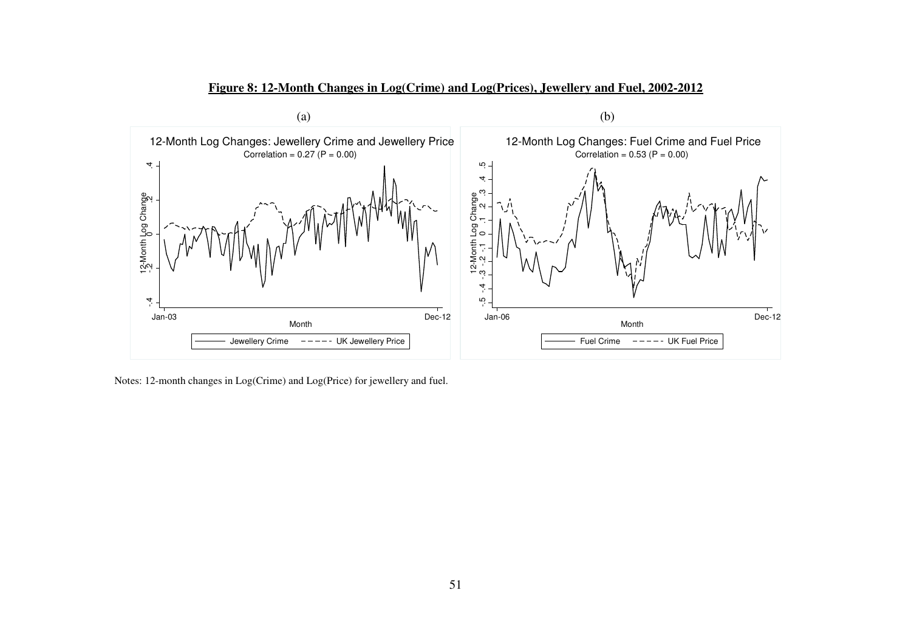

**Figure 8: 12-Month Changes in Log(Crime) and Log(Prices), Jewellery and Fuel, 2002-2012** 

Notes: 12-month changes in Log(Crime) and Log(Price) for jewellery and fuel.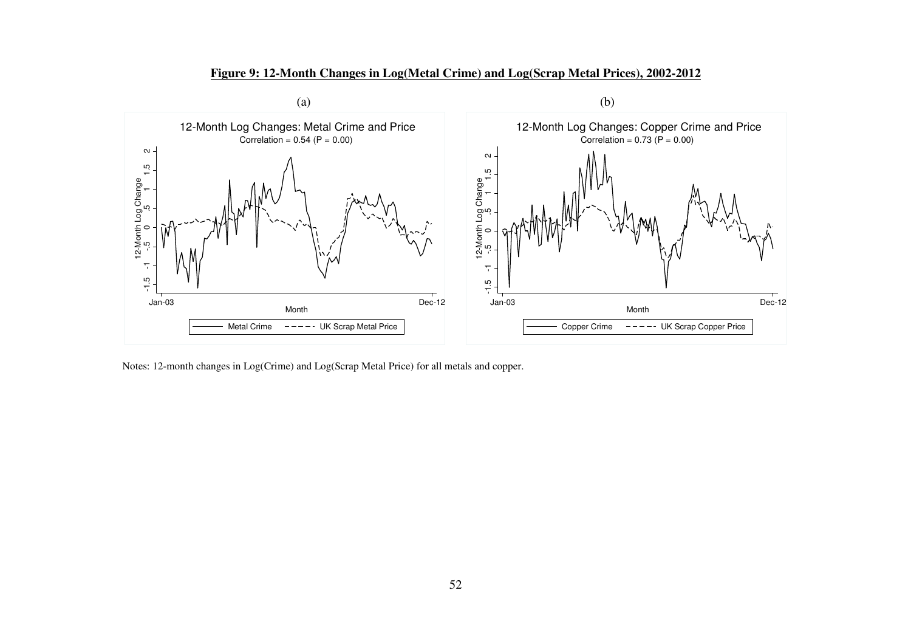

**Figure 9: 12-Month Changes in Log(Metal Crime) and Log(Scrap Metal Prices), 2002-2012**

Notes: 12-month changes in Log(Crime) and Log(Scrap Metal Price) for all metals and copper.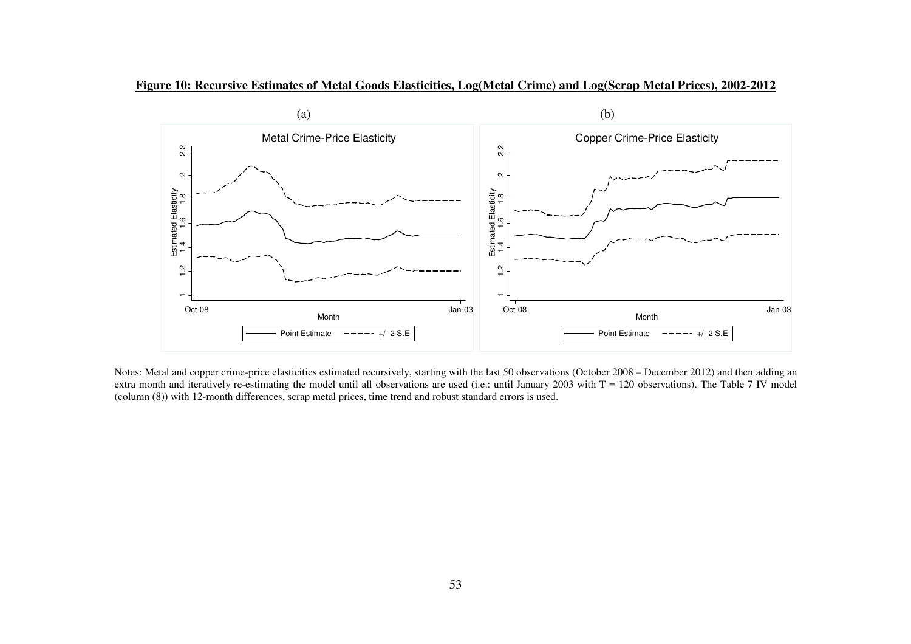



Notes: Metal and copper crime-price elasticities estimated recursively, starting with the last 50 observations (October 2008 – December 2012) and then adding an extra month and iteratively re-estimating the model until all observations are used (i.e.: until January 2003 with T = 120 observations). The Table 7 IV model (column (8)) with 12-month differences, scrap metal prices, time trend and robust standard errors is used.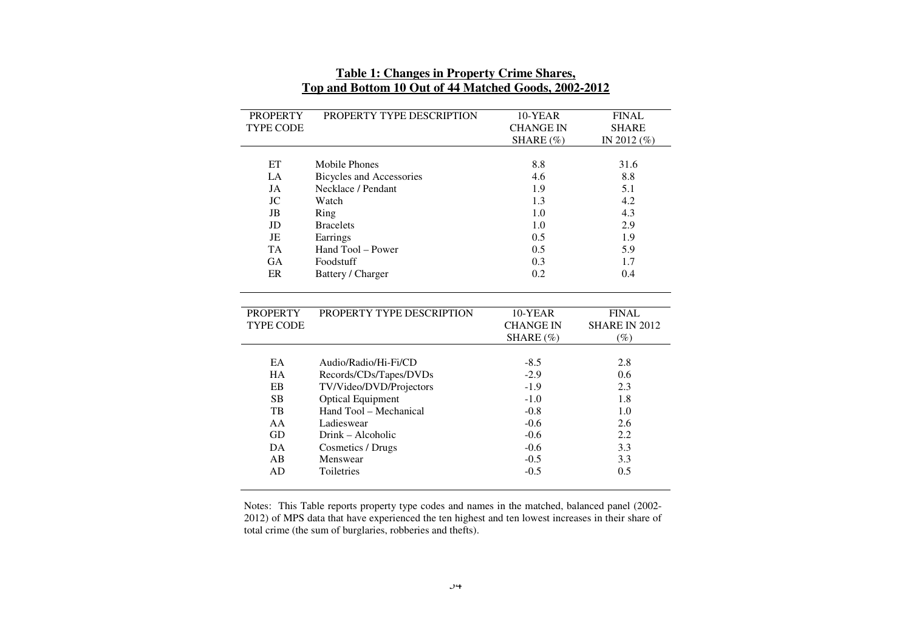| <b>PROPERTY</b>  | PROPERTY TYPE DESCRIPTION       | 10-YEAR          | <b>FINAL</b>  |
|------------------|---------------------------------|------------------|---------------|
| <b>TYPE CODE</b> |                                 | <b>CHANGE IN</b> | <b>SHARE</b>  |
|                  |                                 | SHARE (%)        | IN 2012 (%)   |
|                  |                                 |                  |               |
| ET               | Mobile Phones                   | 8.8              | 31.6          |
| LA               | <b>Bicycles and Accessories</b> | 4.6              | 8.8           |
| JA               | Necklace / Pendant              | 1.9              | 5.1           |
| JC               | Watch                           | 1.3              | 4.2           |
| <b>JB</b>        | Ring                            | 1.0              | 4.3           |
| JD               | <b>Bracelets</b>                | 1.0              | 2.9           |
| JE               | Earrings                        | 0.5              | 1.9           |
| <b>TA</b>        | Hand Tool – Power               | 0.5              | 5.9           |
| <b>GA</b>        | Foodstuff                       | 0.3              | 1.7           |
| ER               | Battery / Charger               | 0.2              | 0.4           |
|                  |                                 |                  |               |
|                  |                                 |                  |               |
|                  |                                 |                  |               |
| <b>PROPERTY</b>  | PROPERTY TYPE DESCRIPTION       | 10-YEAR          | <b>FINAL</b>  |
| <b>TYPE CODE</b> |                                 | <b>CHANGE IN</b> | SHARE IN 2012 |
|                  |                                 | SHARE (%)        | $(\%)$        |
|                  |                                 |                  |               |
| EA               | Audio/Radio/Hi-Fi/CD            | $-8.5$           | 2.8           |
| <b>HA</b>        | Records/CDs/Tapes/DVDs          | $-2.9$           | 0.6           |
| EB               | TV/Video/DVD/Projectors         | $-1.9$           | 2.3           |
| <b>SB</b>        | <b>Optical Equipment</b>        | $-1.0$           | 1.8           |
| TB               | Hand Tool - Mechanical          | $-0.8$           | 1.0           |
| AA               | Ladieswear                      | $-0.6$           | 2.6           |
| GD               | Drink – Alcoholic               | $-0.6$           | 2.2           |
| DA               | Cosmetics / Drugs               | $-0.6$           | 3.3           |
| AB               | Menswear                        | $-0.5$           | 3.3           |
| AD               | Toiletries                      | $-0.5$           | 0.5           |

# **Table 1: Changes in Property Crime Shares, Top and Bottom 10 Out of 44 Matched Goods, 2002-2012**

Notes: This Table reports property type codes and names in the matched, balanced panel (2002- 2012) of MPS data that have experienced the ten highest and ten lowest increases in their share of total crime (the sum of burglaries, robberies and thefts).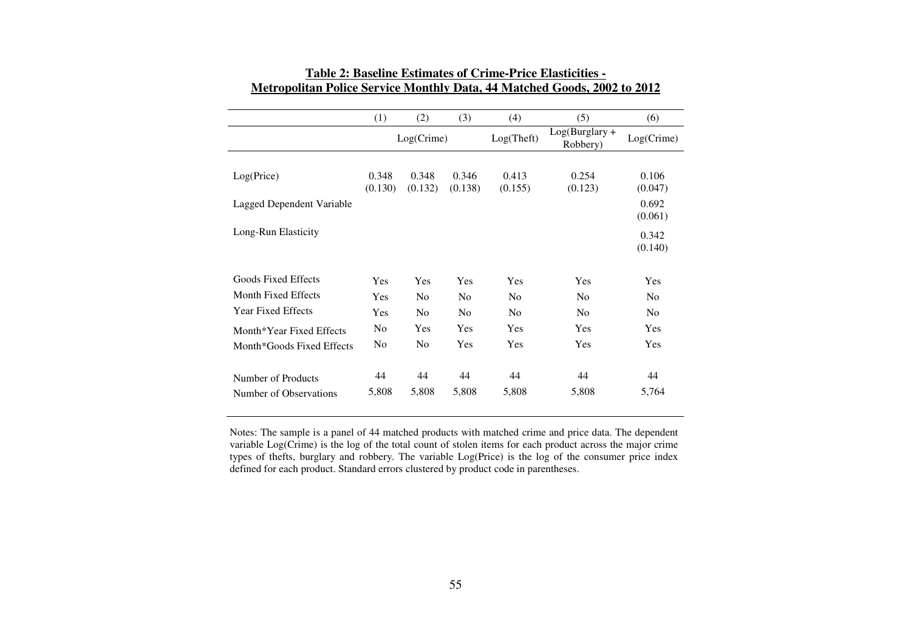|                           | (1)            | (2)            | (3)            | (4)        | (5)                        | (6)            |
|---------------------------|----------------|----------------|----------------|------------|----------------------------|----------------|
|                           |                | $Log(C$ rime)  |                | Log(Theft) | Log(Burglary +<br>Robbery) | Log(Crime)     |
|                           |                |                |                |            |                            |                |
| Log(Price)                | 0.348          | 0.348          | 0.346          | 0.413      | 0.254                      | 0.106          |
|                           | (0.130)        | (0.132)        | (0.138)        | (0.155)    | (0.123)                    | (0.047)        |
| Lagged Dependent Variable |                |                |                |            |                            | 0.692          |
|                           |                |                |                |            |                            | (0.061)        |
| Long-Run Elasticity       |                |                |                |            |                            | 0.342          |
|                           |                |                |                |            |                            | (0.140)        |
|                           |                |                |                |            |                            |                |
| Goods Fixed Effects       | <b>Yes</b>     | Yes            | Yes            | Yes        | Yes                        | <b>Yes</b>     |
| Month Fixed Effects       | <b>Yes</b>     | N <sub>0</sub> | N <sub>0</sub> | No         | N <sub>0</sub>             | N <sub>0</sub> |
| <b>Year Fixed Effects</b> | Yes            | N <sub>0</sub> | N <sub>0</sub> | No         | N <sub>0</sub>             | N <sub>0</sub> |
| Month*Year Fixed Effects  | N <sub>0</sub> | Yes            | Yes            | Yes        | <b>Yes</b>                 | <b>Yes</b>     |
| Month*Goods Fixed Effects | N <sub>0</sub> | N <sub>0</sub> | Yes            | Yes        | Yes                        | <b>Yes</b>     |
|                           |                |                |                |            |                            |                |
| Number of Products        | 44             | 44             | 44             | 44         | 44                         | 44             |
| Number of Observations    | 5,808          | 5,808          | 5,808          | 5,808      | 5,808                      | 5,764          |

# **Table 2: Baseline Estimates of Crime-Price Elasticities - Metropolitan Police Service Monthly Data, 44 Matched Goods, 2002 to 2012**

Notes: The sample is a panel of 44 matched products with matched crime and price data. The dependent variable Log(Crime) is the log of the total count of stolen items for each product across the major crime types of thefts, burglary and robbery. The variable Log(Price) is the log of the consumer price index defined for each product. Standard errors clustered by product code in parentheses.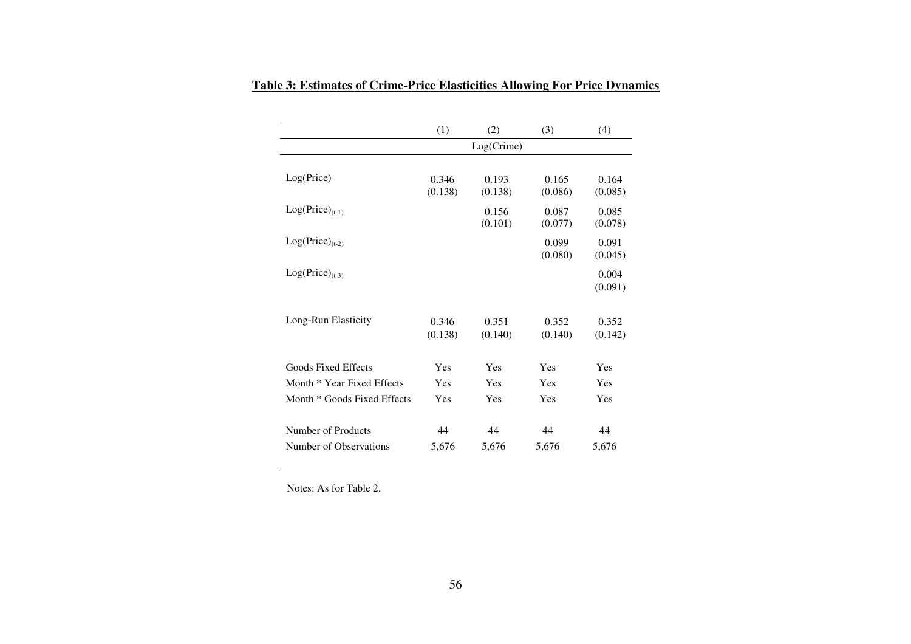|                             | (1)        | (2)           | (3)     | (4)     |
|-----------------------------|------------|---------------|---------|---------|
|                             |            | $Log(C$ rime) |         |         |
|                             |            |               |         |         |
| Log(Price)                  | 0.346      | 0.193         | 0.165   | 0.164   |
|                             | (0.138)    | (0.138)       | (0.086) | (0.085) |
| $Log(Price)_{(t-1)}$        |            | 0.156         | 0.087   | 0.085   |
|                             |            | (0.101)       | (0.077) | (0.078) |
| $Log(Price)_{(t-2)}$        |            |               | 0.099   | 0.091   |
|                             |            |               | (0.080) | (0.045) |
| $Log(Price)_{(t-3)}$        |            |               |         | 0.004   |
|                             |            |               |         | (0.091) |
|                             |            |               |         |         |
| Long-Run Elasticity         | 0.346      | 0.351         | 0.352   | 0.352   |
|                             | (0.138)    | (0.140)       | (0.140) | (0.142) |
| Goods Fixed Effects         | Yes        | Yes           | Yes     | Yes     |
| Month * Year Fixed Effects  | Yes        | Yes           | Yes     | Yes     |
|                             |            |               |         |         |
| Month * Goods Fixed Effects | <b>Yes</b> | Yes           | Yes     | Yes     |
| Number of Products          | 44         | 44            | 44      | 44      |
| Number of Observations      | 5,676      | 5,676         | 5,676   | 5,676   |

**Table 3: Estimates of Crime-Price Elasticities Allowing For Price Dynamics** 

Notes: As for Table 2.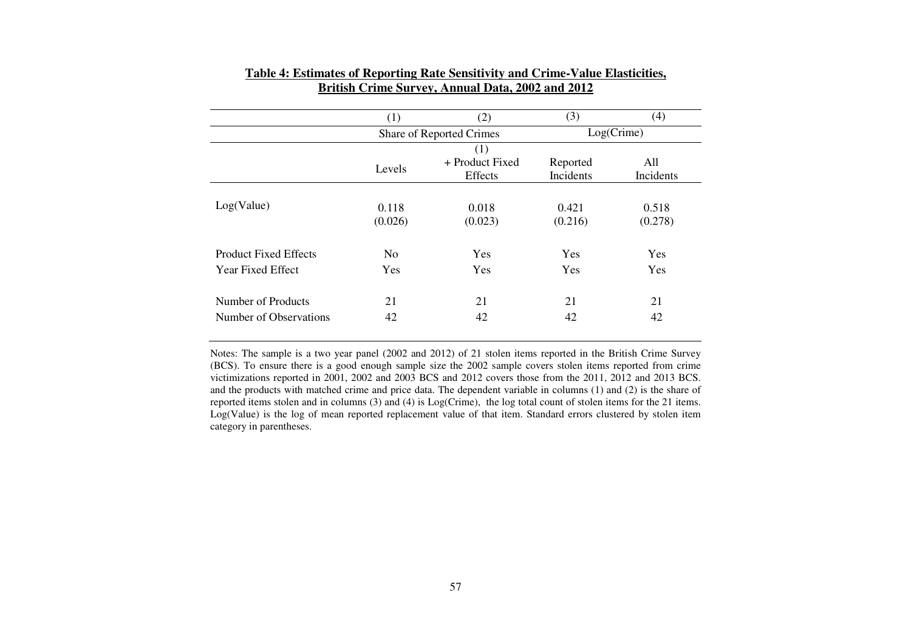|                              | (1)            | (2)                      | (3)           | (4)        |  |
|------------------------------|----------------|--------------------------|---------------|------------|--|
|                              |                | Share of Reported Crimes | $Log(C$ rime) |            |  |
|                              |                | (1)                      |               |            |  |
|                              | Levels         | + Product Fixed          | Reported      | All        |  |
|                              |                | Effects                  | Incidents     | Incidents  |  |
|                              |                |                          |               |            |  |
| Log(Value)                   | 0.118          | 0.018                    | 0.421         | 0.518      |  |
|                              | (0.026)        | (0.023)                  | (0.216)       | (0.278)    |  |
| <b>Product Fixed Effects</b> | N <sub>0</sub> | <b>Yes</b>               | Yes           | <b>Yes</b> |  |
| <b>Year Fixed Effect</b>     | Yes            | <b>Yes</b>               | Yes           | <b>Yes</b> |  |
| Number of Products           | 21             | 21                       | 21            | 21         |  |
| Number of Observations       | 42             | 42                       | 42            | 42         |  |

# **Table 4: Estimates of Reporting Rate Sensitivity and Crime-Value Elasticities, British Crime Survey, Annual Data, 2002 and 2012**

Notes: The sample is a two year panel (2002 and 2012) of 21 stolen items reported in the British Crime Survey (BCS). To ensure there is a good enough sample size the 2002 sample covers stolen items reported from crime victimizations reported in 2001, 2002 and 2003 BCS and 2012 covers those from the 2011, 2012 and 2013 BCS. and the products with matched crime and price data. The dependent variable in columns (1) and (2) is the share of reported items stolen and in columns (3) and (4) is Log(Crime), the log total count of stolen items for the 21 items. Log(Value) is the log of mean reported replacement value of that item. Standard errors clustered by stolen item category in parentheses.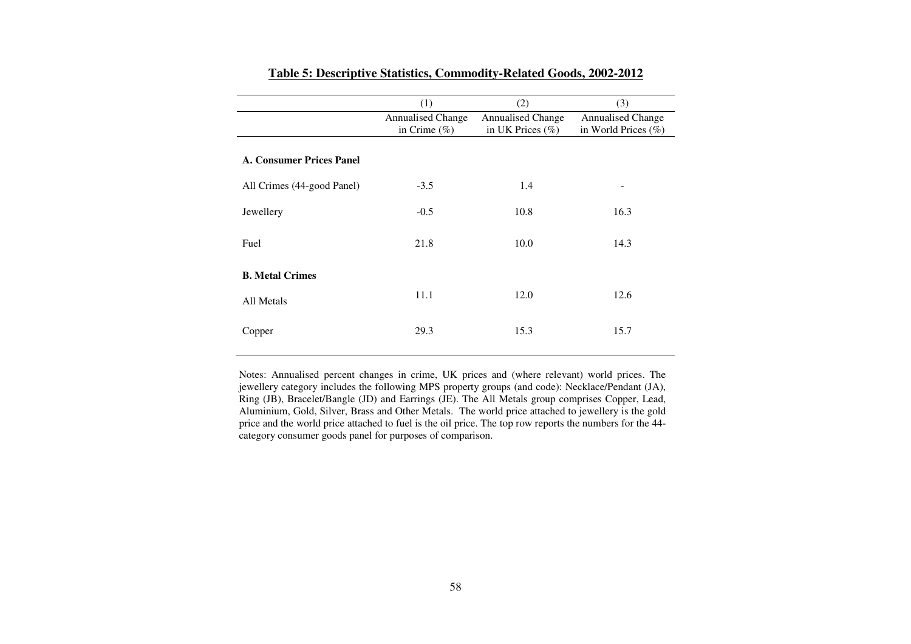|                                 | (1)                                         | (2)                                              | (3)                                             |
|---------------------------------|---------------------------------------------|--------------------------------------------------|-------------------------------------------------|
|                                 | <b>Annualised Change</b><br>in Crime $(\%)$ | <b>Annualised Change</b><br>in UK Prices $(\% )$ | <b>Annualised Change</b><br>in World Prices (%) |
|                                 |                                             |                                                  |                                                 |
| <b>A. Consumer Prices Panel</b> |                                             |                                                  |                                                 |
| All Crimes (44-good Panel)      | $-3.5$                                      | 1.4                                              |                                                 |
| Jewellery                       | $-0.5$                                      | 10.8                                             | 16.3                                            |
| Fuel                            | 21.8                                        | 10.0                                             | 14.3                                            |
| <b>B.</b> Metal Crimes          |                                             |                                                  |                                                 |
| All Metals                      | 11.1                                        | 12.0                                             | 12.6                                            |
| Copper                          | 29.3                                        | 15.3                                             | 15.7                                            |

#### **Table 5: Descriptive Statistics, Commodity-Related Goods, 2002-2012**

Notes: Annualised percent changes in crime, UK prices and (where relevant) world prices. The jewellery category includes the following MPS property groups (and code): Necklace/Pendant (JA), Ring (JB), Bracelet/Bangle (JD) and Earrings (JE). The All Metals group comprises Copper, Lead, Aluminium, Gold, Silver, Brass and Other Metals. The world price attached to jewellery is the gold price and the world price attached to fuel is the oil price. The top row reports the numbers for the 44category consumer goods panel for purposes of comparison.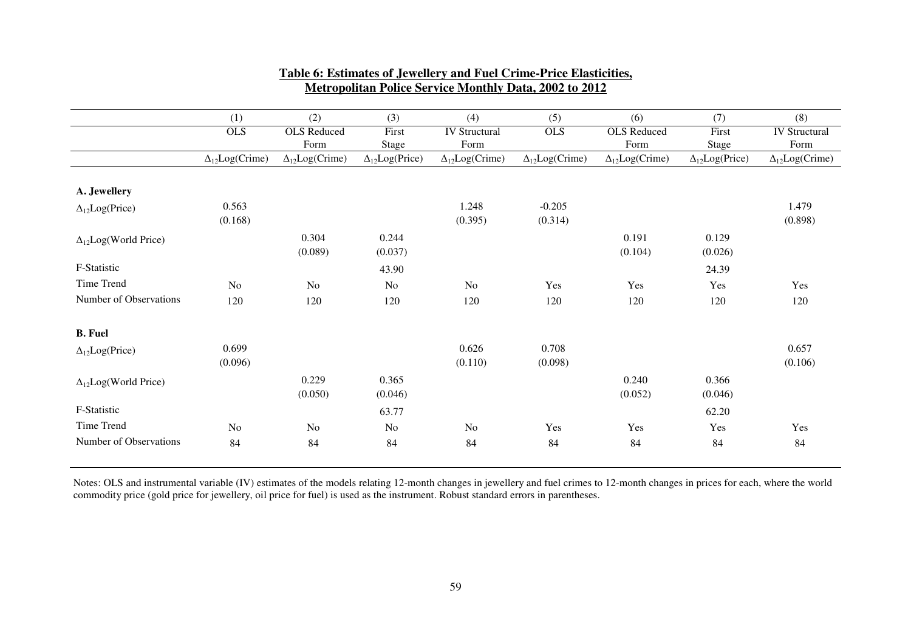|                               | (1)                     | (2)                     | (3)                     | (4)                     | (5)                     | (6)                     | (7)                     | (8)                     |
|-------------------------------|-------------------------|-------------------------|-------------------------|-------------------------|-------------------------|-------------------------|-------------------------|-------------------------|
|                               | <b>OLS</b>              | <b>OLS</b> Reduced      | First                   | <b>IV Structural</b>    | <b>OLS</b>              | <b>OLS</b> Reduced      | First                   | <b>IV Structural</b>    |
|                               |                         | Form                    | Stage                   | Form                    |                         | Form                    | <b>Stage</b>            | Form                    |
|                               | $\Delta_{12}Log(Crime)$ | $\Delta_{12}Log(Crime)$ | $\Delta_{12}Log(Price)$ | $\Delta_{12}Log(Crime)$ | $\Delta_{12}Log(Crime)$ | $\Delta_{12}Log(Crime)$ | $\Delta_{12}Log(Price)$ | $\Delta_{12}Log(Crime)$ |
|                               |                         |                         |                         |                         |                         |                         |                         |                         |
| A. Jewellery                  |                         |                         |                         |                         |                         |                         |                         |                         |
| $\Delta_{12}Log(Price)$       | 0.563                   |                         |                         | 1.248                   | $-0.205$                |                         |                         | 1.479                   |
|                               | (0.168)                 |                         |                         | (0.395)                 | (0.314)                 |                         |                         | (0.898)                 |
| $\Delta_{12}Log(World Price)$ |                         | 0.304                   | 0.244                   |                         |                         | 0.191                   | 0.129                   |                         |
|                               |                         | (0.089)                 | (0.037)                 |                         |                         | (0.104)                 | (0.026)                 |                         |
| F-Statistic                   |                         |                         | 43.90                   |                         |                         |                         | 24.39                   |                         |
| Time Trend                    | No                      | N <sub>o</sub>          | No                      | N <sub>o</sub>          | Yes                     | Yes                     | Yes                     | Yes                     |
| Number of Observations        | 120                     | 120                     | 120                     | 120                     | 120                     | 120                     | 120                     | 120                     |
| <b>B.</b> Fuel                |                         |                         |                         |                         |                         |                         |                         |                         |
|                               |                         |                         |                         |                         |                         |                         |                         |                         |
| $\Delta_{12}Log(Price)$       | 0.699                   |                         |                         | 0.626                   | 0.708                   |                         |                         | 0.657                   |
|                               | (0.096)                 |                         |                         | (0.110)                 | (0.098)                 |                         |                         | (0.106)                 |
| $\Delta_{12}Log(World Price)$ |                         | 0.229                   | 0.365                   |                         |                         | 0.240                   | 0.366                   |                         |
|                               |                         | (0.050)                 | (0.046)                 |                         |                         | (0.052)                 | (0.046)                 |                         |
| F-Statistic                   |                         |                         | 63.77                   |                         |                         |                         | 62.20                   |                         |
| Time Trend                    | N <sub>o</sub>          | N <sub>o</sub>          | N <sub>o</sub>          | N <sub>o</sub>          | Yes                     | Yes                     | Yes                     | Yes                     |
| Number of Observations        | 84                      | 84                      | 84                      | 84                      | 84                      | 84                      | 84                      | 84                      |
|                               |                         |                         |                         |                         |                         |                         |                         |                         |

# **Table 6: Estimates of Jewellery and Fuel Crime-Price Elasticities, Metropolitan Police Service Monthly Data, 2002 to 2012**

Notes: OLS and instrumental variable (IV) estimates of the models relating 12-month changes in jewellery and fuel crimes to 12-month changes in prices for each, where the world<br>commodity price (gold price for jewellery, oi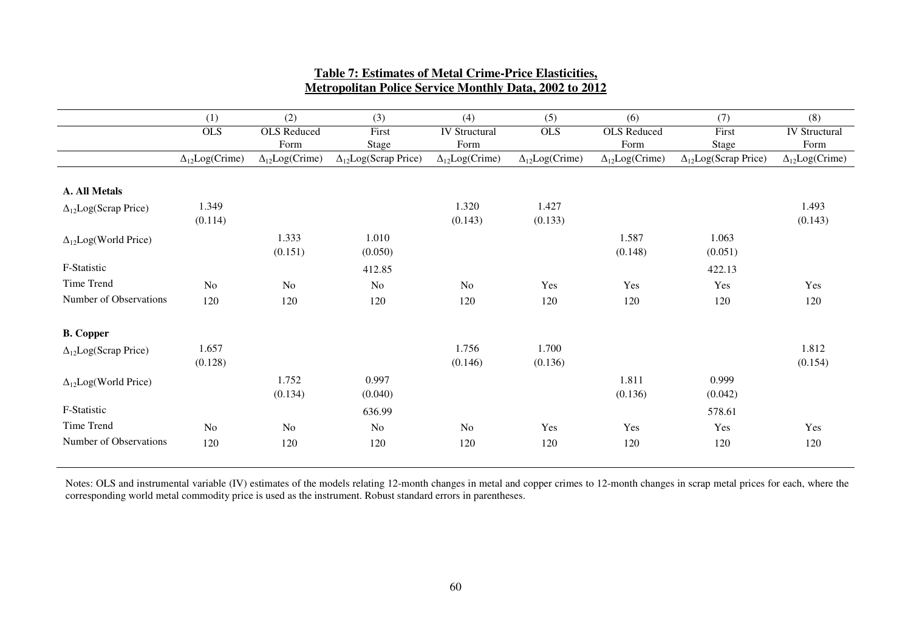|                                | (1)                      | (2)                     | (3)                            | (4)                     | (5)                     | (6)                     | (7)                            | (8)                     |
|--------------------------------|--------------------------|-------------------------|--------------------------------|-------------------------|-------------------------|-------------------------|--------------------------------|-------------------------|
|                                | <b>OLS</b>               | <b>OLS</b> Reduced      | First                          | <b>IV Structural</b>    | <b>OLS</b>              | <b>OLS</b> Reduced      | First                          | <b>IV Structural</b>    |
|                                |                          | Form                    | <b>Stage</b>                   | Form                    |                         | Form                    | Stage                          | Form                    |
|                                | $\Delta_{12}Log(C$ rime) | $\Delta_{12}Log(Crime)$ | $\Delta_{12}$ Log(Scrap Price) | $\Delta_{12}Log(Crime)$ | $\Delta_{12}Log(Crime)$ | $\Delta_{12}Log(Crime)$ | $\Delta_{12}$ Log(Scrap Price) | $\Delta_{12}Log(Crime)$ |
|                                |                          |                         |                                |                         |                         |                         |                                |                         |
| A. All Metals                  |                          |                         |                                |                         |                         |                         |                                |                         |
| $\Delta_{12}Log(Scrap Price)$  | 1.349                    |                         |                                | 1.320                   | 1.427                   |                         |                                | 1.493                   |
|                                | (0.114)                  |                         |                                | (0.143)                 | (0.133)                 |                         |                                | (0.143)                 |
| $\Delta_{12}$ Log(World Price) |                          | 1.333                   | 1.010                          |                         |                         | 1.587                   | 1.063                          |                         |
|                                |                          | (0.151)                 | (0.050)                        |                         |                         | (0.148)                 | (0.051)                        |                         |
| F-Statistic                    |                          |                         | 412.85                         |                         |                         |                         | 422.13                         |                         |
| Time Trend                     | N <sub>o</sub>           | N <sub>o</sub>          | N <sub>0</sub>                 | N <sub>o</sub>          | Yes                     | Yes                     | Yes                            | Yes                     |
| Number of Observations         | 120                      | 120                     | 120                            | 120                     | 120                     | 120                     | 120                            | 120                     |
| <b>B.</b> Copper               |                          |                         |                                |                         |                         |                         |                                |                         |
| $\Delta_{12}Log(Scrap Price)$  | 1.657                    |                         |                                | 1.756                   | 1.700                   |                         |                                | 1.812                   |
|                                | (0.128)                  |                         |                                | (0.146)                 | (0.136)                 |                         |                                | (0.154)                 |
| $\Delta_{12}Log(World Price)$  |                          | 1.752                   | 0.997                          |                         |                         | 1.811                   | 0.999                          |                         |
|                                |                          | (0.134)                 | (0.040)                        |                         |                         | (0.136)                 | (0.042)                        |                         |
| F-Statistic                    |                          |                         | 636.99                         |                         |                         |                         | 578.61                         |                         |
| Time Trend                     | $\rm No$                 | N <sub>o</sub>          | No                             | No                      | Yes                     | Yes                     | Yes                            | Yes                     |
| Number of Observations         | 120                      | 120                     | 120                            | 120                     | 120                     | 120                     | 120                            | 120                     |
|                                |                          |                         |                                |                         |                         |                         |                                |                         |

# **Table 7: Estimates of Metal Crime-Price Elasticities, Metropolitan Police Service Monthly Data, 2002 to 2012**

Notes: OLS and instrumental variable (IV) estimates of the models relating 12-month changes in metal and copper crimes to 12-month changes in scrap metal prices for each, where the corresponding world metal commodity price is used as the instrument. Robust standard errors in parentheses.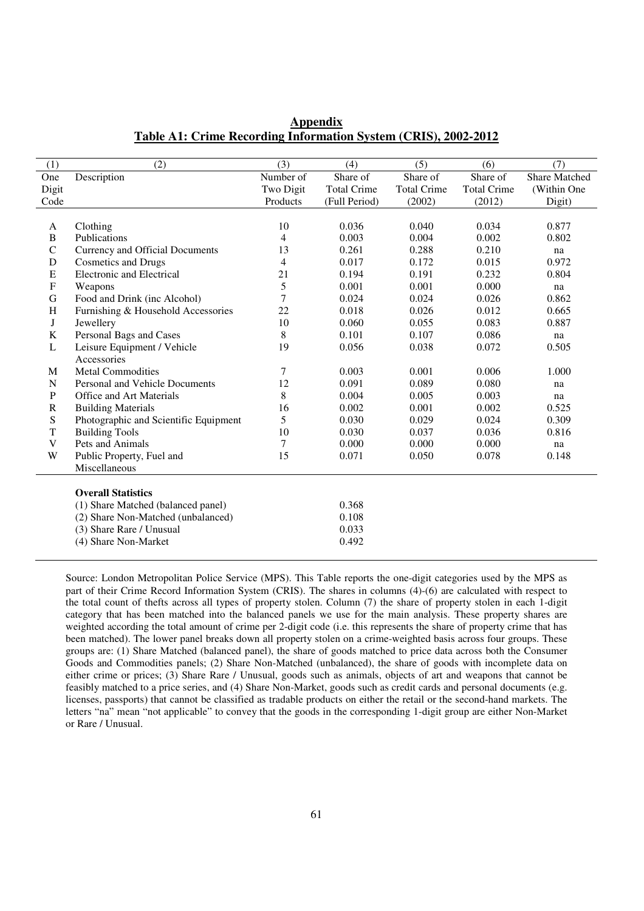| (1)          | (2)                                   | (3)       | (4)                | (5)                | (6)                | (7)           |
|--------------|---------------------------------------|-----------|--------------------|--------------------|--------------------|---------------|
| One          | Description                           | Number of | Share of           | Share of           | Share of           | Share Matched |
| Digit        |                                       | Two Digit | <b>Total Crime</b> | <b>Total Crime</b> | <b>Total Crime</b> | (Within One   |
| Code         |                                       | Products  | (Full Period)      | (2002)             | (2012)             | Digit)        |
|              |                                       |           |                    |                    |                    |               |
| A            | Clothing                              | 10        | 0.036              | 0.040              | 0.034              | 0.877         |
| B            | Publications                          | 4         | 0.003              | 0.004              | 0.002              | 0.802         |
| $\mathsf{C}$ | Currency and Official Documents       | 13        | 0.261              | 0.288              | 0.210              | na            |
| D            | <b>Cosmetics and Drugs</b>            | 4         | 0.017              | 0.172              | 0.015              | 0.972         |
| ${\bf E}$    | Electronic and Electrical             | 21        | 0.194              | 0.191              | 0.232              | 0.804         |
| $\mathbf F$  | Weapons                               | 5         | 0.001              | 0.001              | 0.000              | na            |
| $\mathbf G$  | Food and Drink (inc Alcohol)          | 7         | 0.024              | 0.024              | 0.026              | 0.862         |
| H            | Furnishing & Household Accessories    | 22        | 0.018              | 0.026              | 0.012              | 0.665         |
| J            | Jewellery                             | 10        | 0.060              | 0.055              | 0.083              | 0.887         |
| K            | Personal Bags and Cases               | 8         | 0.101              | 0.107              | 0.086              | na            |
| L            | Leisure Equipment / Vehicle           | 19        | 0.056              | 0.038              | 0.072              | 0.505         |
|              | Accessories                           |           |                    |                    |                    |               |
| M            | <b>Metal Commodities</b>              | 7         | 0.003              | 0.001              | 0.006              | 1.000         |
| $\mathbf N$  | Personal and Vehicle Documents        | 12        | 0.091              | 0.089              | 0.080              | na            |
| ${\bf P}$    | Office and Art Materials              | 8         | 0.004              | 0.005              | 0.003              | na            |
| $\mathbf R$  | <b>Building Materials</b>             | 16        | 0.002              | 0.001              | 0.002              | 0.525         |
| ${\bf S}$    | Photographic and Scientific Equipment | 5         | 0.030              | 0.029              | 0.024              | 0.309         |
| T            | <b>Building Tools</b>                 | 10        | 0.030              | 0.037              | 0.036              | 0.816         |
| V            | Pets and Animals                      | 7         | 0.000              | 0.000              | 0.000              | na            |
| W            | Public Property, Fuel and             | 15        | 0.071              | 0.050              | 0.078              | 0.148         |
|              | Miscellaneous                         |           |                    |                    |                    |               |
|              |                                       |           |                    |                    |                    |               |
|              | <b>Overall Statistics</b>             |           |                    |                    |                    |               |
|              | (1) Share Matched (balanced panel)    |           | 0.368              |                    |                    |               |
|              | (2) Share Non-Matched (unbalanced)    |           | 0.108              |                    |                    |               |
|              | (3) Share Rare / Unusual              |           | 0.033              |                    |                    |               |
|              | (4) Share Non-Market                  |           | 0.492              |                    |                    |               |

# **Appendix Table A1: Crime Recording Information System (CRIS), 2002-2012**

Source: London Metropolitan Police Service (MPS). This Table reports the one-digit categories used by the MPS as part of their Crime Record Information System (CRIS). The shares in columns (4)-(6) are calculated with respect to the total count of thefts across all types of property stolen. Column (7) the share of property stolen in each 1-digit category that has been matched into the balanced panels we use for the main analysis. These property shares are weighted according the total amount of crime per 2-digit code (i.e. this represents the share of property crime that has been matched). The lower panel breaks down all property stolen on a crime-weighted basis across four groups. These groups are: (1) Share Matched (balanced panel), the share of goods matched to price data across both the Consumer Goods and Commodities panels; (2) Share Non-Matched (unbalanced), the share of goods with incomplete data on either crime or prices; (3) Share Rare / Unusual, goods such as animals, objects of art and weapons that cannot be feasibly matched to a price series, and (4) Share Non-Market, goods such as credit cards and personal documents (e.g. licenses, passports) that cannot be classified as tradable products on either the retail or the second-hand markets. The letters "na" mean "not applicable" to convey that the goods in the corresponding 1-digit group are either Non-Market or Rare / Unusual.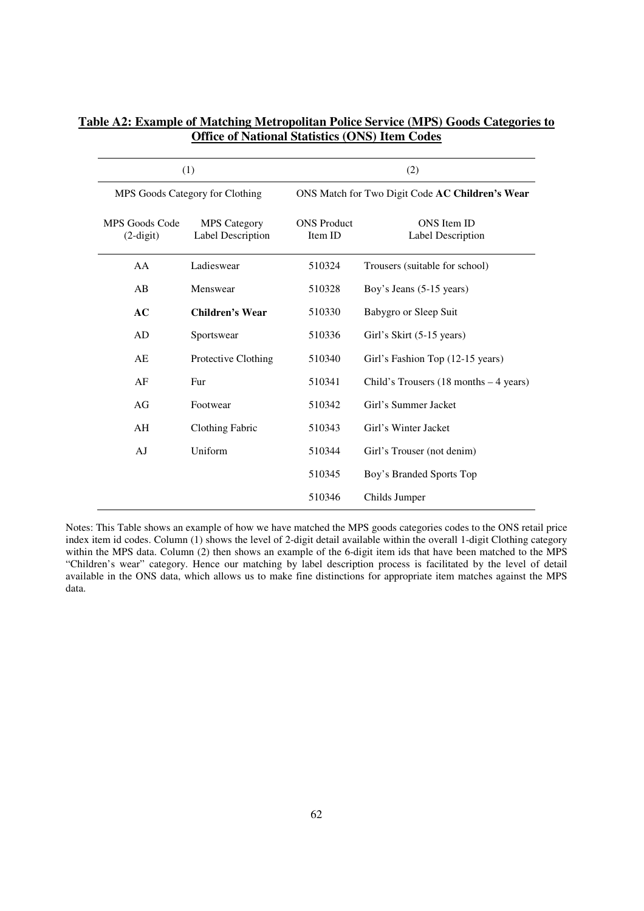|                                   | (1)                                      | (2)                           |                                                 |  |  |  |
|-----------------------------------|------------------------------------------|-------------------------------|-------------------------------------------------|--|--|--|
|                                   | MPS Goods Category for Clothing          |                               | ONS Match for Two Digit Code AC Children's Wear |  |  |  |
| MPS Goods Code<br>$(2$ -digit $)$ | <b>MPS</b> Category<br>Label Description | <b>ONS</b> Product<br>Item ID | ONS Item ID<br>Label Description                |  |  |  |
| AA                                | Ladieswear                               | 510324                        | Trousers (suitable for school)                  |  |  |  |
| AB                                | Menswear                                 | 510328                        | Boy's Jeans (5-15 years)                        |  |  |  |
| AC                                | Children's Wear                          | 510330                        | Babygro or Sleep Suit                           |  |  |  |
| AD                                | Sportswear                               | 510336                        | Girl's Skirt (5-15 years)                       |  |  |  |
| AE                                | Protective Clothing                      | 510340                        | Girl's Fashion Top (12-15 years)                |  |  |  |
| AF                                | Fur                                      | 510341                        | Child's Trousers $(18$ months $-4$ years)       |  |  |  |
| AG                                | Footwear                                 | 510342                        | Girl's Summer Jacket                            |  |  |  |
| AH                                | <b>Clothing Fabric</b>                   | 510343                        | Girl's Winter Jacket                            |  |  |  |
| AJ                                | Uniform                                  | 510344                        | Girl's Trouser (not denim)                      |  |  |  |
|                                   |                                          | 510345                        | Boy's Branded Sports Top                        |  |  |  |
|                                   |                                          | 510346                        | Childs Jumper                                   |  |  |  |

# **Table A2: Example of Matching Metropolitan Police Service (MPS) Goods Categories to Office of National Statistics (ONS) Item Codes**

Notes: This Table shows an example of how we have matched the MPS goods categories codes to the ONS retail price index item id codes. Column (1) shows the level of 2-digit detail available within the overall 1-digit Clothing category within the MPS data. Column (2) then shows an example of the 6-digit item ids that have been matched to the MPS "Children's wear" category. Hence our matching by label description process is facilitated by the level of detail available in the ONS data, which allows us to make fine distinctions for appropriate item matches against the MPS data.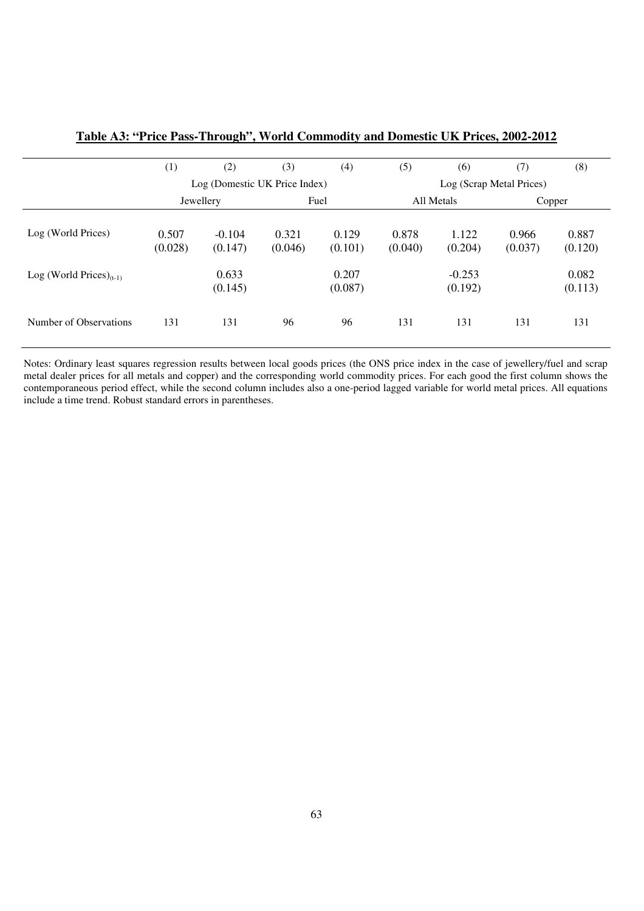|                               | (1)              | (2)                           | (3)              | (4)              | (5)                      | (6)                 | (7)              | (8)              |
|-------------------------------|------------------|-------------------------------|------------------|------------------|--------------------------|---------------------|------------------|------------------|
|                               |                  | Log (Domestic UK Price Index) |                  |                  | Log (Scrap Metal Prices) |                     |                  |                  |
|                               | Jewellery        |                               |                  | Fuel             |                          | All Metals          |                  | Copper           |
| Log (World Prices)            | 0.507<br>(0.028) | $-0.104$<br>(0.147)           | 0.321<br>(0.046) | 0.129<br>(0.101) | 0.878<br>(0.040)         | 1.122<br>(0.204)    | 0.966<br>(0.037) | 0.887<br>(0.120) |
| Log (World Prices) $_{(t-1)}$ |                  | 0.633<br>(0.145)              |                  | 0.207<br>(0.087) |                          | $-0.253$<br>(0.192) |                  | 0.082<br>(0.113) |
| Number of Observations        | 131              | 131                           | 96               | 96               | 131                      | 131                 | 131              | 131              |

**Table A3: "Price Pass-Through", World Commodity and Domestic UK Prices, 2002-2012** 

Notes: Ordinary least squares regression results between local goods prices (the ONS price index in the case of jewellery/fuel and scrap metal dealer prices for all metals and copper) and the corresponding world commodity prices. For each good the first column shows the contemporaneous period effect, while the second column includes also a one-period lagged variable for world metal prices. All equations include a time trend. Robust standard errors in parentheses.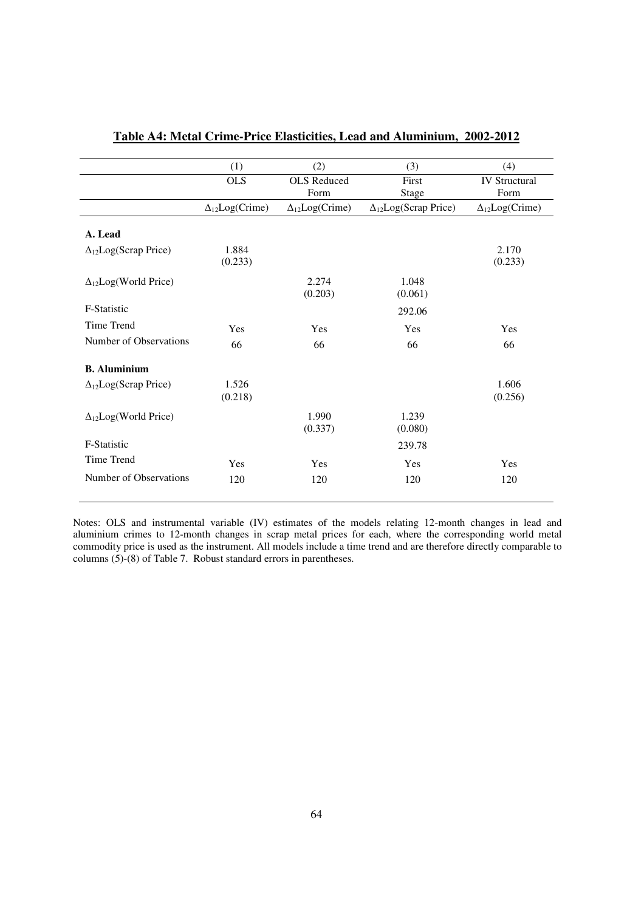|                                | (1)                      | (2)                      | (3)                           | (4)                     |
|--------------------------------|--------------------------|--------------------------|-------------------------------|-------------------------|
|                                | <b>OLS</b>               | <b>OLS</b> Reduced       | First                         | <b>IV Structural</b>    |
|                                |                          | Form                     | <b>Stage</b>                  | Form                    |
|                                | $\Delta_{12}Log(C$ rime) | $\Delta_{12}Log(C$ rime) | $\Delta_{12}Log(Scrap Price)$ | $\Delta_{12}Log(Crime)$ |
| A. Lead                        |                          |                          |                               |                         |
| $\Delta_{12}Log(Scrap Price)$  | 1.884<br>(0.233)         |                          |                               | 2.170<br>(0.233)        |
| $\Delta_{12}Log(World Price)$  |                          | 2.274<br>(0.203)         | 1.048<br>(0.061)              |                         |
| F-Statistic                    |                          |                          | 292.06                        |                         |
| Time Trend                     | Yes                      | Yes                      | Yes                           | Yes                     |
| Number of Observations         | 66                       | 66                       | 66                            | 66                      |
| <b>B.</b> Aluminium            |                          |                          |                               |                         |
| $\Delta_{12}$ Log(Scrap Price) | 1.526<br>(0.218)         |                          |                               | 1.606<br>(0.256)        |
| $\Delta_{12}Log(World Price)$  |                          | 1.990<br>(0.337)         | 1.239<br>(0.080)              |                         |
| <b>F-Statistic</b>             |                          |                          | 239.78                        |                         |
| Time Trend                     | Yes                      | Yes                      | Yes                           | Yes                     |
| Number of Observations         | 120                      | 120                      | 120                           | 120                     |
|                                |                          |                          |                               |                         |

# **Table A4: Metal Crime-Price Elasticities, Lead and Aluminium, 2002-2012**

Notes: OLS and instrumental variable (IV) estimates of the models relating 12-month changes in lead and aluminium crimes to 12-month changes in scrap metal prices for each, where the corresponding world metal commodity price is used as the instrument. All models include a time trend and are therefore directly comparable to columns (5)-(8) of Table 7. Robust standard errors in parentheses.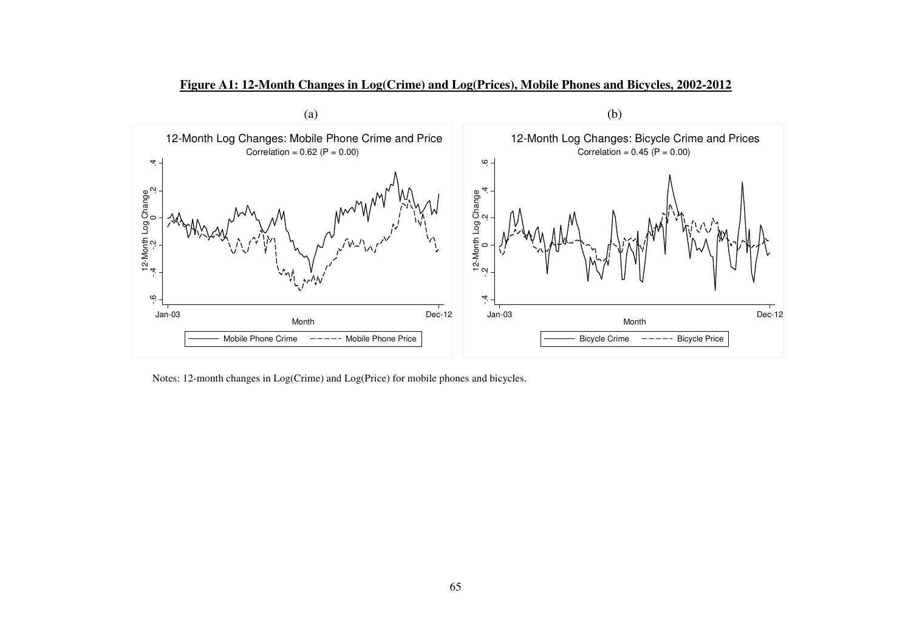

**Figure A1: 12-Month Changes in Log(Crime) and Log(Prices), Mobile Phones and Bicycles, 2002-2012** 

Notes: 12-month changes in Log(Crime) and Log(Price) for mobile phones and bicycles.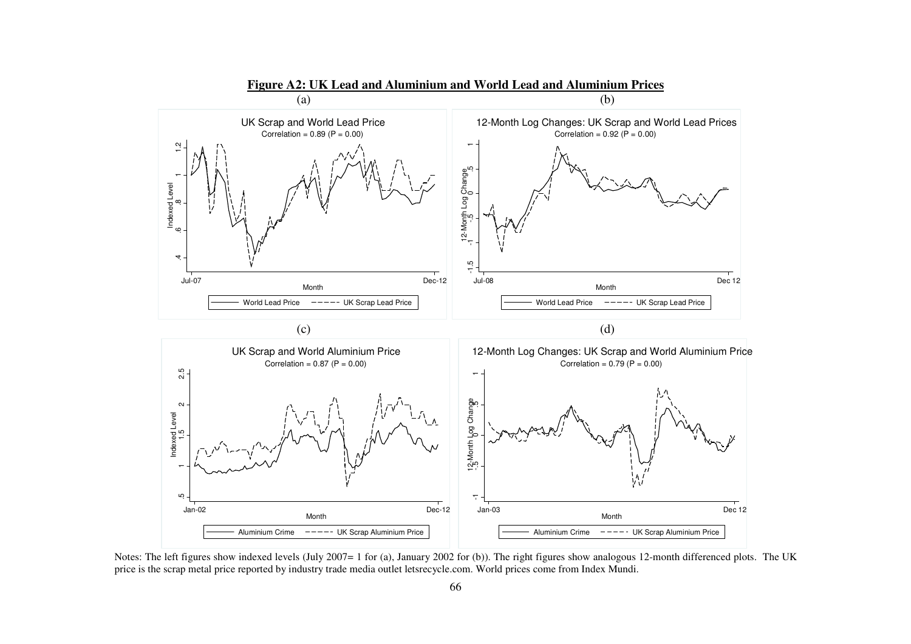

**Figure A2: UK Lead and Aluminium and World Lead and Aluminium Prices** 

Notes: The left figures show indexed levels (July 2007= 1 for (a), January 2002 for (b)). The right figures show analogous 12-month differenced plots. The UK price is the scrap metal price reported by industry trade media outlet letsrecycle.com. World prices come from Index Mundi.